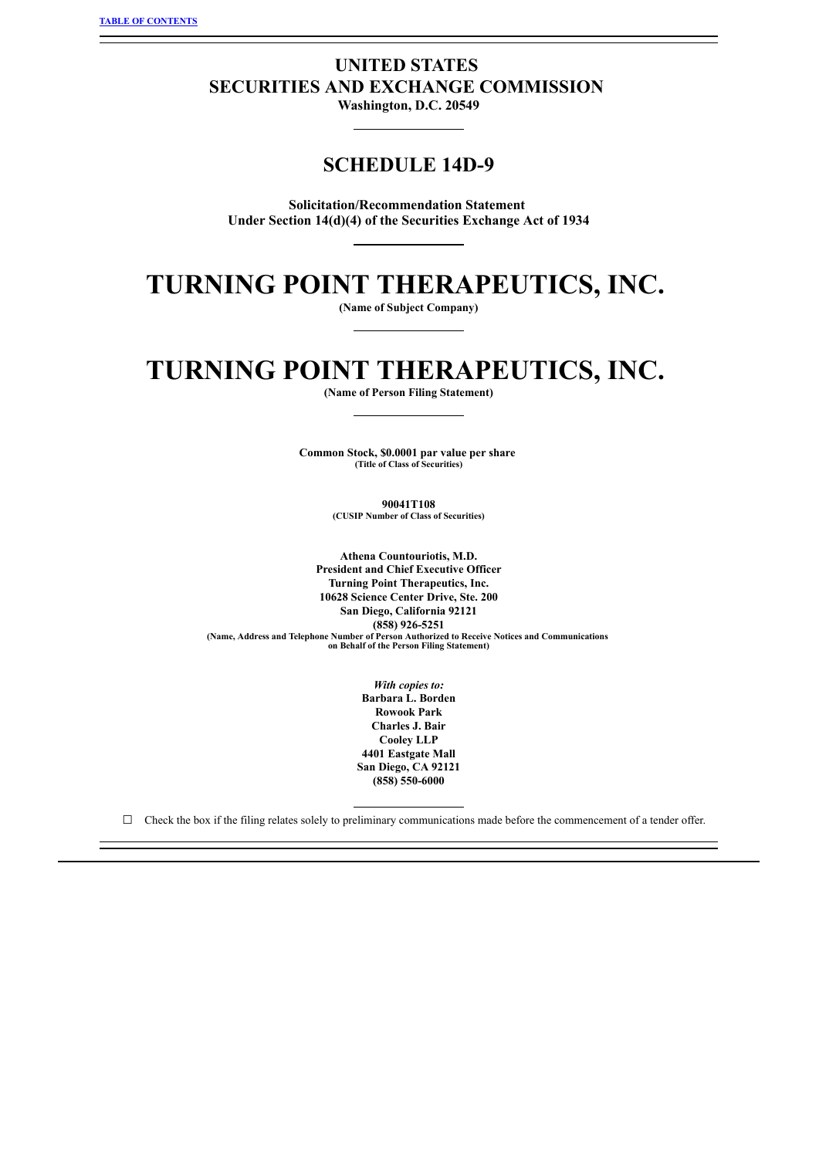## **UNITED STATES SECURITIES AND EXCHANGE COMMISSION**

**Washington, D.C. 20549**

### **SCHEDULE 14D-9**

**Solicitation/Recommendation Statement Under Section 14(d)(4) of the Securities Exchange Act of 1934**

# **TURNING POINT THERAPEUTICS, INC.**

**(Name of Subject Company)**

# **TURNING POINT THERAPEUTICS, INC.**

**(Name of Person Filing Statement)**

**Common Stock, \$0.0001 par value per share (Title of Class of Securities)**

> **90041T108 (CUSIP Number of Class of Securities)**

**Athena Countouriotis, M.D. President and Chief Executive Officer Turning Point Therapeutics, Inc. 10628 Science Center Drive, Ste. 200 San Diego, California 92121 (858) 926-5251** (Name, Address and Telephone Number of Person Authorized to Receive Notices and Communications<br>on Behalf of the Person Filing Statement)

> *With copies to:* **Barbara L. Borden Rowook Park Charles J. Bair Cooley LLP 4401 Eastgate Mall San Diego, CA 92121 (858) 550-6000**

 $\Box$  Check the box if the filing relates solely to preliminary communications made before the commencement of a tender offer.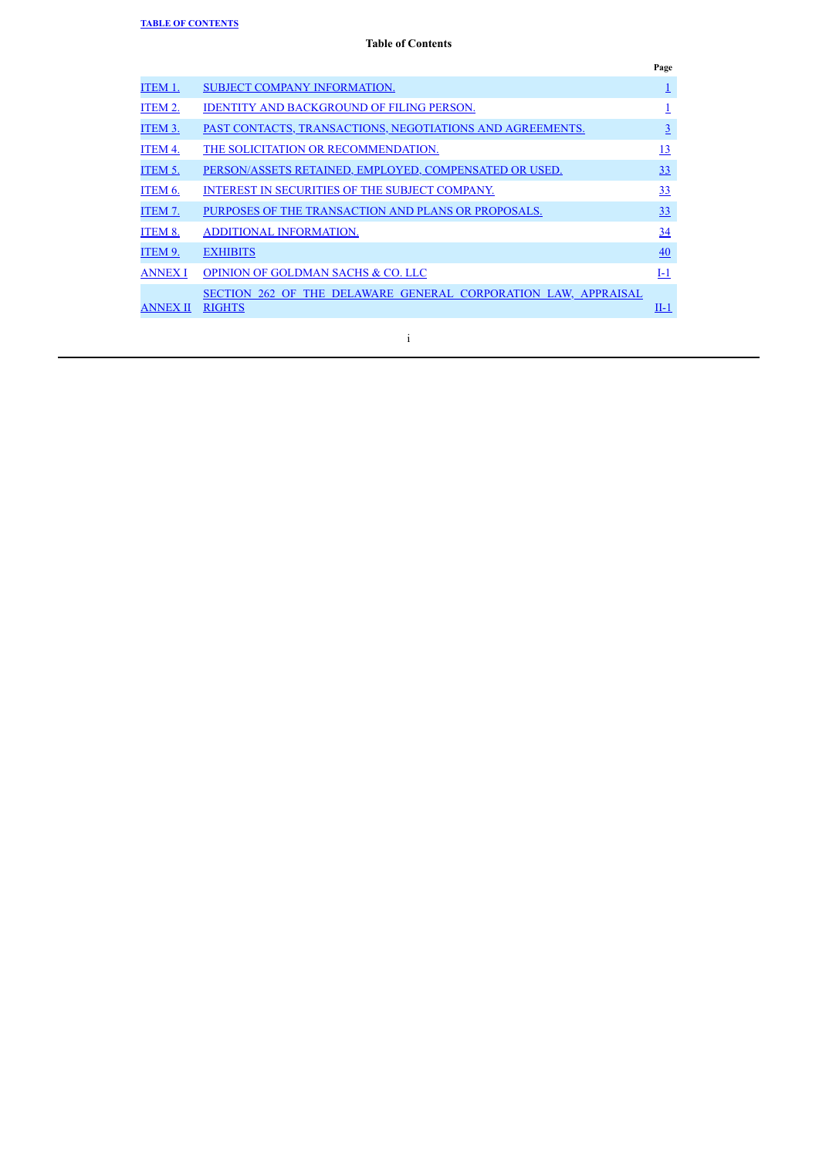#### **Table of Contents**

<span id="page-1-0"></span>

|                 |                                                                                 | Page            |
|-----------------|---------------------------------------------------------------------------------|-----------------|
| ITEM 1.         | <b>SUBJECT COMPANY INFORMATION.</b>                                             |                 |
| ITEM 2.         | <b>IDENTITY AND BACKGROUND OF FILING PERSON.</b>                                |                 |
| ITEM 3.         | PAST CONTACTS, TRANSACTIONS, NEGOTIATIONS AND AGREEMENTS.                       | <u>3</u>        |
| ITEM 4.         | THE SOLICITATION OR RECOMMENDATION.                                             | <u>13</u>       |
| ITEM 5.         | PERSON/ASSETS RETAINED, EMPLOYED, COMPENSATED OR USED.                          | 33              |
| ITEM 6.         | INTEREST IN SECURITIES OF THE SUBJECT COMPANY.                                  | 33              |
| ITEM 7.         | PURPOSES OF THE TRANSACTION AND PLANS OR PROPOSALS.                             | 33              |
| ITEM 8.         | ADDITIONAL INFORMATION.                                                         | 34              |
| ITEM 9.         | <b>EXHIBITS</b>                                                                 | $\overline{40}$ |
| <b>ANNEX I</b>  | <b>OPINION OF GOLDMAN SACHS &amp; CO. LLC</b>                                   | $I-1$           |
| <b>ANNEX II</b> | SECTION 262 OF THE DELAWARE GENERAL CORPORATION LAW, APPRAISAL<br><b>RIGHTS</b> | II-1            |

i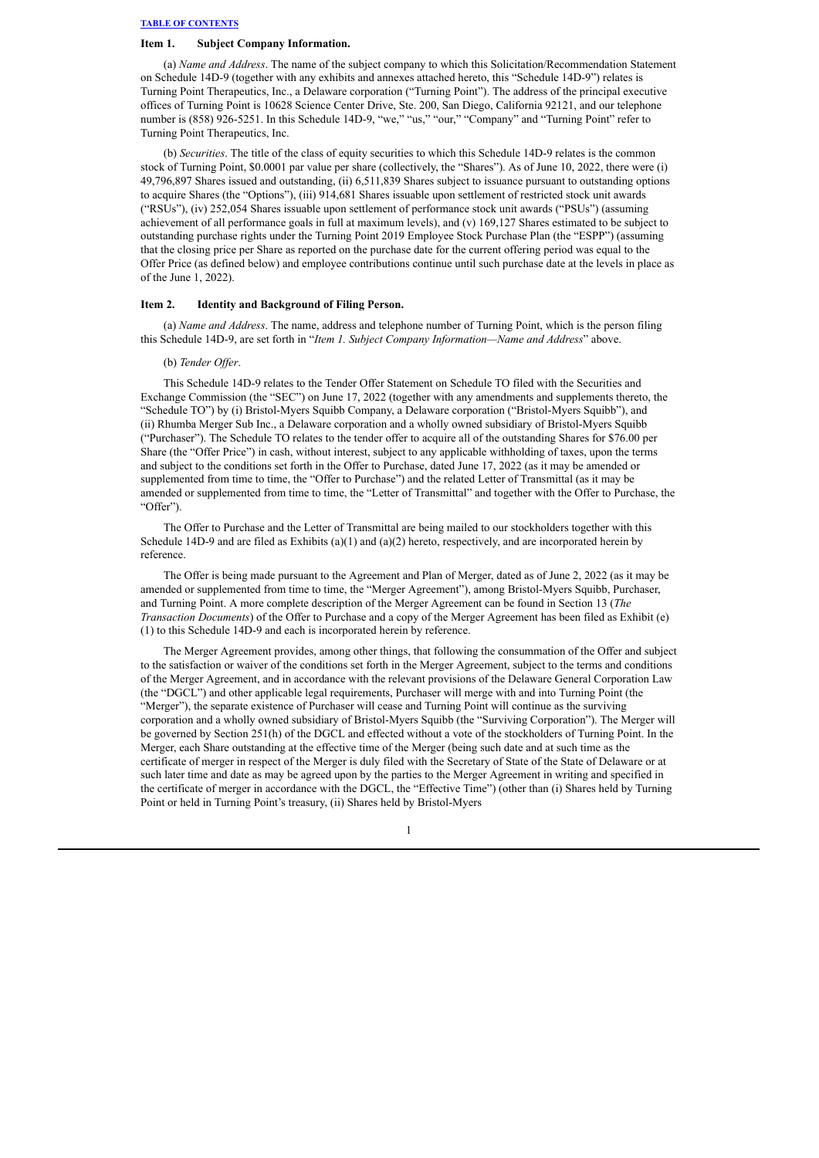#### <span id="page-2-0"></span>**Item 1. Subject Company Information.**

(a) *Name and Address*. The name of the subject company to which this Solicitation/Recommendation Statement on Schedule 14D-9 (together with any exhibits and annexes attached hereto, this "Schedule 14D-9") relates is Turning Point Therapeutics, Inc., a Delaware corporation ("Turning Point"). The address of the principal executive offices of Turning Point is 10628 Science Center Drive, Ste. 200, San Diego, California 92121, and our telephone number is (858) 926-5251. In this Schedule 14D-9, "we," "us," "our," "Company" and "Turning Point" refer to Turning Point Therapeutics, Inc.

(b) *Securities*. The title of the class of equity securities to which this Schedule 14D-9 relates is the common stock of Turning Point, \$0.0001 par value per share (collectively, the "Shares"). As of June 10, 2022, there were (i) 49,796,897 Shares issued and outstanding, (ii) 6,511,839 Shares subject to issuance pursuant to outstanding options to acquire Shares (the "Options"), (iii) 914,681 Shares issuable upon settlement of restricted stock unit awards ("RSUs"), (iv) 252,054 Shares issuable upon settlement of performance stock unit awards ("PSUs") (assuming achievement of all performance goals in full at maximum levels), and (v) 169,127 Shares estimated to be subject to outstanding purchase rights under the Turning Point 2019 Employee Stock Purchase Plan (the "ESPP") (assuming that the closing price per Share as reported on the purchase date for the current offering period was equal to the Offer Price (as defined below) and employee contributions continue until such purchase date at the levels in place as of the June 1, 2022).

#### <span id="page-2-1"></span>**Item 2. Identity and Background of Filing Person.**

(a) *Name and Address*. The name, address and telephone number of Turning Point, which is the person filing this Schedule 14D-9, are set forth in "*Item 1. Subject Company Information—Name and Address*" above.

#### (b) *Tender Offer*.

This Schedule 14D-9 relates to the Tender Offer Statement on Schedule TO filed with the Securities and Exchange Commission (the "SEC") on June 17, 2022 (together with any amendments and supplements thereto, the "Schedule TO") by (i) Bristol-Myers Squibb Company, a Delaware corporation ("Bristol-Myers Squibb"), and (ii) Rhumba Merger Sub Inc., a Delaware corporation and a wholly owned subsidiary of Bristol-Myers Squibb ("Purchaser"). The Schedule TO relates to the tender offer to acquire all of the outstanding Shares for \$76.00 per Share (the "Offer Price") in cash, without interest, subject to any applicable withholding of taxes, upon the terms and subject to the conditions set forth in the Offer to Purchase, dated June 17, 2022 (as it may be amended or supplemented from time to time, the "Offer to Purchase") and the related Letter of Transmittal (as it may be amended or supplemented from time to time, the "Letter of Transmittal" and together with the Offer to Purchase, the "Offer").

The Offer to Purchase and the Letter of Transmittal are being mailed to our stockholders together with this Schedule 14D-9 and are filed as Exhibits (a)(1) and (a)(2) hereto, respectively, and are incorporated herein by reference.

The Offer is being made pursuant to the Agreement and Plan of Merger, dated as of June 2, 2022 (as it may be amended or supplemented from time to time, the "Merger Agreement"), among Bristol-Myers Squibb, Purchaser, and Turning Point. A more complete description of the Merger Agreement can be found in Section 13 (*The Transaction Documents*) of the Offer to Purchase and a copy of the Merger Agreement has been filed as Exhibit (e) (1) to this Schedule 14D-9 and each is incorporated herein by reference.

The Merger Agreement provides, among other things, that following the consummation of the Offer and subject to the satisfaction or waiver of the conditions set forth in the Merger Agreement, subject to the terms and conditions of the Merger Agreement, and in accordance with the relevant provisions of the Delaware General Corporation Law (the "DGCL") and other applicable legal requirements, Purchaser will merge with and into Turning Point (the "Merger"), the separate existence of Purchaser will cease and Turning Point will continue as the surviving corporation and a wholly owned subsidiary of Bristol-Myers Squibb (the "Surviving Corporation"). The Merger will be governed by Section 251(h) of the DGCL and effected without a vote of the stockholders of Turning Point. In the Merger, each Share outstanding at the effective time of the Merger (being such date and at such time as the certificate of merger in respect of the Merger is duly filed with the Secretary of State of the State of Delaware or at such later time and date as may be agreed upon by the parties to the Merger Agreement in writing and specified in the certificate of merger in accordance with the DGCL, the "Effective Time") (other than (i) Shares held by Turning Point or held in Turning Point's treasury, (ii) Shares held by Bristol-Myers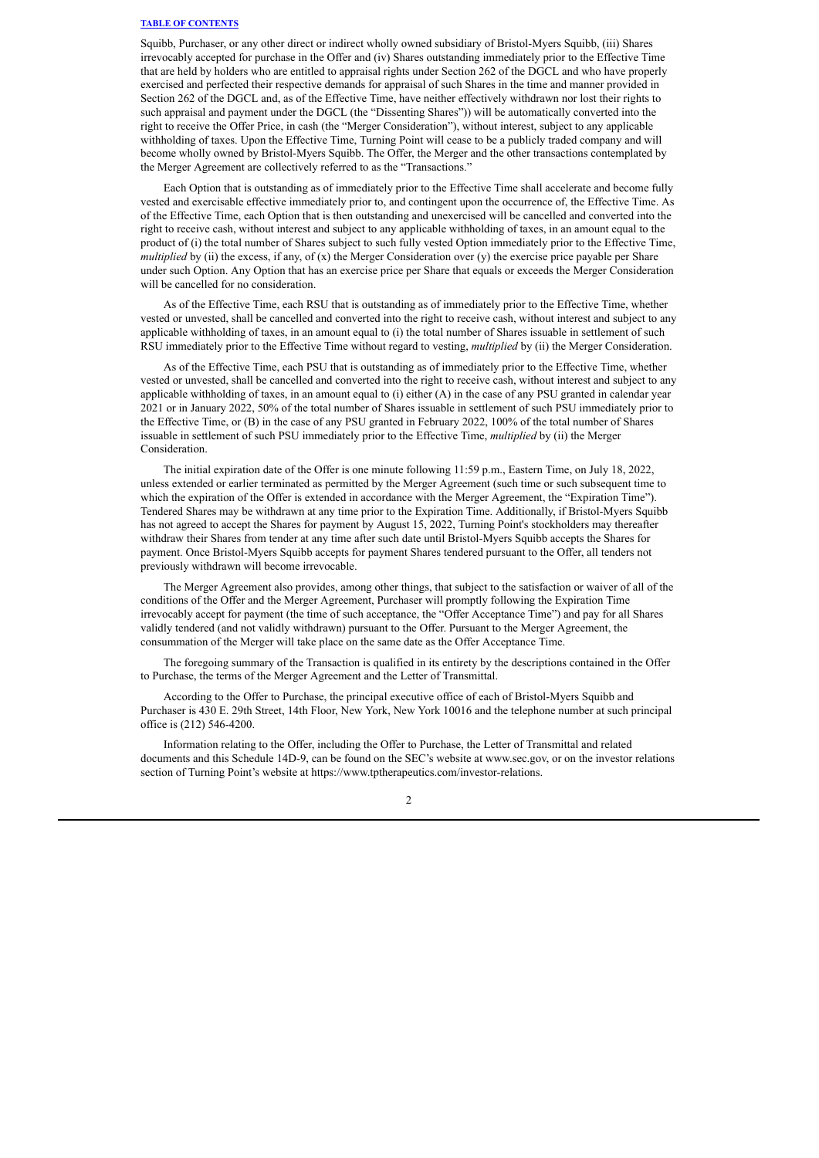Squibb, Purchaser, or any other direct or indirect wholly owned subsidiary of Bristol-Myers Squibb, (iii) Shares irrevocably accepted for purchase in the Offer and (iv) Shares outstanding immediately prior to the Effective Time that are held by holders who are entitled to appraisal rights under Section 262 of the DGCL and who have properly exercised and perfected their respective demands for appraisal of such Shares in the time and manner provided in Section 262 of the DGCL and, as of the Effective Time, have neither effectively withdrawn nor lost their rights to such appraisal and payment under the DGCL (the "Dissenting Shares")) will be automatically converted into the right to receive the Offer Price, in cash (the "Merger Consideration"), without interest, subject to any applicable withholding of taxes. Upon the Effective Time, Turning Point will cease to be a publicly traded company and will become wholly owned by Bristol-Myers Squibb. The Offer, the Merger and the other transactions contemplated by the Merger Agreement are collectively referred to as the "Transactions."

Each Option that is outstanding as of immediately prior to the Effective Time shall accelerate and become fully vested and exercisable effective immediately prior to, and contingent upon the occurrence of, the Effective Time. As of the Effective Time, each Option that is then outstanding and unexercised will be cancelled and converted into the right to receive cash, without interest and subject to any applicable withholding of taxes, in an amount equal to the product of (i) the total number of Shares subject to such fully vested Option immediately prior to the Effective Time, *multiplied* by (ii) the excess, if any, of (x) the Merger Consideration over (y) the exercise price payable per Share under such Option. Any Option that has an exercise price per Share that equals or exceeds the Merger Consideration will be cancelled for no consideration.

As of the Effective Time, each RSU that is outstanding as of immediately prior to the Effective Time, whether vested or unvested, shall be cancelled and converted into the right to receive cash, without interest and subject to any applicable withholding of taxes, in an amount equal to (i) the total number of Shares issuable in settlement of such RSU immediately prior to the Effective Time without regard to vesting, *multiplied* by (ii) the Merger Consideration.

As of the Effective Time, each PSU that is outstanding as of immediately prior to the Effective Time, whether vested or unvested, shall be cancelled and converted into the right to receive cash, without interest and subject to any applicable withholding of taxes, in an amount equal to (i) either  $(A)$  in the case of any PSU granted in calendar year 2021 or in January 2022, 50% of the total number of Shares issuable in settlement of such PSU immediately prior to the Effective Time, or (B) in the case of any PSU granted in February 2022, 100% of the total number of Shares issuable in settlement of such PSU immediately prior to the Effective Time, *multiplied* by (ii) the Merger Consideration.

The initial expiration date of the Offer is one minute following 11:59 p.m., Eastern Time, on July 18, 2022, unless extended or earlier terminated as permitted by the Merger Agreement (such time or such subsequent time to which the expiration of the Offer is extended in accordance with the Merger Agreement, the "Expiration Time"). Tendered Shares may be withdrawn at any time prior to the Expiration Time. Additionally, if Bristol-Myers Squibb has not agreed to accept the Shares for payment by August 15, 2022, Turning Point's stockholders may thereafter withdraw their Shares from tender at any time after such date until Bristol-Myers Squibb accepts the Shares for payment. Once Bristol-Myers Squibb accepts for payment Shares tendered pursuant to the Offer, all tenders not previously withdrawn will become irrevocable.

The Merger Agreement also provides, among other things, that subject to the satisfaction or waiver of all of the conditions of the Offer and the Merger Agreement, Purchaser will promptly following the Expiration Time irrevocably accept for payment (the time of such acceptance, the "Offer Acceptance Time") and pay for all Shares validly tendered (and not validly withdrawn) pursuant to the Offer. Pursuant to the Merger Agreement, the consummation of the Merger will take place on the same date as the Offer Acceptance Time.

The foregoing summary of the Transaction is qualified in its entirety by the descriptions contained in the Offer to Purchase, the terms of the Merger Agreement and the Letter of Transmittal.

According to the Offer to Purchase, the principal executive office of each of Bristol-Myers Squibb and Purchaser is 430 E. 29th Street, 14th Floor, New York, New York 10016 and the telephone number at such principal office is (212) 546-4200.

Information relating to the Offer, including the Offer to Purchase, the Letter of Transmittal and related documents and this Schedule 14D-9, can be found on the SEC's website at www.sec.gov, or on the investor relations section of Turning Point's website at https://www.tptherapeutics.com/investor-relations.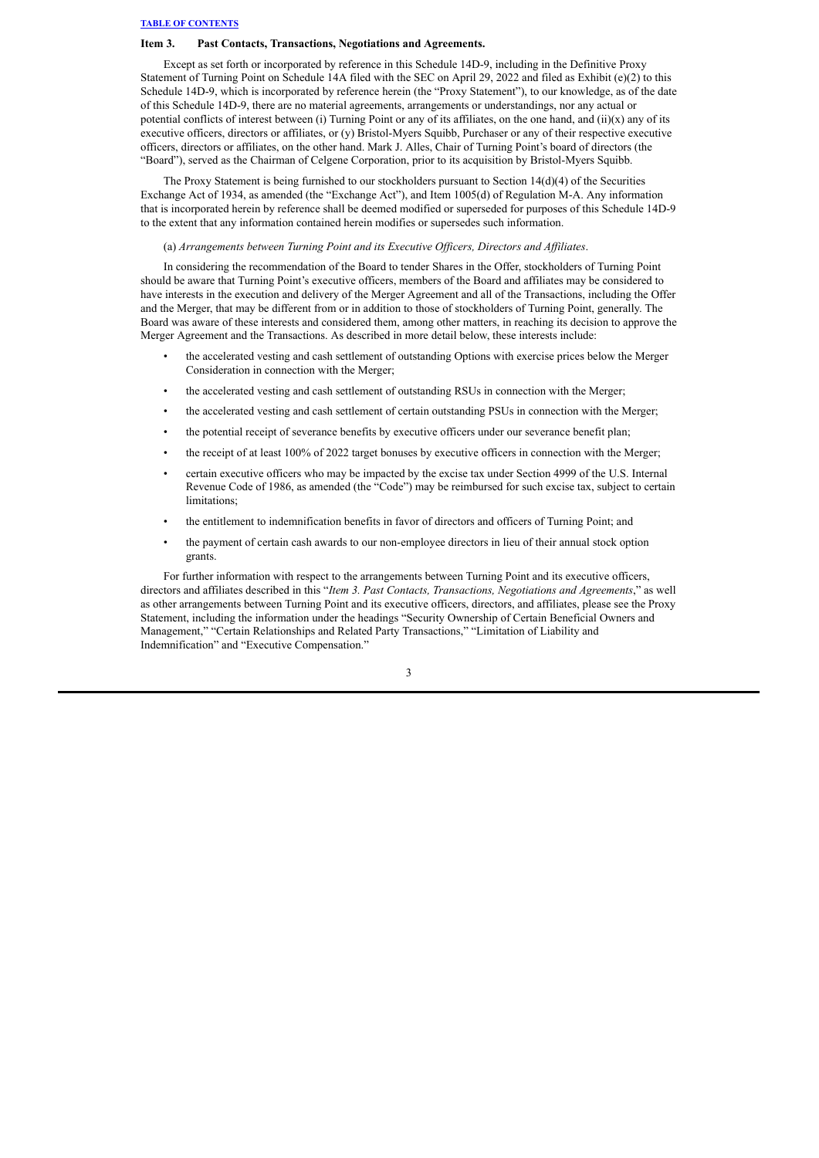#### <span id="page-4-0"></span>**Item 3. Past Contacts, Transactions, Negotiations and Agreements.**

Except as set forth or incorporated by reference in this Schedule 14D-9, including in the Definitive Proxy Statement of Turning Point on Schedule 14A filed with the SEC on April 29, 2022 and filed as Exhibit (e)(2) to this Schedule 14D-9, which is incorporated by reference herein (the "Proxy Statement"), to our knowledge, as of the date of this Schedule 14D-9, there are no material agreements, arrangements or understandings, nor any actual or potential conflicts of interest between (i) Turning Point or any of its affiliates, on the one hand, and  $(ii)(x)$  any of its executive officers, directors or affiliates, or (y) Bristol-Myers Squibb, Purchaser or any of their respective executive officers, directors or affiliates, on the other hand. Mark J. Alles, Chair of Turning Point's board of directors (the "Board"), served as the Chairman of Celgene Corporation, prior to its acquisition by Bristol-Myers Squibb.

The Proxy Statement is being furnished to our stockholders pursuant to Section 14(d)(4) of the Securities Exchange Act of 1934, as amended (the "Exchange Act"), and Item 1005(d) of Regulation M-A. Any information that is incorporated herein by reference shall be deemed modified or superseded for purposes of this Schedule 14D-9 to the extent that any information contained herein modifies or supersedes such information.

#### (a) *Arrangements between Turning Point and its Executive Of icers, Directors and Af iliates*.

In considering the recommendation of the Board to tender Shares in the Offer, stockholders of Turning Point should be aware that Turning Point's executive officers, members of the Board and affiliates may be considered to have interests in the execution and delivery of the Merger Agreement and all of the Transactions, including the Offer and the Merger, that may be different from or in addition to those of stockholders of Turning Point, generally. The Board was aware of these interests and considered them, among other matters, in reaching its decision to approve the Merger Agreement and the Transactions. As described in more detail below, these interests include:

- the accelerated vesting and cash settlement of outstanding Options with exercise prices below the Merger Consideration in connection with the Merger;
- the accelerated vesting and cash settlement of outstanding RSUs in connection with the Merger;
- the accelerated vesting and cash settlement of certain outstanding PSUs in connection with the Merger;
- the potential receipt of severance benefits by executive officers under our severance benefit plan;
- the receipt of at least 100% of 2022 target bonuses by executive officers in connection with the Merger;
- certain executive officers who may be impacted by the excise tax under Section 4999 of the U.S. Internal Revenue Code of 1986, as amended (the "Code") may be reimbursed for such excise tax, subject to certain limitations:
- the entitlement to indemnification benefits in favor of directors and officers of Turning Point; and
- the payment of certain cash awards to our non-employee directors in lieu of their annual stock option grants.

For further information with respect to the arrangements between Turning Point and its executive officers, directors and affiliates described in this "*Item 3. Past Contacts, Transactions, Negotiations and Agreements*," as well as other arrangements between Turning Point and its executive officers, directors, and affiliates, please see the Proxy Statement, including the information under the headings "Security Ownership of Certain Beneficial Owners and Management," "Certain Relationships and Related Party Transactions," "Limitation of Liability and Indemnification" and "Executive Compensation."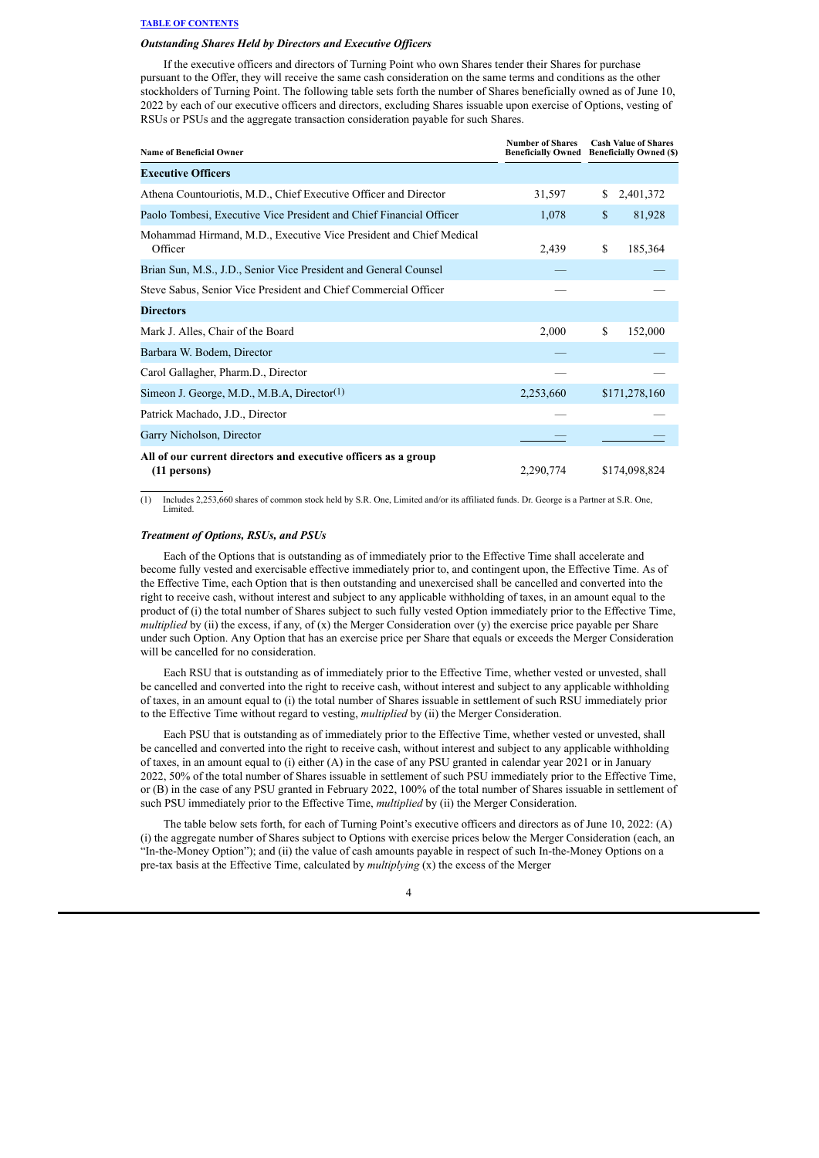#### *Outstanding Shares Held by Directors and Executive Of icers*

If the executive officers and directors of Turning Point who own Shares tender their Shares for purchase pursuant to the Offer, they will receive the same cash consideration on the same terms and conditions as the other stockholders of Turning Point. The following table sets forth the number of Shares beneficially owned as of June 10, 2022 by each of our executive officers and directors, excluding Shares issuable upon exercise of Options, vesting of RSUs or PSUs and the aggregate transaction consideration payable for such Shares.

| <b>Name of Beneficial Owner</b>                                                | <b>Number of Shares</b><br>Beneficially Owned Beneficially Owned (\$) |    | <b>Cash Value of Shares</b> |
|--------------------------------------------------------------------------------|-----------------------------------------------------------------------|----|-----------------------------|
| <b>Executive Officers</b>                                                      |                                                                       |    |                             |
| Athena Countouriotis, M.D., Chief Executive Officer and Director               | 31,597                                                                | S  | 2,401,372                   |
| Paolo Tombesi, Executive Vice President and Chief Financial Officer            | 1,078                                                                 | \$ | 81,928                      |
| Mohammad Hirmand, M.D., Executive Vice President and Chief Medical<br>Officer  | 2,439                                                                 | \$ | 185,364                     |
| Brian Sun, M.S., J.D., Senior Vice President and General Counsel               |                                                                       |    |                             |
| Steve Sabus, Senior Vice President and Chief Commercial Officer                |                                                                       |    |                             |
| <b>Directors</b>                                                               |                                                                       |    |                             |
| Mark J. Alles, Chair of the Board                                              | 2,000                                                                 | \$ | 152,000                     |
| Barbara W. Bodem, Director                                                     |                                                                       |    |                             |
| Carol Gallagher, Pharm.D., Director                                            |                                                                       |    |                             |
| Simeon J. George, M.D., M.B.A, Director $(1)$                                  | 2,253,660                                                             |    | \$171,278,160               |
| Patrick Machado, J.D., Director                                                |                                                                       |    |                             |
| Garry Nicholson, Director                                                      |                                                                       |    |                             |
| All of our current directors and executive officers as a group<br>(11 persons) | 2,290,774                                                             |    | \$174,098,824               |

(1) Includes 2,253,660 shares of common stock held by S.R. One, Limited and/or its affiliated funds. Dr. George is a Partner at S.R. One, Limited.

#### *Treatment of Options, RSUs, and PSUs*

Each of the Options that is outstanding as of immediately prior to the Effective Time shall accelerate and become fully vested and exercisable effective immediately prior to, and contingent upon, the Effective Time. As of the Effective Time, each Option that is then outstanding and unexercised shall be cancelled and converted into the right to receive cash, without interest and subject to any applicable withholding of taxes, in an amount equal to the product of (i) the total number of Shares subject to such fully vested Option immediately prior to the Effective Time, *multiplied* by (ii) the excess, if any, of (x) the Merger Consideration over (y) the exercise price payable per Share under such Option. Any Option that has an exercise price per Share that equals or exceeds the Merger Consideration will be cancelled for no consideration.

Each RSU that is outstanding as of immediately prior to the Effective Time, whether vested or unvested, shall be cancelled and converted into the right to receive cash, without interest and subject to any applicable withholding of taxes, in an amount equal to (i) the total number of Shares issuable in settlement of such RSU immediately prior to the Effective Time without regard to vesting, *multiplied* by (ii) the Merger Consideration.

Each PSU that is outstanding as of immediately prior to the Effective Time, whether vested or unvested, shall be cancelled and converted into the right to receive cash, without interest and subject to any applicable withholding of taxes, in an amount equal to (i) either (A) in the case of any PSU granted in calendar year 2021 or in January 2022, 50% of the total number of Shares issuable in settlement of such PSU immediately prior to the Effective Time, or (B) in the case of any PSU granted in February 2022, 100% of the total number of Shares issuable in settlement of such PSU immediately prior to the Effective Time, *multiplied* by (ii) the Merger Consideration.

The table below sets forth, for each of Turning Point's executive officers and directors as of June 10, 2022: (A) (i) the aggregate number of Shares subject to Options with exercise prices below the Merger Consideration (each, an "In-the-Money Option"); and (ii) the value of cash amounts payable in respect of such In-the-Money Options on a pre-tax basis at the Effective Time, calculated by *multiplying* (x) the excess of the Merger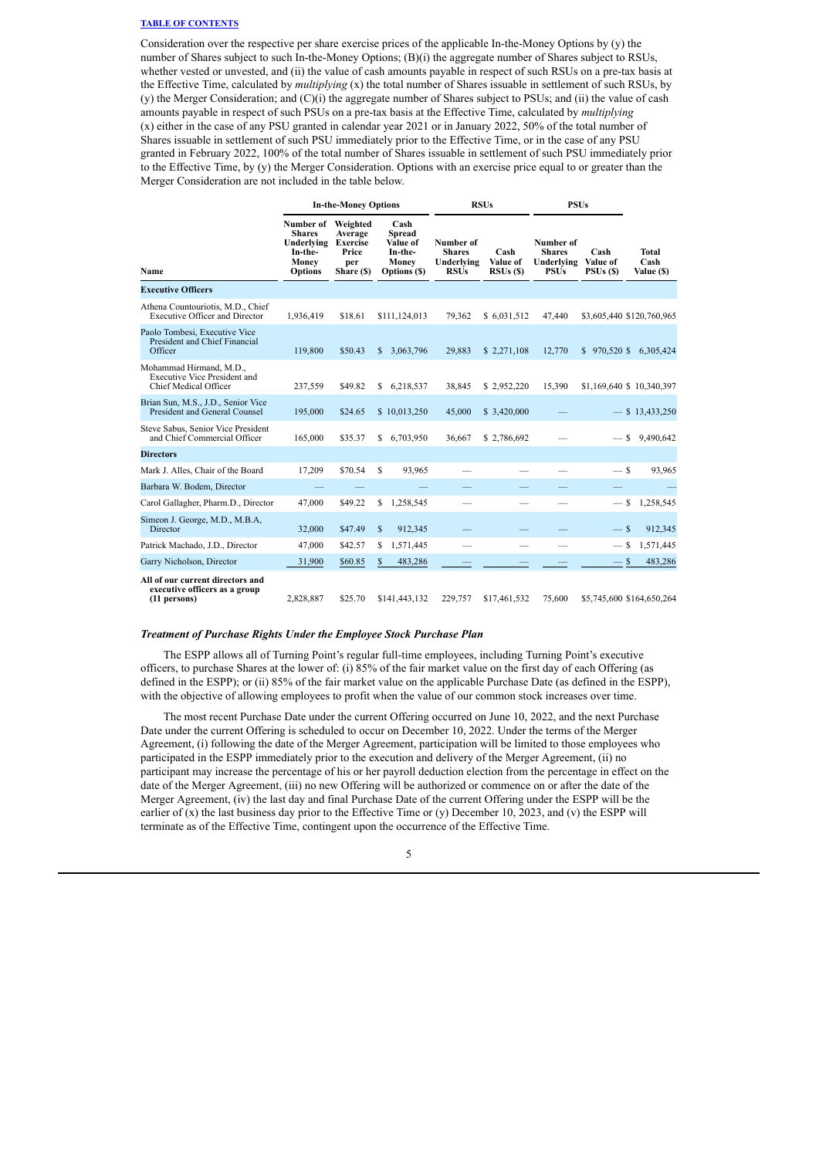Consideration over the respective per share exercise prices of the applicable In-the-Money Options by (y) the number of Shares subject to such In-the-Money Options; (B)(i) the aggregate number of Shares subject to RSUs, whether vested or unvested, and (ii) the value of cash amounts payable in respect of such RSUs on a pre-tax basis at the Effective Time, calculated by *multiplying* (x) the total number of Shares issuable in settlement of such RSUs, by (y) the Merger Consideration; and (C)(i) the aggregate number of Shares subject to PSUs; and (ii) the value of cash amounts payable in respect of such PSUs on a pre-tax basis at the Effective Time, calculated by *multiplying* (x) either in the case of any PSU granted in calendar year 2021 or in January 2022, 50% of the total number of Shares issuable in settlement of such PSU immediately prior to the Effective Time, or in the case of any PSU granted in February 2022, 100% of the total number of Shares issuable in settlement of such PSU immediately prior to the Effective Time, by (y) the Merger Consideration. Options with an exercise price equal to or greater than the Merger Consideration are not included in the table below.

|                                                                                         |                                                                                                | <b>In-the-Money Options</b>                       |                                                                       |                                                         | <b>RSUs</b>               | <b>PSUs</b>                                             |                              |                                    |
|-----------------------------------------------------------------------------------------|------------------------------------------------------------------------------------------------|---------------------------------------------------|-----------------------------------------------------------------------|---------------------------------------------------------|---------------------------|---------------------------------------------------------|------------------------------|------------------------------------|
| Name                                                                                    | Number of<br><b>Shares</b><br><b>Underlying Exercise</b><br>In-the-<br>Money<br><b>Options</b> | Weighted<br>Average<br>Price<br>per<br>Share (\$) | Cash<br><b>Spread</b><br>Value of<br>In-the-<br>Money<br>Options (\$) | Number of<br><b>Shares</b><br>Underlying<br><b>RSUs</b> | Cash<br>Value of<br>RSUs( | Number of<br><b>Shares</b><br>Underlying<br><b>PSUs</b> | Cash<br>Value of<br>PSUs(\$) | <b>Total</b><br>Cash<br>Value (\$) |
| <b>Executive Officers</b>                                                               |                                                                                                |                                                   |                                                                       |                                                         |                           |                                                         |                              |                                    |
| Athena Countouriotis, M.D., Chief<br><b>Executive Officer and Director</b>              | 1,936,419                                                                                      | \$18.61                                           | \$111,124,013                                                         | 79,362                                                  | \$6,031,512               | 47,440                                                  |                              | \$3,605,440 \$120,760,965          |
| Paolo Tombesi, Executive Vice<br>President and Chief Financial<br>Officer               | 119,800                                                                                        | \$50.43                                           | \$3,063,796                                                           | 29,883                                                  | \$2,271,108               | 12,770                                                  | $$970,520$ \$                | 6,305,424                          |
| Mohammad Hirmand, M.D.,<br><b>Executive Vice President and</b><br>Chief Medical Officer | 237,559                                                                                        | \$49.82                                           | 6,218,537<br>s                                                        | 38,845                                                  | \$2,952,220               | 15,390                                                  |                              | \$1,169,640 \$10,340,397           |
| Brian Sun, M.S., J.D., Senior Vice<br>President and General Counsel                     | 195,000                                                                                        | \$24.65                                           | \$10,013,250                                                          | 45,000                                                  | \$3,420,000               |                                                         |                              | $-$ \$ 13,433,250                  |
| Steve Sabus, Senior Vice President<br>and Chief Commercial Officer                      | 165,000                                                                                        | \$35.37                                           | 6,703,950<br>\$                                                       | 36,667                                                  | \$2,786,692               |                                                         | $-$ \$                       | 9,490,642                          |
| <b>Directors</b>                                                                        |                                                                                                |                                                   |                                                                       |                                                         |                           |                                                         |                              |                                    |
| Mark J. Alles, Chair of the Board                                                       | 17,209                                                                                         | \$70.54                                           | S<br>93,965                                                           |                                                         |                           |                                                         | $-$ \$                       | 93,965                             |
| Barbara W. Bodem, Director                                                              |                                                                                                |                                                   |                                                                       |                                                         |                           |                                                         |                              |                                    |
| Carol Gallagher, Pharm.D., Director                                                     | 47,000                                                                                         | \$49.22                                           | S<br>1,258,545                                                        |                                                         |                           |                                                         | $-$ \$                       | 1,258,545                          |
| Simeon J. George, M.D., M.B.A,<br>Director                                              | 32,000                                                                                         | \$47.49                                           | \$<br>912,345                                                         |                                                         |                           |                                                         | $-$ \$                       | 912,345                            |
| Patrick Machado, J.D., Director                                                         | 47,000                                                                                         | \$42.57                                           | 1,571,445<br>S                                                        |                                                         |                           |                                                         | $-$ \$                       | 1,571,445                          |
| Garry Nicholson, Director                                                               | 31,900                                                                                         | \$60.85                                           | 483,286<br>S                                                          |                                                         |                           |                                                         |                              | 483,286<br>\$                      |
| All of our current directors and<br>executive officers as a group<br>(11 persons)       | 2,828,887                                                                                      | \$25.70                                           | \$141,443,132                                                         | 229,757                                                 | \$17,461,532              | 75.600                                                  |                              | \$5,745,600 \$164,650,264          |

#### *Treatment of Purchase Rights Under the Employee Stock Purchase Plan*

The ESPP allows all of Turning Point's regular full-time employees, including Turning Point's executive officers, to purchase Shares at the lower of: (i) 85% of the fair market value on the first day of each Offering (as defined in the ESPP); or (ii) 85% of the fair market value on the applicable Purchase Date (as defined in the ESPP), with the objective of allowing employees to profit when the value of our common stock increases over time.

The most recent Purchase Date under the current Offering occurred on June 10, 2022, and the next Purchase Date under the current Offering is scheduled to occur on December 10, 2022. Under the terms of the Merger Agreement, (i) following the date of the Merger Agreement, participation will be limited to those employees who participated in the ESPP immediately prior to the execution and delivery of the Merger Agreement, (ii) no participant may increase the percentage of his or her payroll deduction election from the percentage in effect on the date of the Merger Agreement, (iii) no new Offering will be authorized or commence on or after the date of the Merger Agreement, (iv) the last day and final Purchase Date of the current Offering under the ESPP will be the earlier of  $(x)$  the last business day prior to the Effective Time or  $(y)$  December 10, 2023, and  $(v)$  the ESPP will terminate as of the Effective Time, contingent upon the occurrence of the Effective Time.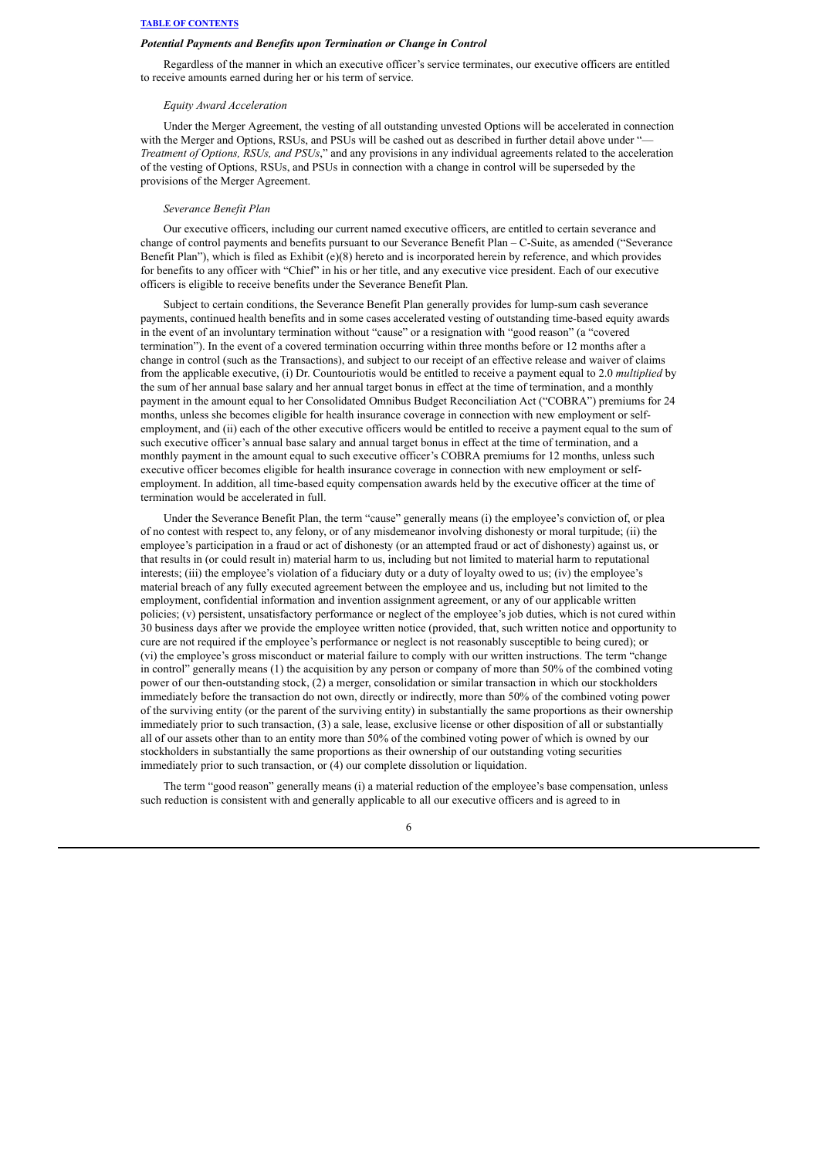#### *Potential Payments and Benefits upon Termination or Change in Control*

Regardless of the manner in which an executive officer's service terminates, our executive officers are entitled to receive amounts earned during her or his term of service.

#### *Equity Award Acceleration*

Under the Merger Agreement, the vesting of all outstanding unvested Options will be accelerated in connection with the Merger and Options, RSUs, and PSUs will be cashed out as described in further detail above under " *Treatment of Options, RSUs, and PSUs*," and any provisions in any individual agreements related to the acceleration of the vesting of Options, RSUs, and PSUs in connection with a change in control will be superseded by the provisions of the Merger Agreement.

#### *Severance Benefit Plan*

Our executive officers, including our current named executive officers, are entitled to certain severance and change of control payments and benefits pursuant to our Severance Benefit Plan – C-Suite, as amended ("Severance Benefit Plan"), which is filed as Exhibit (e)(8) hereto and is incorporated herein by reference, and which provides for benefits to any officer with "Chief" in his or her title, and any executive vice president. Each of our executive officers is eligible to receive benefits under the Severance Benefit Plan.

Subject to certain conditions, the Severance Benefit Plan generally provides for lump-sum cash severance payments, continued health benefits and in some cases accelerated vesting of outstanding time-based equity awards in the event of an involuntary termination without "cause" or a resignation with "good reason" (a "covered termination"). In the event of a covered termination occurring within three months before or 12 months after a change in control (such as the Transactions), and subject to our receipt of an effective release and waiver of claims from the applicable executive, (i) Dr. Countouriotis would be entitled to receive a payment equal to 2.0 *multiplied* by the sum of her annual base salary and her annual target bonus in effect at the time of termination, and a monthly payment in the amount equal to her Consolidated Omnibus Budget Reconciliation Act ("COBRA") premiums for 24 months, unless she becomes eligible for health insurance coverage in connection with new employment or selfemployment, and (ii) each of the other executive officers would be entitled to receive a payment equal to the sum of such executive officer's annual base salary and annual target bonus in effect at the time of termination, and a monthly payment in the amount equal to such executive officer's COBRA premiums for 12 months, unless such executive officer becomes eligible for health insurance coverage in connection with new employment or selfemployment. In addition, all time-based equity compensation awards held by the executive officer at the time of termination would be accelerated in full.

Under the Severance Benefit Plan, the term "cause" generally means (i) the employee's conviction of, or plea of no contest with respect to, any felony, or of any misdemeanor involving dishonesty or moral turpitude; (ii) the employee's participation in a fraud or act of dishonesty (or an attempted fraud or act of dishonesty) against us, or that results in (or could result in) material harm to us, including but not limited to material harm to reputational interests; (iii) the employee's violation of a fiduciary duty or a duty of loyalty owed to us; (iv) the employee's material breach of any fully executed agreement between the employee and us, including but not limited to the employment, confidential information and invention assignment agreement, or any of our applicable written policies; (v) persistent, unsatisfactory performance or neglect of the employee's job duties, which is not cured within 30 business days after we provide the employee written notice (provided, that, such written notice and opportunity to cure are not required if the employee's performance or neglect is not reasonably susceptible to being cured); or (vi) the employee's gross misconduct or material failure to comply with our written instructions. The term "change in control" generally means (1) the acquisition by any person or company of more than 50% of the combined voting power of our then-outstanding stock, (2) a merger, consolidation or similar transaction in which our stockholders immediately before the transaction do not own, directly or indirectly, more than 50% of the combined voting power of the surviving entity (or the parent of the surviving entity) in substantially the same proportions as their ownership immediately prior to such transaction, (3) a sale, lease, exclusive license or other disposition of all or substantially all of our assets other than to an entity more than 50% of the combined voting power of which is owned by our stockholders in substantially the same proportions as their ownership of our outstanding voting securities immediately prior to such transaction, or (4) our complete dissolution or liquidation.

The term "good reason" generally means (i) a material reduction of the employee's base compensation, unless such reduction is consistent with and generally applicable to all our executive officers and is agreed to in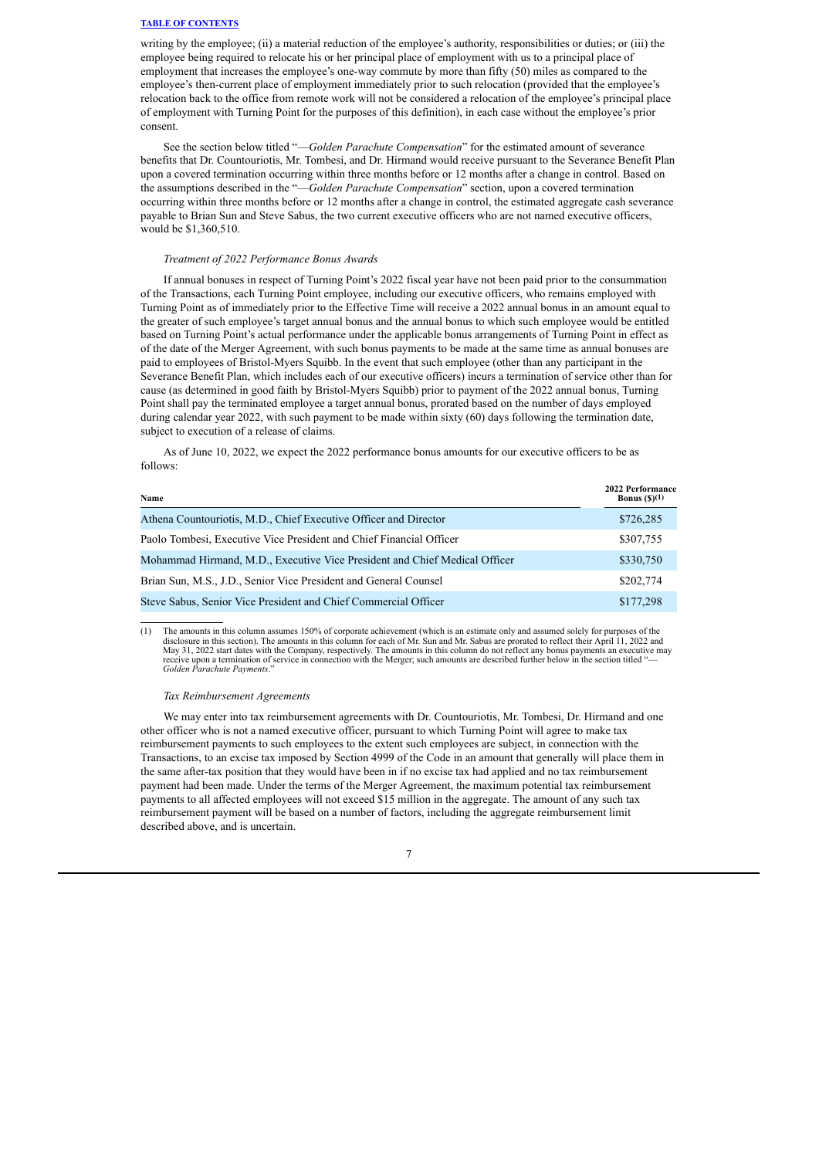writing by the employee; (ii) a material reduction of the employee's authority, responsibilities or duties; or (iii) the employee being required to relocate his or her principal place of employment with us to a principal place of employment that increases the employee's one-way commute by more than fifty (50) miles as compared to the employee's then-current place of employment immediately prior to such relocation (provided that the employee's relocation back to the office from remote work will not be considered a relocation of the employee's principal place of employment with Turning Point for the purposes of this definition), in each case without the employee's prior consent.

See the section below titled "—*Golden Parachute Compensation*" for the estimated amount of severance benefits that Dr. Countouriotis, Mr. Tombesi, and Dr. Hirmand would receive pursuant to the Severance Benefit Plan upon a covered termination occurring within three months before or 12 months after a change in control. Based on the assumptions described in the "—*Golden Parachute Compensation*" section, upon a covered termination occurring within three months before or 12 months after a change in control, the estimated aggregate cash severance payable to Brian Sun and Steve Sabus, the two current executive officers who are not named executive officers, would be \$1,360,510.

#### *Treatment of 2022 Performance Bonus Awards*

If annual bonuses in respect of Turning Point's 2022 fiscal year have not been paid prior to the consummation of the Transactions, each Turning Point employee, including our executive officers, who remains employed with Turning Point as of immediately prior to the Effective Time will receive a 2022 annual bonus in an amount equal to the greater of such employee's target annual bonus and the annual bonus to which such employee would be entitled based on Turning Point's actual performance under the applicable bonus arrangements of Turning Point in effect as of the date of the Merger Agreement, with such bonus payments to be made at the same time as annual bonuses are paid to employees of Bristol-Myers Squibb. In the event that such employee (other than any participant in the Severance Benefit Plan, which includes each of our executive officers) incurs a termination of service other than for cause (as determined in good faith by Bristol-Myers Squibb) prior to payment of the 2022 annual bonus, Turning Point shall pay the terminated employee a target annual bonus, prorated based on the number of days employed during calendar year 2022, with such payment to be made within sixty (60) days following the termination date, subject to execution of a release of claims.

As of June 10, 2022, we expect the 2022 performance bonus amounts for our executive officers to be as follows:

| <b>Name</b>                                                                | <b>2022 Performance</b><br>Bonus $(S)(1)$ |
|----------------------------------------------------------------------------|-------------------------------------------|
| Athena Countouriotis, M.D., Chief Executive Officer and Director           | \$726,285                                 |
| Paolo Tombesi, Executive Vice President and Chief Financial Officer        | \$307,755                                 |
| Mohammad Hirmand, M.D., Executive Vice President and Chief Medical Officer | \$330,750                                 |
| Brian Sun, M.S., J.D., Senior Vice President and General Counsel           | \$202,774                                 |
| Steve Sabus, Senior Vice President and Chief Commercial Officer            | \$177,298                                 |

(1) The amounts in this column assumes 150% of corporate achievement (which is an estimate only and assumed solely for purposes of the disclosure in this section). The amounts in this column for each of Mr. Sun and Mr. Sabus are prorated to reflect their April 11, 2022 and May 31, 2022 start dates with the Company, respectively. The amounts in this column do not reflect any bonus payments an executive may<br>receive upon a termination of service in connection with the Merger; such amounts are d *Golden Parachute Payments*."

#### *Tax Reimbursement Agreements*

We may enter into tax reimbursement agreements with Dr. Countouriotis, Mr. Tombesi, Dr. Hirmand and one other officer who is not a named executive officer, pursuant to which Turning Point will agree to make tax reimbursement payments to such employees to the extent such employees are subject, in connection with the Transactions, to an excise tax imposed by Section 4999 of the Code in an amount that generally will place them in the same after-tax position that they would have been in if no excise tax had applied and no tax reimbursement payment had been made. Under the terms of the Merger Agreement, the maximum potential tax reimbursement payments to all affected employees will not exceed \$15 million in the aggregate. The amount of any such tax reimbursement payment will be based on a number of factors, including the aggregate reimbursement limit described above, and is uncertain.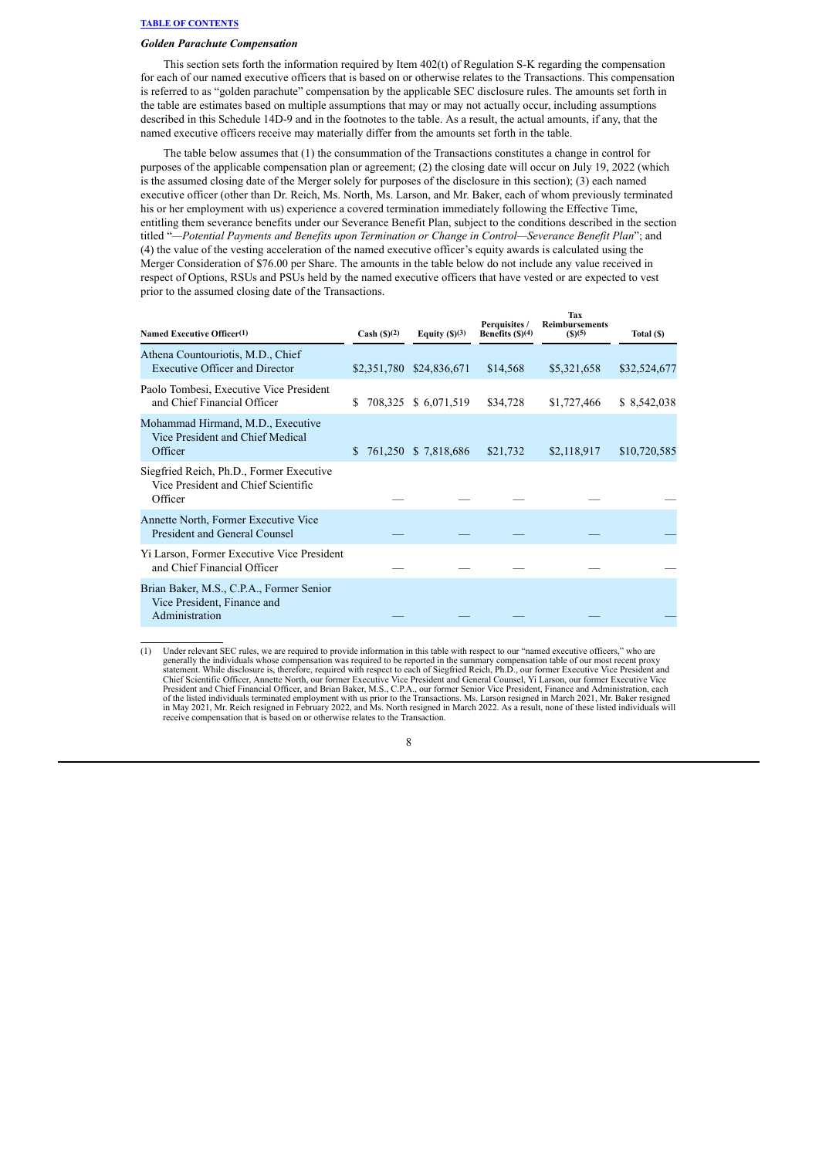#### *Golden Parachute Compensation*

This section sets forth the information required by Item 402(t) of Regulation S-K regarding the compensation for each of our named executive officers that is based on or otherwise relates to the Transactions. This compensation is referred to as "golden parachute" compensation by the applicable SEC disclosure rules. The amounts set forth in the table are estimates based on multiple assumptions that may or may not actually occur, including assumptions described in this Schedule 14D-9 and in the footnotes to the table. As a result, the actual amounts, if any, that the named executive officers receive may materially differ from the amounts set forth in the table.

The table below assumes that (1) the consummation of the Transactions constitutes a change in control for purposes of the applicable compensation plan or agreement; (2) the closing date will occur on July 19, 2022 (which is the assumed closing date of the Merger solely for purposes of the disclosure in this section); (3) each named executive officer (other than Dr. Reich, Ms. North, Ms. Larson, and Mr. Baker, each of whom previously terminated his or her employment with us) experience a covered termination immediately following the Effective Time, entitling them severance benefits under our Severance Benefit Plan, subject to the conditions described in the section titled "*—Potential Payments and Benefits upon Termination or Change in Control—Severance Benefit Plan*"; and (4) the value of the vesting acceleration of the named executive officer's equity awards is calculated using the Merger Consideration of \$76.00 per Share. The amounts in the table below do not include any value received in respect of Options, RSUs and PSUs held by the named executive officers that have vested or are expected to vest prior to the assumed closing date of the Transactions.

| Named Executive Officer <sup>(1)</sup>                                                     | Cash $(S)(2)$  | Equity $(S)(3)$ | Perquisites /<br>Benefits $(S)(4)$ | Tax<br><b>Reimbursements</b><br>(S)(5) | Total (\$)   |
|--------------------------------------------------------------------------------------------|----------------|-----------------|------------------------------------|----------------------------------------|--------------|
| Athena Countouriotis, M.D., Chief<br><b>Executive Officer and Director</b>                 | \$2,351,780    | \$24,836,671    | \$14,568                           | \$5,321,658                            | \$32,524,677 |
| Paolo Tombesi, Executive Vice President<br>and Chief Financial Officer                     | \$<br>708,325  | \$6,071,519     | \$34,728                           | \$1,727,466                            | \$ 8,542,038 |
| Mohammad Hirmand, M.D., Executive<br>Vice President and Chief Medical<br>Officer           | \$.<br>761,250 | \$7,818,686     | \$21,732                           | \$2,118,917                            | \$10,720,585 |
| Siegfried Reich, Ph.D., Former Executive<br>Vice President and Chief Scientific<br>Officer |                |                 |                                    |                                        |              |
| Annette North, Former Executive Vice<br><b>President and General Counsel</b>               |                |                 |                                    |                                        |              |
| Yi Larson, Former Executive Vice President<br>and Chief Financial Officer                  |                |                 |                                    |                                        |              |
| Brian Baker, M.S., C.P.A., Former Senior<br>Vice President, Finance and<br>Administration  |                |                 |                                    |                                        |              |

<sup>(1)</sup> Under relevant SEC rules, we are required to provide information in this table with respect to our "named executive officers," who are generally the individuals whose compensation was required to be reported in the summary compensation table of our most recent proxy<br>statement. While disclosure is, therefore, required with respect to each of Siegfried Reic receive compensation that is based on or otherwise relates to the Transaction.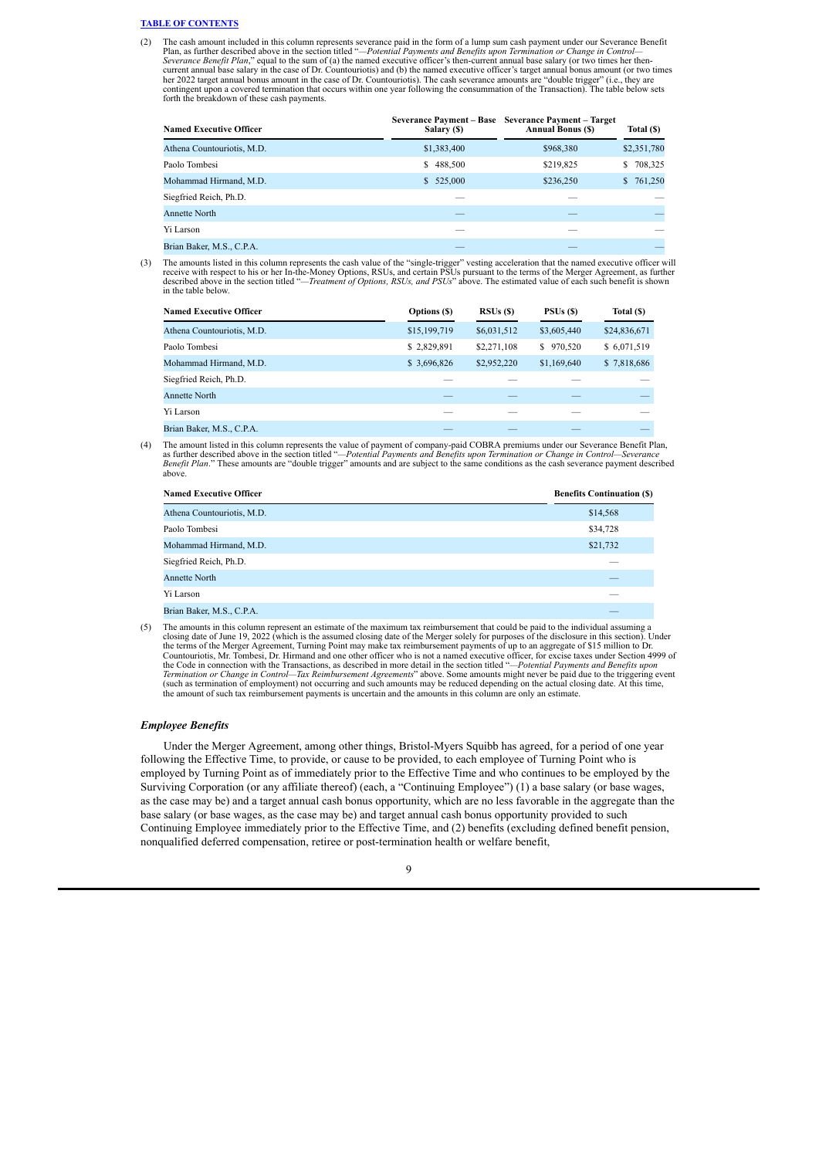(2) The cash amount included in this column represents severance paid in the form of a lump sum cash payment under our Severance Benefit<br>Plan, as further described above in the section titled "—*Potential Payments and Ben* her 2022 target annual bonus amount in the case of Dr. Countouriotis). The cash severance amounts are "double trigger" (i.e., they are<br>contingent upon a covered termination that occurs within one year following the consumm forth the breakdown of these cash payments.

| <b>Named Executive Officer</b> | Salary (S)    | Severance Payment – Base Severance Payment – Target<br><b>Annual Bonus (\$)</b> | Total (\$)    |
|--------------------------------|---------------|---------------------------------------------------------------------------------|---------------|
| Athena Countouriotis, M.D.     | \$1,383,400   | \$968,380                                                                       | \$2,351,780   |
| Paolo Tombesi                  | \$488,500     | \$219,825                                                                       | S.<br>708,325 |
| Mohammad Hirmand, M.D.         | 525,000<br>S. | \$236,250                                                                       | 761,250<br>S. |
| Siegfried Reich, Ph.D.         |               |                                                                                 |               |
| <b>Annette North</b>           |               |                                                                                 |               |
| Yi Larson                      |               |                                                                                 |               |
| Brian Baker, M.S., C.P.A.      |               |                                                                                 |               |

(3) The amounts listed in this column represents the cash value of the "single-trigger" vesting acceleration that the named executive officer will receive with respect to his or her In-the-Money Options, RSUs, and extends in the table below.

| <b>Named Executive Officer</b> | Options (\$) | $RSUs($ S $)$ | PSUs(5)     | Total (\$)   |
|--------------------------------|--------------|---------------|-------------|--------------|
| Athena Countouriotis, M.D.     | \$15,199,719 | \$6,031,512   | \$3,605,440 | \$24,836,671 |
| Paolo Tombesi                  | \$2,829,891  | \$2,271,108   | \$970,520   | \$6,071,519  |
| Mohammad Hirmand, M.D.         | \$3,696,826  | \$2,952,220   | \$1,169,640 | \$7,818,686  |
| Siegfried Reich, Ph.D.         |              |               |             |              |
| <b>Annette North</b>           |              |               |             |              |
| Yi Larson                      |              |               |             |              |
| Brian Baker, M.S., C.P.A.      |              |               |             |              |

(4) The amount listed in this column represents the value of payment of company-paid COBRA premiums under our Severance Benefit Plan, as further described above in the section titled "—Potential Payments and Benefits upon Termination or Change in Control—Severance<br>Benefit Plan." These amounts are "double trigger" amounts and are subject to the same condi above.

| <b>Named Executive Officer</b> | <b>Benefits Continuation (\$)</b> |
|--------------------------------|-----------------------------------|
| Athena Countouriotis, M.D.     | \$14,568                          |
| Paolo Tombesi                  | \$34,728                          |
| Mohammad Hirmand, M.D.         | \$21,732                          |
| Siegfried Reich, Ph.D.         |                                   |
| <b>Annette North</b>           |                                   |
| Yi Larson                      |                                   |
| Brian Baker, M.S., C.P.A.      |                                   |

(5) The amounts in this column represent an estimate of the maximum tax reimbursement that could be paid to the individual assuming a closing date of June 19, 2022 (which is the assumed closing date of the Merger solely for purposes of the disclosure in this section). Under<br>the terms of the Merger Agreement, Turning Point may make tax reimbursement payme the Code in connection with the Transactions, as described in more detail in the section titled "*—Potential Payments and Benefits upon* Termination or Change in Control—Tax Reimbursement Agreements" above. Some amounts might never be paid due to the triggering event<br>(such as termination of employment) not occurring and such amounts may be reduced depending the amount of such tax reimbursement payments is uncertain and the amounts in this column are only an estimate.

#### *Employee Benefits*

Under the Merger Agreement, among other things, Bristol-Myers Squibb has agreed, for a period of one year following the Effective Time, to provide, or cause to be provided, to each employee of Turning Point who is employed by Turning Point as of immediately prior to the Effective Time and who continues to be employed by the Surviving Corporation (or any affiliate thereof) (each, a "Continuing Employee") (1) a base salary (or base wages, as the case may be) and a target annual cash bonus opportunity, which are no less favorable in the aggregate than the base salary (or base wages, as the case may be) and target annual cash bonus opportunity provided to such Continuing Employee immediately prior to the Effective Time, and (2) benefits (excluding defined benefit pension, nonqualified deferred compensation, retiree or post-termination health or welfare benefit,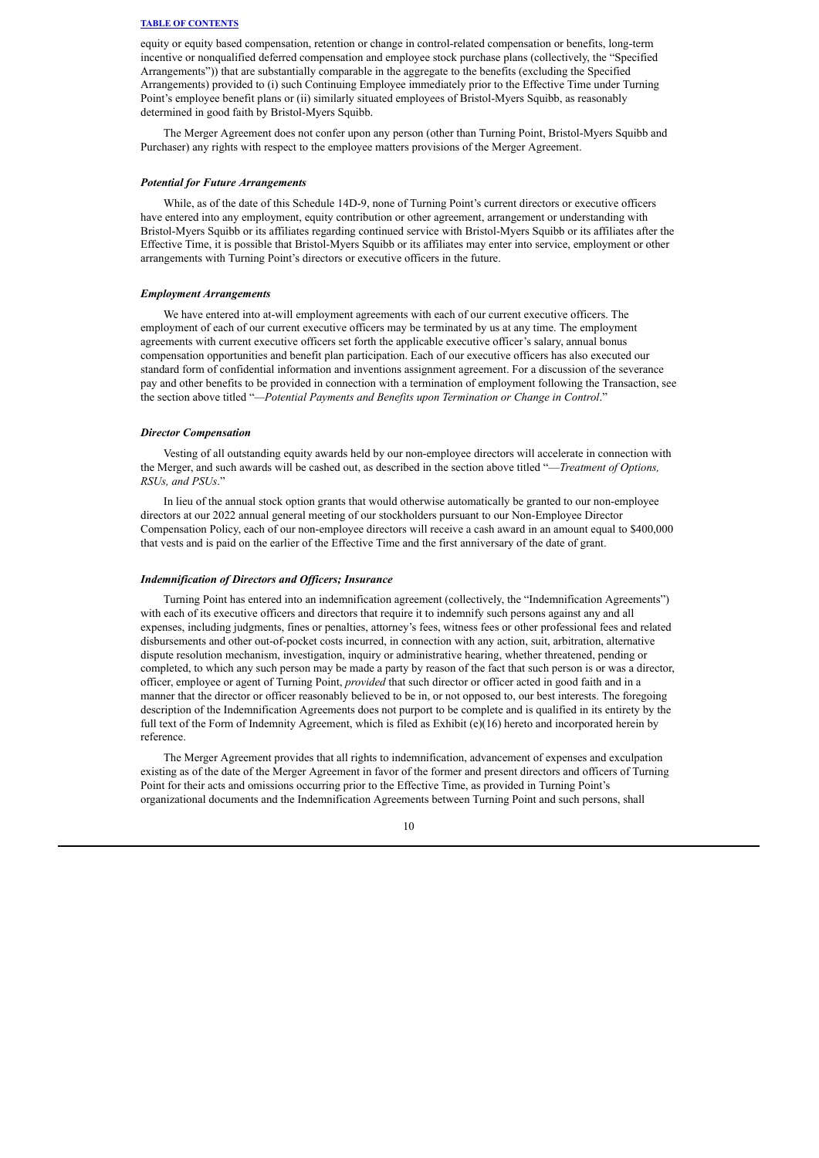equity or equity based compensation, retention or change in control-related compensation or benefits, long-term incentive or nonqualified deferred compensation and employee stock purchase plans (collectively, the "Specified Arrangements")) that are substantially comparable in the aggregate to the benefits (excluding the Specified Arrangements) provided to (i) such Continuing Employee immediately prior to the Effective Time under Turning Point's employee benefit plans or (ii) similarly situated employees of Bristol-Myers Squibb, as reasonably determined in good faith by Bristol-Myers Squibb.

The Merger Agreement does not confer upon any person (other than Turning Point, Bristol-Myers Squibb and Purchaser) any rights with respect to the employee matters provisions of the Merger Agreement.

#### *Potential for Future Arrangements*

While, as of the date of this Schedule 14D-9, none of Turning Point's current directors or executive officers have entered into any employment, equity contribution or other agreement, arrangement or understanding with Bristol-Myers Squibb or its affiliates regarding continued service with Bristol-Myers Squibb or its affiliates after the Effective Time, it is possible that Bristol-Myers Squibb or its affiliates may enter into service, employment or other arrangements with Turning Point's directors or executive officers in the future.

#### *Employment Arrangements*

We have entered into at-will employment agreements with each of our current executive officers. The employment of each of our current executive officers may be terminated by us at any time. The employment agreements with current executive officers set forth the applicable executive officer's salary, annual bonus compensation opportunities and benefit plan participation. Each of our executive officers has also executed our standard form of confidential information and inventions assignment agreement. For a discussion of the severance pay and other benefits to be provided in connection with a termination of employment following the Transaction, see the section above titled "*—Potential Payments and Benefits upon Termination or Change in Control*."

#### *Director Compensation*

Vesting of all outstanding equity awards held by our non-employee directors will accelerate in connection with the Merger, and such awards will be cashed out, as described in the section above titled "—*Treatment of Options, RSUs, and PSUs*."

In lieu of the annual stock option grants that would otherwise automatically be granted to our non-employee directors at our 2022 annual general meeting of our stockholders pursuant to our Non-Employee Director Compensation Policy, each of our non-employee directors will receive a cash award in an amount equal to \$400,000 that vests and is paid on the earlier of the Effective Time and the first anniversary of the date of grant.

#### *Indemnification of Directors and Of icers; Insurance*

Turning Point has entered into an indemnification agreement (collectively, the "Indemnification Agreements") with each of its executive officers and directors that require it to indemnify such persons against any and all expenses, including judgments, fines or penalties, attorney's fees, witness fees or other professional fees and related disbursements and other out-of-pocket costs incurred, in connection with any action, suit, arbitration, alternative dispute resolution mechanism, investigation, inquiry or administrative hearing, whether threatened, pending or completed, to which any such person may be made a party by reason of the fact that such person is or was a director, officer, employee or agent of Turning Point, *provided* that such director or officer acted in good faith and in a manner that the director or officer reasonably believed to be in, or not opposed to, our best interests. The foregoing description of the Indemnification Agreements does not purport to be complete and is qualified in its entirety by the full text of the Form of Indemnity Agreement, which is filed as Exhibit  $(e)(16)$  hereto and incorporated herein by reference.

The Merger Agreement provides that all rights to indemnification, advancement of expenses and exculpation existing as of the date of the Merger Agreement in favor of the former and present directors and officers of Turning Point for their acts and omissions occurring prior to the Effective Time, as provided in Turning Point's organizational documents and the Indemnification Agreements between Turning Point and such persons, shall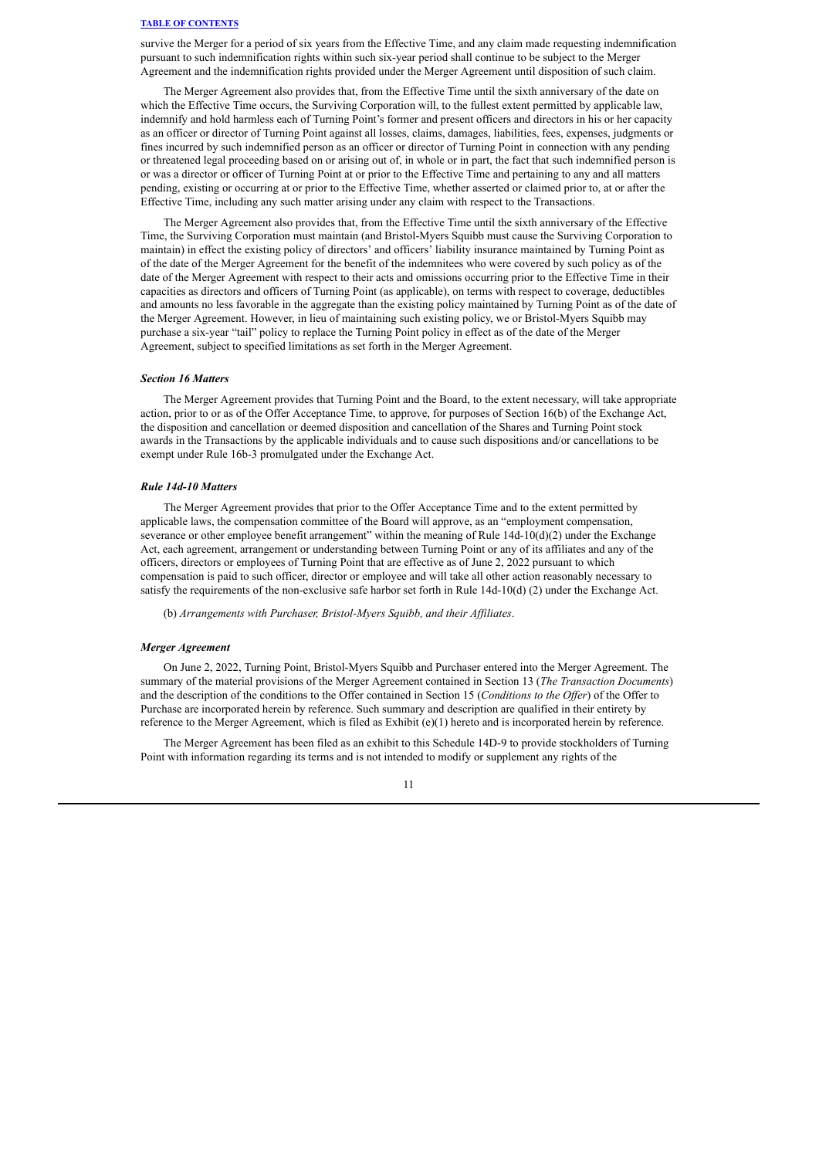survive the Merger for a period of six years from the Effective Time, and any claim made requesting indemnification pursuant to such indemnification rights within such six-year period shall continue to be subject to the Merger Agreement and the indemnification rights provided under the Merger Agreement until disposition of such claim.

The Merger Agreement also provides that, from the Effective Time until the sixth anniversary of the date on which the Effective Time occurs, the Surviving Corporation will, to the fullest extent permitted by applicable law, indemnify and hold harmless each of Turning Point's former and present officers and directors in his or her capacity as an officer or director of Turning Point against all losses, claims, damages, liabilities, fees, expenses, judgments or fines incurred by such indemnified person as an officer or director of Turning Point in connection with any pending or threatened legal proceeding based on or arising out of, in whole or in part, the fact that such indemnified person is or was a director or officer of Turning Point at or prior to the Effective Time and pertaining to any and all matters pending, existing or occurring at or prior to the Effective Time, whether asserted or claimed prior to, at or after the Effective Time, including any such matter arising under any claim with respect to the Transactions.

The Merger Agreement also provides that, from the Effective Time until the sixth anniversary of the Effective Time, the Surviving Corporation must maintain (and Bristol-Myers Squibb must cause the Surviving Corporation to maintain) in effect the existing policy of directors' and officers' liability insurance maintained by Turning Point as of the date of the Merger Agreement for the benefit of the indemnitees who were covered by such policy as of the date of the Merger Agreement with respect to their acts and omissions occurring prior to the Effective Time in their capacities as directors and officers of Turning Point (as applicable), on terms with respect to coverage, deductibles and amounts no less favorable in the aggregate than the existing policy maintained by Turning Point as of the date of the Merger Agreement. However, in lieu of maintaining such existing policy, we or Bristol-Myers Squibb may purchase a six-year "tail" policy to replace the Turning Point policy in effect as of the date of the Merger Agreement, subject to specified limitations as set forth in the Merger Agreement.

#### *Section 16 Matters*

The Merger Agreement provides that Turning Point and the Board, to the extent necessary, will take appropriate action, prior to or as of the Offer Acceptance Time, to approve, for purposes of Section 16(b) of the Exchange Act, the disposition and cancellation or deemed disposition and cancellation of the Shares and Turning Point stock awards in the Transactions by the applicable individuals and to cause such dispositions and/or cancellations to be exempt under Rule 16b-3 promulgated under the Exchange Act.

#### *Rule 14d-10 Matters*

The Merger Agreement provides that prior to the Offer Acceptance Time and to the extent permitted by applicable laws, the compensation committee of the Board will approve, as an "employment compensation, severance or other employee benefit arrangement" within the meaning of Rule 14d-10(d)(2) under the Exchange Act, each agreement, arrangement or understanding between Turning Point or any of its affiliates and any of the officers, directors or employees of Turning Point that are effective as of June 2, 2022 pursuant to which compensation is paid to such officer, director or employee and will take all other action reasonably necessary to satisfy the requirements of the non-exclusive safe harbor set forth in Rule 14d-10(d) (2) under the Exchange Act.

(b) *Arrangements with Purchaser, Bristol-Myers Squibb, and their Af iliates*.

#### *Merger Agreement*

On June 2, 2022, Turning Point, Bristol-Myers Squibb and Purchaser entered into the Merger Agreement. The summary of the material provisions of the Merger Agreement contained in Section 13 (*The Transaction Documents*) and the description of the conditions to the Offer contained in Section 15 (*Conditions to the Offer*) of the Offer to Purchase are incorporated herein by reference. Such summary and description are qualified in their entirety by reference to the Merger Agreement, which is filed as Exhibit (e)(1) hereto and is incorporated herein by reference.

The Merger Agreement has been filed as an exhibit to this Schedule 14D-9 to provide stockholders of Turning Point with information regarding its terms and is not intended to modify or supplement any rights of the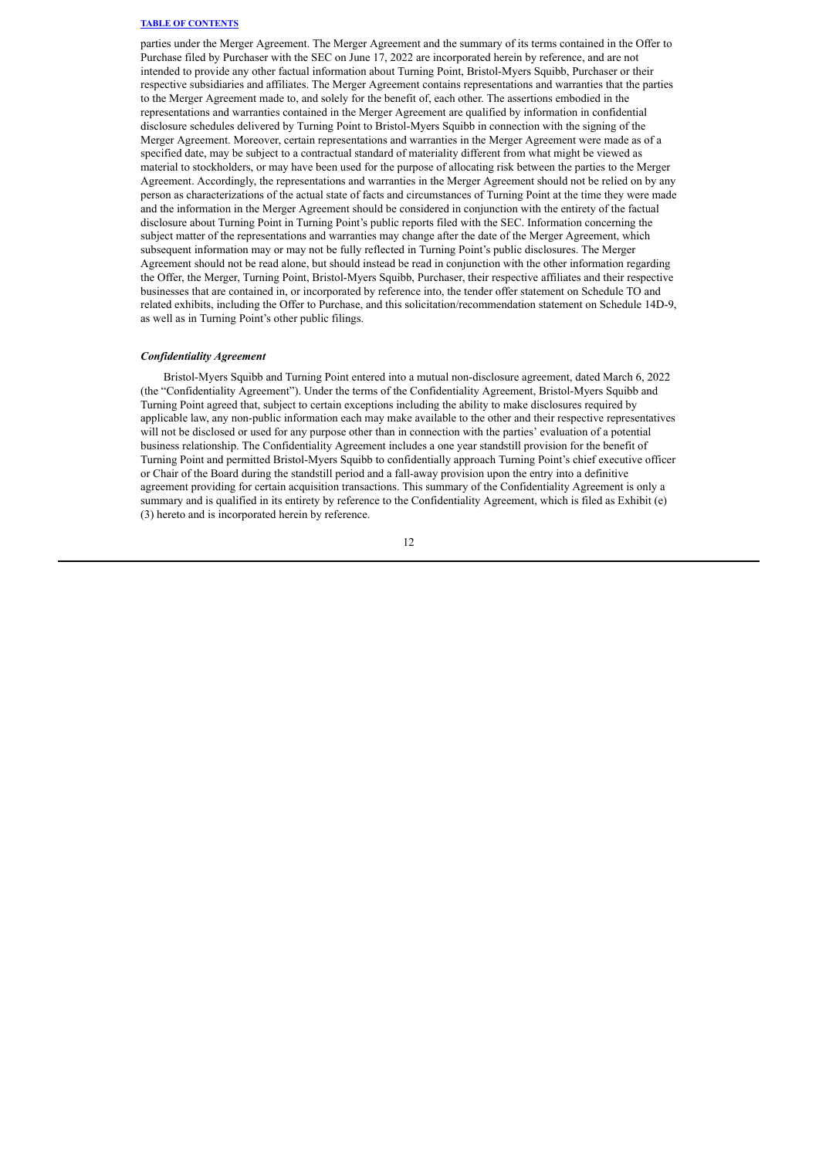parties under the Merger Agreement. The Merger Agreement and the summary of its terms contained in the Offer to Purchase filed by Purchaser with the SEC on June 17, 2022 are incorporated herein by reference, and are not intended to provide any other factual information about Turning Point, Bristol-Myers Squibb, Purchaser or their respective subsidiaries and affiliates. The Merger Agreement contains representations and warranties that the parties to the Merger Agreement made to, and solely for the benefit of, each other. The assertions embodied in the representations and warranties contained in the Merger Agreement are qualified by information in confidential disclosure schedules delivered by Turning Point to Bristol-Myers Squibb in connection with the signing of the Merger Agreement. Moreover, certain representations and warranties in the Merger Agreement were made as of a specified date, may be subject to a contractual standard of materiality different from what might be viewed as material to stockholders, or may have been used for the purpose of allocating risk between the parties to the Merger Agreement. Accordingly, the representations and warranties in the Merger Agreement should not be relied on by any person as characterizations of the actual state of facts and circumstances of Turning Point at the time they were made and the information in the Merger Agreement should be considered in conjunction with the entirety of the factual disclosure about Turning Point in Turning Point's public reports filed with the SEC. Information concerning the subject matter of the representations and warranties may change after the date of the Merger Agreement, which subsequent information may or may not be fully reflected in Turning Point's public disclosures. The Merger Agreement should not be read alone, but should instead be read in conjunction with the other information regarding the Offer, the Merger, Turning Point, Bristol-Myers Squibb, Purchaser, their respective affiliates and their respective businesses that are contained in, or incorporated by reference into, the tender offer statement on Schedule TO and related exhibits, including the Offer to Purchase, and this solicitation/recommendation statement on Schedule 14D-9, as well as in Turning Point's other public filings.

#### *Confidentiality Agreement*

Bristol-Myers Squibb and Turning Point entered into a mutual non-disclosure agreement, dated March 6, 2022 (the "Confidentiality Agreement"). Under the terms of the Confidentiality Agreement, Bristol-Myers Squibb and Turning Point agreed that, subject to certain exceptions including the ability to make disclosures required by applicable law, any non-public information each may make available to the other and their respective representatives will not be disclosed or used for any purpose other than in connection with the parties' evaluation of a potential business relationship. The Confidentiality Agreement includes a one year standstill provision for the benefit of Turning Point and permitted Bristol-Myers Squibb to confidentially approach Turning Point's chief executive officer or Chair of the Board during the standstill period and a fall-away provision upon the entry into a definitive agreement providing for certain acquisition transactions. This summary of the Confidentiality Agreement is only a summary and is qualified in its entirety by reference to the Confidentiality Agreement, which is filed as Exhibit (e) (3) hereto and is incorporated herein by reference.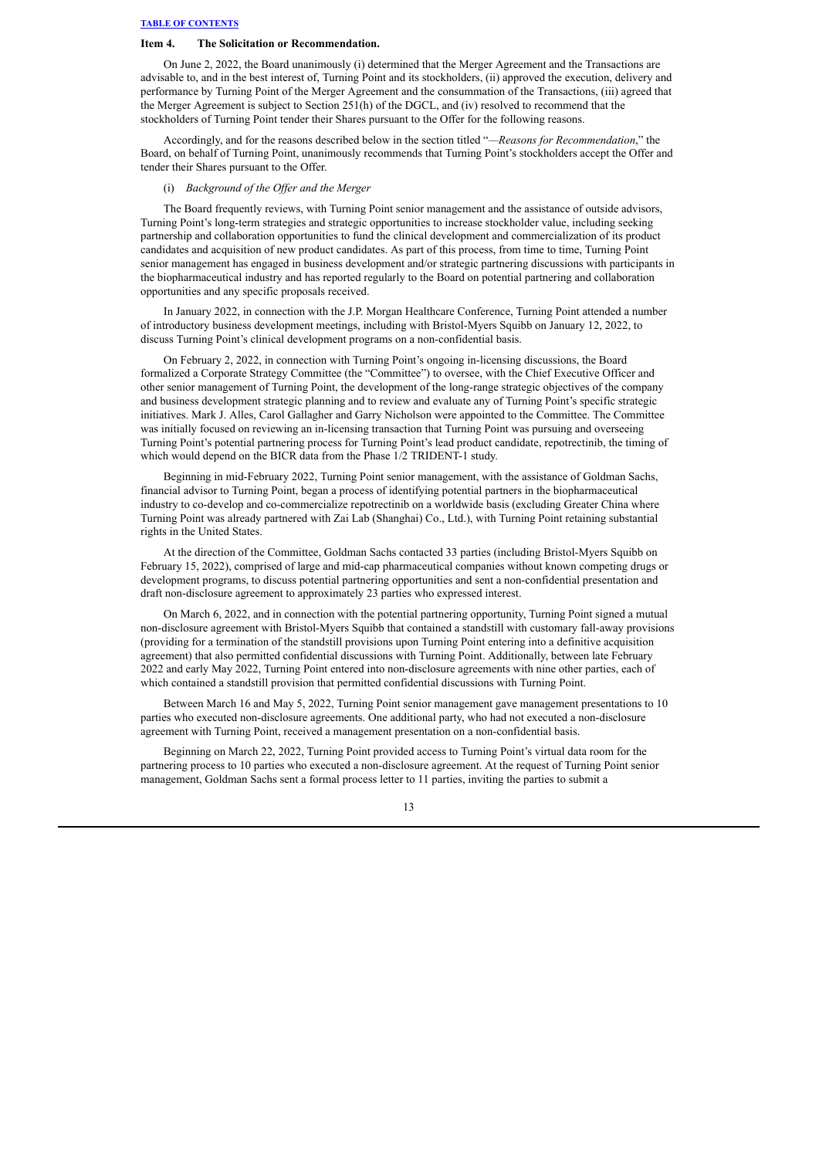#### <span id="page-14-0"></span>**Item 4. The Solicitation or Recommendation.**

On June 2, 2022, the Board unanimously (i) determined that the Merger Agreement and the Transactions are advisable to, and in the best interest of, Turning Point and its stockholders, (ii) approved the execution, delivery and performance by Turning Point of the Merger Agreement and the consummation of the Transactions, (iii) agreed that the Merger Agreement is subject to Section 251(h) of the DGCL, and (iv) resolved to recommend that the stockholders of Turning Point tender their Shares pursuant to the Offer for the following reasons.

Accordingly, and for the reasons described below in the section titled "*—Reasons for Recommendation*," the Board, on behalf of Turning Point, unanimously recommends that Turning Point's stockholders accept the Offer and tender their Shares pursuant to the Offer.

#### (i) *Background of the Of er and the Merger*

The Board frequently reviews, with Turning Point senior management and the assistance of outside advisors, Turning Point's long-term strategies and strategic opportunities to increase stockholder value, including seeking partnership and collaboration opportunities to fund the clinical development and commercialization of its product candidates and acquisition of new product candidates. As part of this process, from time to time, Turning Point senior management has engaged in business development and/or strategic partnering discussions with participants in the biopharmaceutical industry and has reported regularly to the Board on potential partnering and collaboration opportunities and any specific proposals received.

In January 2022, in connection with the J.P. Morgan Healthcare Conference, Turning Point attended a number of introductory business development meetings, including with Bristol-Myers Squibb on January 12, 2022, to discuss Turning Point's clinical development programs on a non-confidential basis.

On February 2, 2022, in connection with Turning Point's ongoing in-licensing discussions, the Board formalized a Corporate Strategy Committee (the "Committee") to oversee, with the Chief Executive Officer and other senior management of Turning Point, the development of the long-range strategic objectives of the company and business development strategic planning and to review and evaluate any of Turning Point's specific strategic initiatives. Mark J. Alles, Carol Gallagher and Garry Nicholson were appointed to the Committee. The Committee was initially focused on reviewing an in-licensing transaction that Turning Point was pursuing and overseeing Turning Point's potential partnering process for Turning Point's lead product candidate, repotrectinib, the timing of which would depend on the BICR data from the Phase 1/2 TRIDENT-1 study.

Beginning in mid-February 2022, Turning Point senior management, with the assistance of Goldman Sachs, financial advisor to Turning Point, began a process of identifying potential partners in the biopharmaceutical industry to co-develop and co-commercialize repotrectinib on a worldwide basis (excluding Greater China where Turning Point was already partnered with Zai Lab (Shanghai) Co., Ltd.), with Turning Point retaining substantial rights in the United States.

At the direction of the Committee, Goldman Sachs contacted 33 parties (including Bristol-Myers Squibb on February 15, 2022), comprised of large and mid-cap pharmaceutical companies without known competing drugs or development programs, to discuss potential partnering opportunities and sent a non-confidential presentation and draft non-disclosure agreement to approximately 23 parties who expressed interest.

On March 6, 2022, and in connection with the potential partnering opportunity, Turning Point signed a mutual non-disclosure agreement with Bristol-Myers Squibb that contained a standstill with customary fall-away provisions (providing for a termination of the standstill provisions upon Turning Point entering into a definitive acquisition agreement) that also permitted confidential discussions with Turning Point. Additionally, between late February 2022 and early May 2022, Turning Point entered into non-disclosure agreements with nine other parties, each of which contained a standstill provision that permitted confidential discussions with Turning Point.

Between March 16 and May 5, 2022, Turning Point senior management gave management presentations to 10 parties who executed non-disclosure agreements. One additional party, who had not executed a non-disclosure agreement with Turning Point, received a management presentation on a non-confidential basis.

Beginning on March 22, 2022, Turning Point provided access to Turning Point's virtual data room for the partnering process to 10 parties who executed a non-disclosure agreement. At the request of Turning Point senior management, Goldman Sachs sent a formal process letter to 11 parties, inviting the parties to submit a

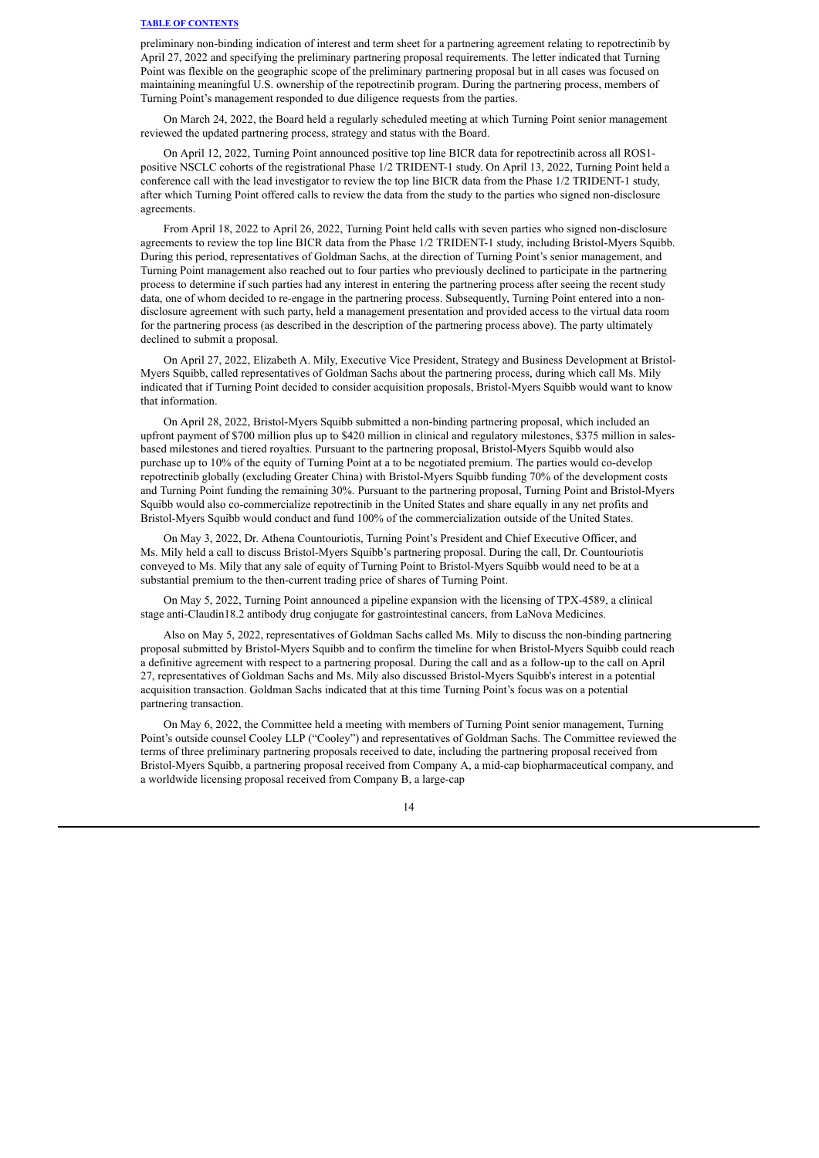preliminary non-binding indication of interest and term sheet for a partnering agreement relating to repotrectinib by April 27, 2022 and specifying the preliminary partnering proposal requirements. The letter indicated that Turning Point was flexible on the geographic scope of the preliminary partnering proposal but in all cases was focused on maintaining meaningful U.S. ownership of the repotrectinib program. During the partnering process, members of Turning Point's management responded to due diligence requests from the parties.

On March 24, 2022, the Board held a regularly scheduled meeting at which Turning Point senior management reviewed the updated partnering process, strategy and status with the Board.

On April 12, 2022, Turning Point announced positive top line BICR data for repotrectinib across all ROS1 positive NSCLC cohorts of the registrational Phase 1/2 TRIDENT-1 study. On April 13, 2022, Turning Point held a conference call with the lead investigator to review the top line BICR data from the Phase 1/2 TRIDENT-1 study, after which Turning Point offered calls to review the data from the study to the parties who signed non-disclosure agreements.

From April 18, 2022 to April 26, 2022, Turning Point held calls with seven parties who signed non-disclosure agreements to review the top line BICR data from the Phase 1/2 TRIDENT-1 study, including Bristol-Myers Squibb. During this period, representatives of Goldman Sachs, at the direction of Turning Point's senior management, and Turning Point management also reached out to four parties who previously declined to participate in the partnering process to determine if such parties had any interest in entering the partnering process after seeing the recent study data, one of whom decided to re-engage in the partnering process. Subsequently, Turning Point entered into a nondisclosure agreement with such party, held a management presentation and provided access to the virtual data room for the partnering process (as described in the description of the partnering process above). The party ultimately declined to submit a proposal.

On April 27, 2022, Elizabeth A. Mily, Executive Vice President, Strategy and Business Development at Bristol-Myers Squibb, called representatives of Goldman Sachs about the partnering process, during which call Ms. Mily indicated that if Turning Point decided to consider acquisition proposals, Bristol-Myers Squibb would want to know that information.

On April 28, 2022, Bristol-Myers Squibb submitted a non-binding partnering proposal, which included an upfront payment of \$700 million plus up to \$420 million in clinical and regulatory milestones, \$375 million in salesbased milestones and tiered royalties. Pursuant to the partnering proposal, Bristol-Myers Squibb would also purchase up to 10% of the equity of Turning Point at a to be negotiated premium. The parties would co-develop repotrectinib globally (excluding Greater China) with Bristol-Myers Squibb funding 70% of the development costs and Turning Point funding the remaining 30%. Pursuant to the partnering proposal, Turning Point and Bristol-Myers Squibb would also co-commercialize repotrectinib in the United States and share equally in any net profits and Bristol-Myers Squibb would conduct and fund 100% of the commercialization outside of the United States.

On May 3, 2022, Dr. Athena Countouriotis, Turning Point's President and Chief Executive Officer, and Ms. Mily held a call to discuss Bristol-Myers Squibb's partnering proposal. During the call, Dr. Countouriotis conveyed to Ms. Mily that any sale of equity of Turning Point to Bristol-Myers Squibb would need to be at a substantial premium to the then-current trading price of shares of Turning Point.

On May 5, 2022, Turning Point announced a pipeline expansion with the licensing of TPX-4589, a clinical stage anti-Claudin18.2 antibody drug conjugate for gastrointestinal cancers, from LaNova Medicines.

Also on May 5, 2022, representatives of Goldman Sachs called Ms. Mily to discuss the non-binding partnering proposal submitted by Bristol-Myers Squibb and to confirm the timeline for when Bristol-Myers Squibb could reach a definitive agreement with respect to a partnering proposal. During the call and as a follow-up to the call on April 27, representatives of Goldman Sachs and Ms. Mily also discussed Bristol-Myers Squibb's interest in a potential acquisition transaction. Goldman Sachs indicated that at this time Turning Point's focus was on a potential partnering transaction.

On May 6, 2022, the Committee held a meeting with members of Turning Point senior management, Turning Point's outside counsel Cooley LLP ("Cooley") and representatives of Goldman Sachs. The Committee reviewed the terms of three preliminary partnering proposals received to date, including the partnering proposal received from Bristol-Myers Squibb, a partnering proposal received from Company A, a mid-cap biopharmaceutical company, and a worldwide licensing proposal received from Company B, a large-cap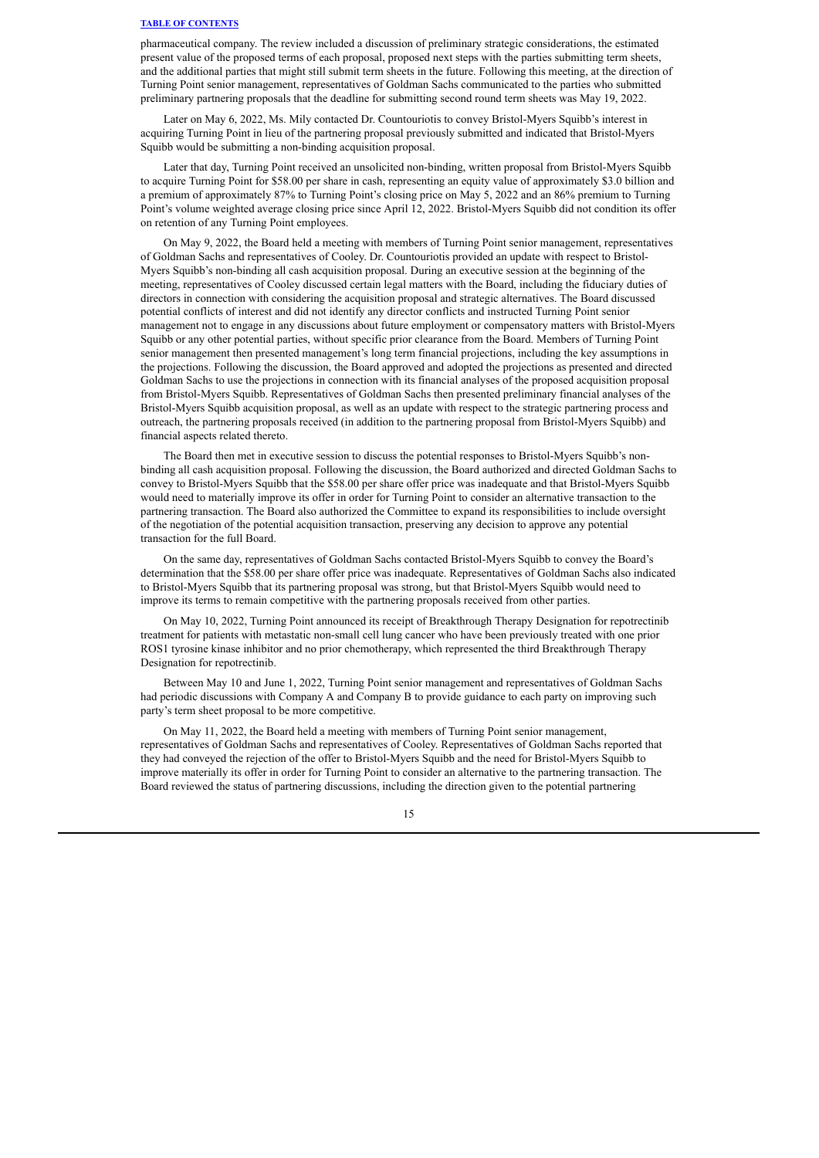pharmaceutical company. The review included a discussion of preliminary strategic considerations, the estimated present value of the proposed terms of each proposal, proposed next steps with the parties submitting term sheets, and the additional parties that might still submit term sheets in the future. Following this meeting, at the direction of Turning Point senior management, representatives of Goldman Sachs communicated to the parties who submitted preliminary partnering proposals that the deadline for submitting second round term sheets was May 19, 2022.

Later on May 6, 2022, Ms. Mily contacted Dr. Countouriotis to convey Bristol-Myers Squibb's interest in acquiring Turning Point in lieu of the partnering proposal previously submitted and indicated that Bristol-Myers Squibb would be submitting a non-binding acquisition proposal.

Later that day, Turning Point received an unsolicited non-binding, written proposal from Bristol-Myers Squibb to acquire Turning Point for \$58.00 per share in cash, representing an equity value of approximately \$3.0 billion and a premium of approximately 87% to Turning Point's closing price on May 5, 2022 and an 86% premium to Turning Point's volume weighted average closing price since April 12, 2022. Bristol-Myers Squibb did not condition its offer on retention of any Turning Point employees.

On May 9, 2022, the Board held a meeting with members of Turning Point senior management, representatives of Goldman Sachs and representatives of Cooley. Dr. Countouriotis provided an update with respect to Bristol-Myers Squibb's non-binding all cash acquisition proposal. During an executive session at the beginning of the meeting, representatives of Cooley discussed certain legal matters with the Board, including the fiduciary duties of directors in connection with considering the acquisition proposal and strategic alternatives. The Board discussed potential conflicts of interest and did not identify any director conflicts and instructed Turning Point senior management not to engage in any discussions about future employment or compensatory matters with Bristol-Myers Squibb or any other potential parties, without specific prior clearance from the Board. Members of Turning Point senior management then presented management's long term financial projections, including the key assumptions in the projections. Following the discussion, the Board approved and adopted the projections as presented and directed Goldman Sachs to use the projections in connection with its financial analyses of the proposed acquisition proposal from Bristol-Myers Squibb. Representatives of Goldman Sachs then presented preliminary financial analyses of the Bristol-Myers Squibb acquisition proposal, as well as an update with respect to the strategic partnering process and outreach, the partnering proposals received (in addition to the partnering proposal from Bristol-Myers Squibb) and financial aspects related thereto.

The Board then met in executive session to discuss the potential responses to Bristol-Myers Squibb's nonbinding all cash acquisition proposal. Following the discussion, the Board authorized and directed Goldman Sachs to convey to Bristol-Myers Squibb that the \$58.00 per share offer price was inadequate and that Bristol-Myers Squibb would need to materially improve its offer in order for Turning Point to consider an alternative transaction to the partnering transaction. The Board also authorized the Committee to expand its responsibilities to include oversight of the negotiation of the potential acquisition transaction, preserving any decision to approve any potential transaction for the full Board.

On the same day, representatives of Goldman Sachs contacted Bristol-Myers Squibb to convey the Board's determination that the \$58.00 per share offer price was inadequate. Representatives of Goldman Sachs also indicated to Bristol-Myers Squibb that its partnering proposal was strong, but that Bristol-Myers Squibb would need to improve its terms to remain competitive with the partnering proposals received from other parties.

On May 10, 2022, Turning Point announced its receipt of Breakthrough Therapy Designation for repotrectinib treatment for patients with metastatic non-small cell lung cancer who have been previously treated with one prior ROS1 tyrosine kinase inhibitor and no prior chemotherapy, which represented the third Breakthrough Therapy Designation for repotrectinib.

Between May 10 and June 1, 2022, Turning Point senior management and representatives of Goldman Sachs had periodic discussions with Company A and Company B to provide guidance to each party on improving such party's term sheet proposal to be more competitive.

On May 11, 2022, the Board held a meeting with members of Turning Point senior management, representatives of Goldman Sachs and representatives of Cooley. Representatives of Goldman Sachs reported that they had conveyed the rejection of the offer to Bristol-Myers Squibb and the need for Bristol-Myers Squibb to improve materially its offer in order for Turning Point to consider an alternative to the partnering transaction. The Board reviewed the status of partnering discussions, including the direction given to the potential partnering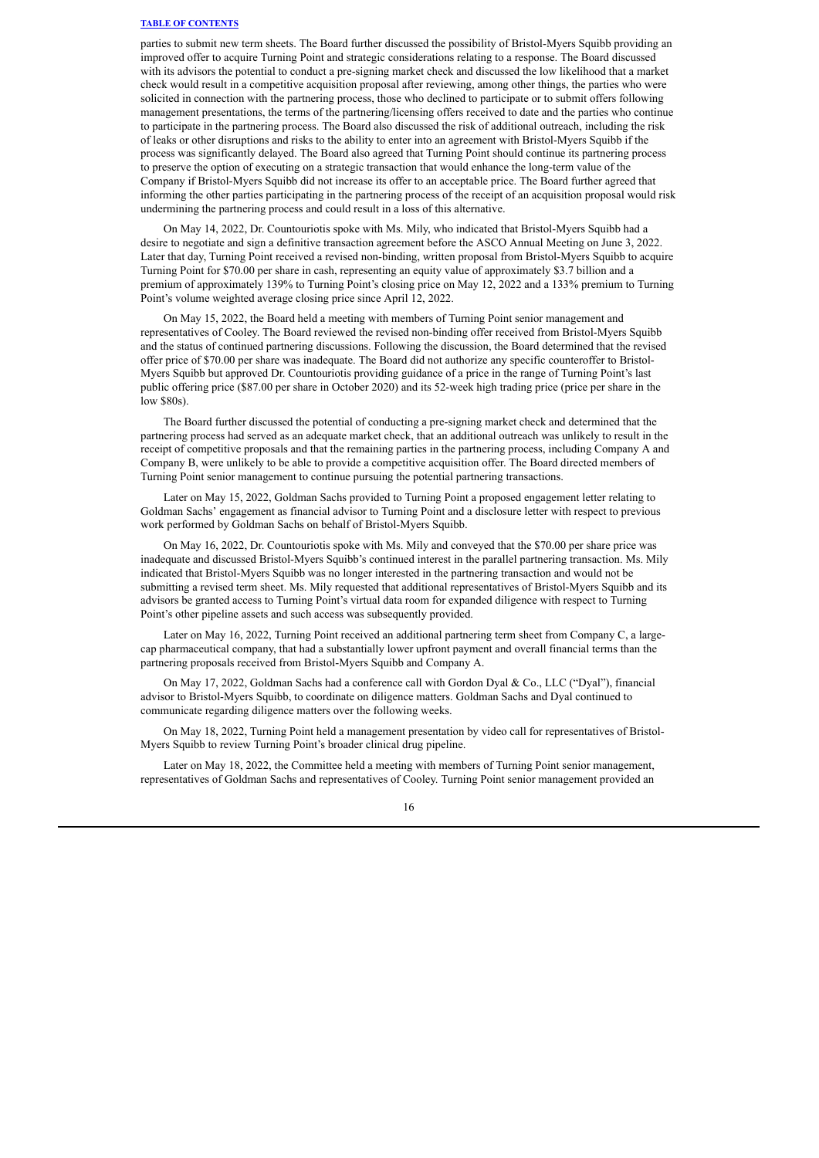parties to submit new term sheets. The Board further discussed the possibility of Bristol-Myers Squibb providing an improved offer to acquire Turning Point and strategic considerations relating to a response. The Board discussed with its advisors the potential to conduct a pre-signing market check and discussed the low likelihood that a market check would result in a competitive acquisition proposal after reviewing, among other things, the parties who were solicited in connection with the partnering process, those who declined to participate or to submit offers following management presentations, the terms of the partnering/licensing offers received to date and the parties who continue to participate in the partnering process. The Board also discussed the risk of additional outreach, including the risk of leaks or other disruptions and risks to the ability to enter into an agreement with Bristol-Myers Squibb if the process was significantly delayed. The Board also agreed that Turning Point should continue its partnering process to preserve the option of executing on a strategic transaction that would enhance the long-term value of the Company if Bristol-Myers Squibb did not increase its offer to an acceptable price. The Board further agreed that informing the other parties participating in the partnering process of the receipt of an acquisition proposal would risk undermining the partnering process and could result in a loss of this alternative.

On May 14, 2022, Dr. Countouriotis spoke with Ms. Mily, who indicated that Bristol-Myers Squibb had a desire to negotiate and sign a definitive transaction agreement before the ASCO Annual Meeting on June 3, 2022. Later that day, Turning Point received a revised non-binding, written proposal from Bristol-Myers Squibb to acquire Turning Point for \$70.00 per share in cash, representing an equity value of approximately \$3.7 billion and a premium of approximately 139% to Turning Point's closing price on May 12, 2022 and a 133% premium to Turning Point's volume weighted average closing price since April 12, 2022.

On May 15, 2022, the Board held a meeting with members of Turning Point senior management and representatives of Cooley. The Board reviewed the revised non-binding offer received from Bristol-Myers Squibb and the status of continued partnering discussions. Following the discussion, the Board determined that the revised offer price of \$70.00 per share was inadequate. The Board did not authorize any specific counteroffer to Bristol-Myers Squibb but approved Dr. Countouriotis providing guidance of a price in the range of Turning Point's last public offering price (\$87.00 per share in October 2020) and its 52-week high trading price (price per share in the low \$80s).

The Board further discussed the potential of conducting a pre-signing market check and determined that the partnering process had served as an adequate market check, that an additional outreach was unlikely to result in the receipt of competitive proposals and that the remaining parties in the partnering process, including Company A and Company B, were unlikely to be able to provide a competitive acquisition offer. The Board directed members of Turning Point senior management to continue pursuing the potential partnering transactions.

Later on May 15, 2022, Goldman Sachs provided to Turning Point a proposed engagement letter relating to Goldman Sachs' engagement as financial advisor to Turning Point and a disclosure letter with respect to previous work performed by Goldman Sachs on behalf of Bristol-Myers Squibb.

On May 16, 2022, Dr. Countouriotis spoke with Ms. Mily and conveyed that the \$70.00 per share price was inadequate and discussed Bristol-Myers Squibb's continued interest in the parallel partnering transaction. Ms. Mily indicated that Bristol-Myers Squibb was no longer interested in the partnering transaction and would not be submitting a revised term sheet. Ms. Mily requested that additional representatives of Bristol-Myers Squibb and its advisors be granted access to Turning Point's virtual data room for expanded diligence with respect to Turning Point's other pipeline assets and such access was subsequently provided.

Later on May 16, 2022, Turning Point received an additional partnering term sheet from Company C, a largecap pharmaceutical company, that had a substantially lower upfront payment and overall financial terms than the partnering proposals received from Bristol-Myers Squibb and Company A.

On May 17, 2022, Goldman Sachs had a conference call with Gordon Dyal & Co., LLC ("Dyal"), financial advisor to Bristol-Myers Squibb, to coordinate on diligence matters. Goldman Sachs and Dyal continued to communicate regarding diligence matters over the following weeks.

On May 18, 2022, Turning Point held a management presentation by video call for representatives of Bristol-Myers Squibb to review Turning Point's broader clinical drug pipeline.

Later on May 18, 2022, the Committee held a meeting with members of Turning Point senior management, representatives of Goldman Sachs and representatives of Cooley. Turning Point senior management provided an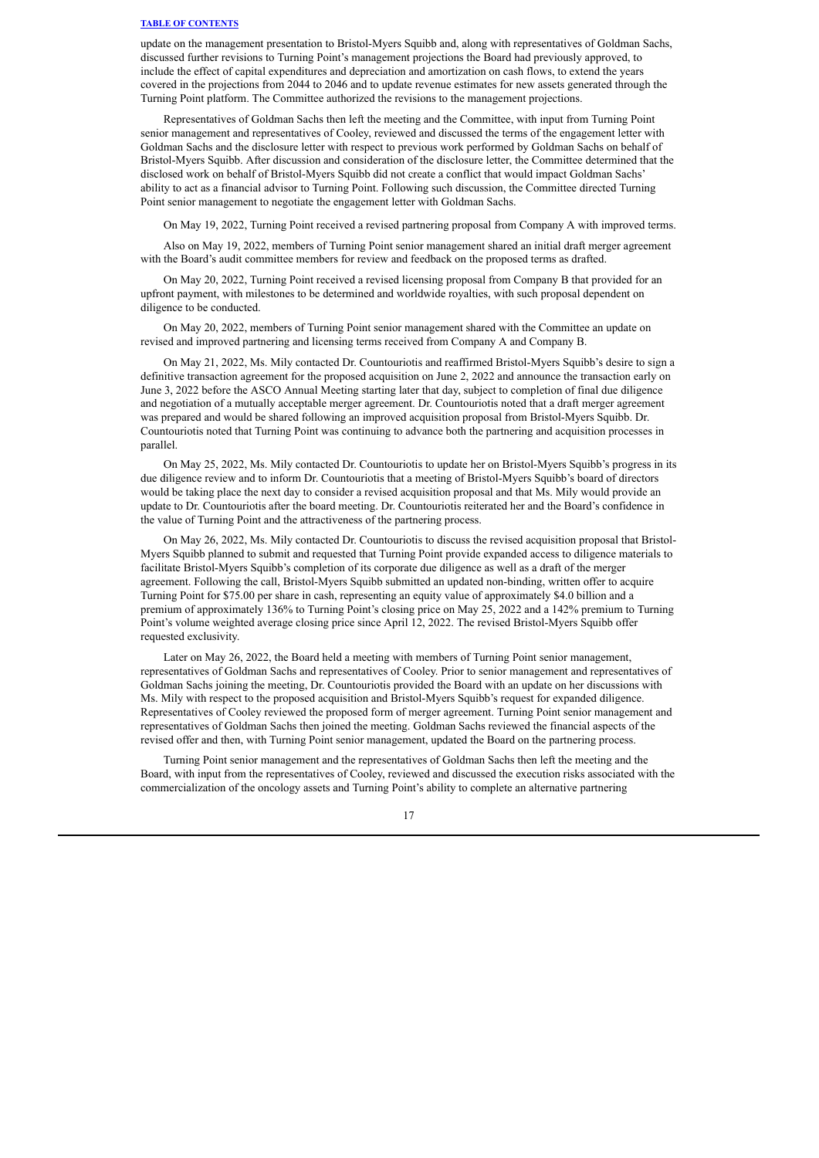update on the management presentation to Bristol-Myers Squibb and, along with representatives of Goldman Sachs, discussed further revisions to Turning Point's management projections the Board had previously approved, to include the effect of capital expenditures and depreciation and amortization on cash flows, to extend the years covered in the projections from 2044 to 2046 and to update revenue estimates for new assets generated through the Turning Point platform. The Committee authorized the revisions to the management projections.

Representatives of Goldman Sachs then left the meeting and the Committee, with input from Turning Point senior management and representatives of Cooley, reviewed and discussed the terms of the engagement letter with Goldman Sachs and the disclosure letter with respect to previous work performed by Goldman Sachs on behalf of Bristol-Myers Squibb. After discussion and consideration of the disclosure letter, the Committee determined that the disclosed work on behalf of Bristol-Myers Squibb did not create a conflict that would impact Goldman Sachs' ability to act as a financial advisor to Turning Point. Following such discussion, the Committee directed Turning Point senior management to negotiate the engagement letter with Goldman Sachs.

On May 19, 2022, Turning Point received a revised partnering proposal from Company A with improved terms.

Also on May 19, 2022, members of Turning Point senior management shared an initial draft merger agreement with the Board's audit committee members for review and feedback on the proposed terms as drafted.

On May 20, 2022, Turning Point received a revised licensing proposal from Company B that provided for an upfront payment, with milestones to be determined and worldwide royalties, with such proposal dependent on diligence to be conducted.

On May 20, 2022, members of Turning Point senior management shared with the Committee an update on revised and improved partnering and licensing terms received from Company A and Company B.

On May 21, 2022, Ms. Mily contacted Dr. Countouriotis and reaffirmed Bristol-Myers Squibb's desire to sign a definitive transaction agreement for the proposed acquisition on June 2, 2022 and announce the transaction early on June 3, 2022 before the ASCO Annual Meeting starting later that day, subject to completion of final due diligence and negotiation of a mutually acceptable merger agreement. Dr. Countouriotis noted that a draft merger agreement was prepared and would be shared following an improved acquisition proposal from Bristol-Myers Squibb. Dr. Countouriotis noted that Turning Point was continuing to advance both the partnering and acquisition processes in parallel.

On May 25, 2022, Ms. Mily contacted Dr. Countouriotis to update her on Bristol-Myers Squibb's progress in its due diligence review and to inform Dr. Countouriotis that a meeting of Bristol-Myers Squibb's board of directors would be taking place the next day to consider a revised acquisition proposal and that Ms. Mily would provide an update to Dr. Countouriotis after the board meeting. Dr. Countouriotis reiterated her and the Board's confidence in the value of Turning Point and the attractiveness of the partnering process.

On May 26, 2022, Ms. Mily contacted Dr. Countouriotis to discuss the revised acquisition proposal that Bristol-Myers Squibb planned to submit and requested that Turning Point provide expanded access to diligence materials to facilitate Bristol-Myers Squibb's completion of its corporate due diligence as well as a draft of the merger agreement. Following the call, Bristol-Myers Squibb submitted an updated non-binding, written offer to acquire Turning Point for \$75.00 per share in cash, representing an equity value of approximately \$4.0 billion and a premium of approximately 136% to Turning Point's closing price on May 25, 2022 and a 142% premium to Turning Point's volume weighted average closing price since April 12, 2022. The revised Bristol-Myers Squibb offer requested exclusivity.

Later on May 26, 2022, the Board held a meeting with members of Turning Point senior management, representatives of Goldman Sachs and representatives of Cooley. Prior to senior management and representatives of Goldman Sachs joining the meeting, Dr. Countouriotis provided the Board with an update on her discussions with Ms. Mily with respect to the proposed acquisition and Bristol-Myers Squibb's request for expanded diligence. Representatives of Cooley reviewed the proposed form of merger agreement. Turning Point senior management and representatives of Goldman Sachs then joined the meeting. Goldman Sachs reviewed the financial aspects of the revised offer and then, with Turning Point senior management, updated the Board on the partnering process.

Turning Point senior management and the representatives of Goldman Sachs then left the meeting and the Board, with input from the representatives of Cooley, reviewed and discussed the execution risks associated with the commercialization of the oncology assets and Turning Point's ability to complete an alternative partnering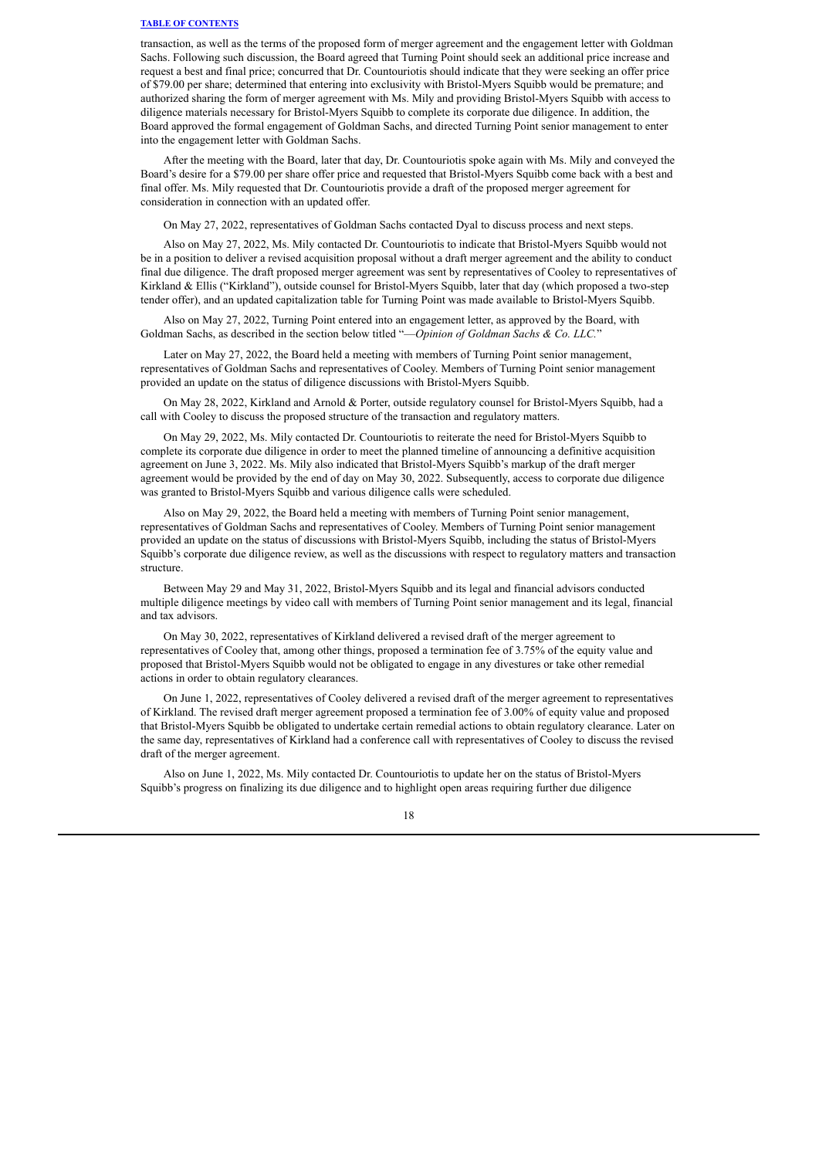transaction, as well as the terms of the proposed form of merger agreement and the engagement letter with Goldman Sachs. Following such discussion, the Board agreed that Turning Point should seek an additional price increase and request a best and final price; concurred that Dr. Countouriotis should indicate that they were seeking an offer price of \$79.00 per share; determined that entering into exclusivity with Bristol-Myers Squibb would be premature; and authorized sharing the form of merger agreement with Ms. Mily and providing Bristol-Myers Squibb with access to diligence materials necessary for Bristol-Myers Squibb to complete its corporate due diligence. In addition, the Board approved the formal engagement of Goldman Sachs, and directed Turning Point senior management to enter into the engagement letter with Goldman Sachs.

After the meeting with the Board, later that day, Dr. Countouriotis spoke again with Ms. Mily and conveyed the Board's desire for a \$79.00 per share offer price and requested that Bristol-Myers Squibb come back with a best and final offer. Ms. Mily requested that Dr. Countouriotis provide a draft of the proposed merger agreement for consideration in connection with an updated offer.

On May 27, 2022, representatives of Goldman Sachs contacted Dyal to discuss process and next steps.

Also on May 27, 2022, Ms. Mily contacted Dr. Countouriotis to indicate that Bristol-Myers Squibb would not be in a position to deliver a revised acquisition proposal without a draft merger agreement and the ability to conduct final due diligence. The draft proposed merger agreement was sent by representatives of Cooley to representatives of Kirkland & Ellis ("Kirkland"), outside counsel for Bristol-Myers Squibb, later that day (which proposed a two-step tender offer), and an updated capitalization table for Turning Point was made available to Bristol-Myers Squibb.

Also on May 27, 2022, Turning Point entered into an engagement letter, as approved by the Board, with Goldman Sachs, as described in the section below titled "—*Opinion of Goldman Sachs & Co. LLC.*"

Later on May 27, 2022, the Board held a meeting with members of Turning Point senior management, representatives of Goldman Sachs and representatives of Cooley. Members of Turning Point senior management provided an update on the status of diligence discussions with Bristol-Myers Squibb.

On May 28, 2022, Kirkland and Arnold & Porter, outside regulatory counsel for Bristol-Myers Squibb, had a call with Cooley to discuss the proposed structure of the transaction and regulatory matters.

On May 29, 2022, Ms. Mily contacted Dr. Countouriotis to reiterate the need for Bristol-Myers Squibb to complete its corporate due diligence in order to meet the planned timeline of announcing a definitive acquisition agreement on June 3, 2022. Ms. Mily also indicated that Bristol-Myers Squibb's markup of the draft merger agreement would be provided by the end of day on May 30, 2022. Subsequently, access to corporate due diligence was granted to Bristol-Myers Squibb and various diligence calls were scheduled.

Also on May 29, 2022, the Board held a meeting with members of Turning Point senior management, representatives of Goldman Sachs and representatives of Cooley. Members of Turning Point senior management provided an update on the status of discussions with Bristol-Myers Squibb, including the status of Bristol-Myers Squibb's corporate due diligence review, as well as the discussions with respect to regulatory matters and transaction structure.

Between May 29 and May 31, 2022, Bristol-Myers Squibb and its legal and financial advisors conducted multiple diligence meetings by video call with members of Turning Point senior management and its legal, financial and tax advisors.

On May 30, 2022, representatives of Kirkland delivered a revised draft of the merger agreement to representatives of Cooley that, among other things, proposed a termination fee of 3.75% of the equity value and proposed that Bristol-Myers Squibb would not be obligated to engage in any divestures or take other remedial actions in order to obtain regulatory clearances.

On June 1, 2022, representatives of Cooley delivered a revised draft of the merger agreement to representatives of Kirkland. The revised draft merger agreement proposed a termination fee of 3.00% of equity value and proposed that Bristol-Myers Squibb be obligated to undertake certain remedial actions to obtain regulatory clearance. Later on the same day, representatives of Kirkland had a conference call with representatives of Cooley to discuss the revised draft of the merger agreement.

Also on June 1, 2022, Ms. Mily contacted Dr. Countouriotis to update her on the status of Bristol-Myers Squibb's progress on finalizing its due diligence and to highlight open areas requiring further due diligence

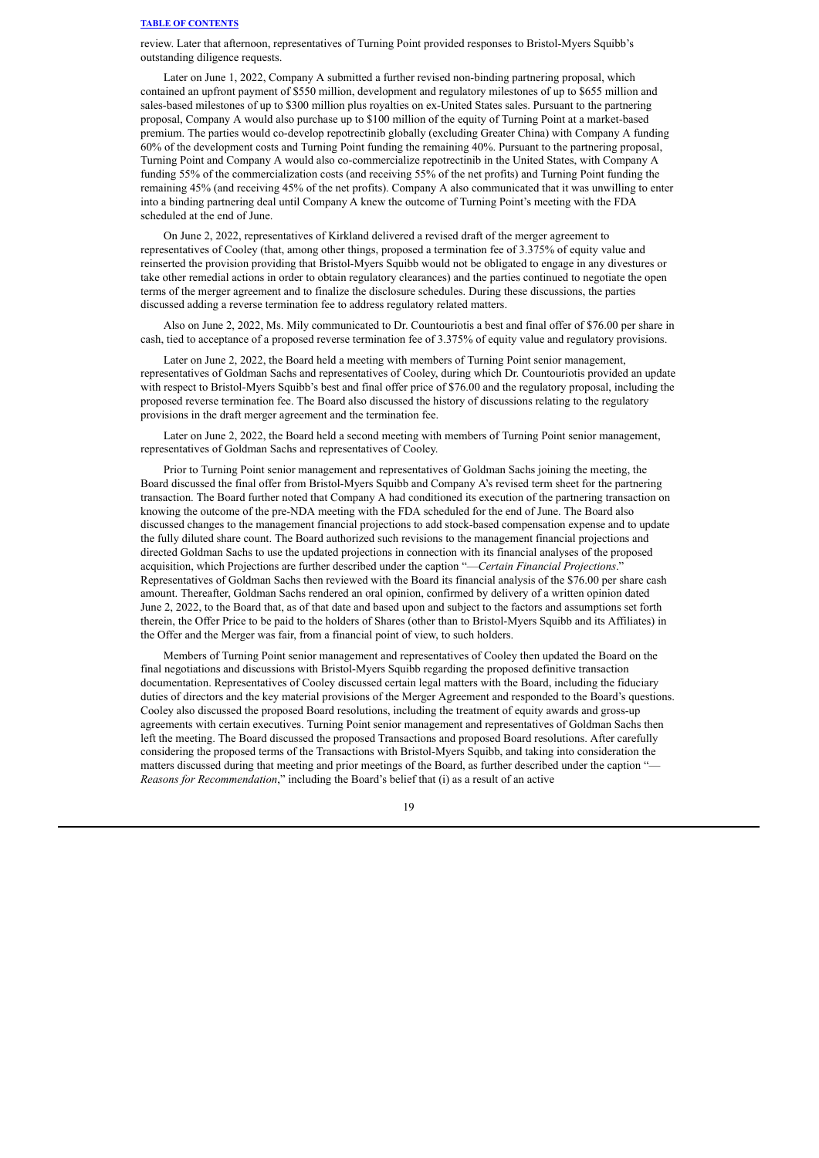review. Later that afternoon, representatives of Turning Point provided responses to Bristol-Myers Squibb's outstanding diligence requests.

Later on June 1, 2022, Company A submitted a further revised non-binding partnering proposal, which contained an upfront payment of \$550 million, development and regulatory milestones of up to \$655 million and sales-based milestones of up to \$300 million plus royalties on ex-United States sales. Pursuant to the partnering proposal, Company A would also purchase up to \$100 million of the equity of Turning Point at a market-based premium. The parties would co-develop repotrectinib globally (excluding Greater China) with Company A funding 60% of the development costs and Turning Point funding the remaining 40%. Pursuant to the partnering proposal, Turning Point and Company A would also co-commercialize repotrectinib in the United States, with Company A funding 55% of the commercialization costs (and receiving 55% of the net profits) and Turning Point funding the remaining 45% (and receiving 45% of the net profits). Company A also communicated that it was unwilling to enter into a binding partnering deal until Company A knew the outcome of Turning Point's meeting with the FDA scheduled at the end of June.

On June 2, 2022, representatives of Kirkland delivered a revised draft of the merger agreement to representatives of Cooley (that, among other things, proposed a termination fee of 3.375% of equity value and reinserted the provision providing that Bristol-Myers Squibb would not be obligated to engage in any divestures or take other remedial actions in order to obtain regulatory clearances) and the parties continued to negotiate the open terms of the merger agreement and to finalize the disclosure schedules. During these discussions, the parties discussed adding a reverse termination fee to address regulatory related matters.

Also on June 2, 2022, Ms. Mily communicated to Dr. Countouriotis a best and final offer of \$76.00 per share in cash, tied to acceptance of a proposed reverse termination fee of 3.375% of equity value and regulatory provisions.

Later on June 2, 2022, the Board held a meeting with members of Turning Point senior management, representatives of Goldman Sachs and representatives of Cooley, during which Dr. Countouriotis provided an update with respect to Bristol-Myers Squibb's best and final offer price of \$76.00 and the regulatory proposal, including the proposed reverse termination fee. The Board also discussed the history of discussions relating to the regulatory provisions in the draft merger agreement and the termination fee.

Later on June 2, 2022, the Board held a second meeting with members of Turning Point senior management, representatives of Goldman Sachs and representatives of Cooley.

Prior to Turning Point senior management and representatives of Goldman Sachs joining the meeting, the Board discussed the final offer from Bristol-Myers Squibb and Company A's revised term sheet for the partnering transaction. The Board further noted that Company A had conditioned its execution of the partnering transaction on knowing the outcome of the pre-NDA meeting with the FDA scheduled for the end of June. The Board also discussed changes to the management financial projections to add stock-based compensation expense and to update the fully diluted share count. The Board authorized such revisions to the management financial projections and directed Goldman Sachs to use the updated projections in connection with its financial analyses of the proposed acquisition, which Projections are further described under the caption "—*Certain Financial Projections*." Representatives of Goldman Sachs then reviewed with the Board its financial analysis of the \$76.00 per share cash amount. Thereafter, Goldman Sachs rendered an oral opinion, confirmed by delivery of a written opinion dated June 2, 2022, to the Board that, as of that date and based upon and subject to the factors and assumptions set forth therein, the Offer Price to be paid to the holders of Shares (other than to Bristol-Myers Squibb and its Affiliates) in the Offer and the Merger was fair, from a financial point of view, to such holders.

Members of Turning Point senior management and representatives of Cooley then updated the Board on the final negotiations and discussions with Bristol-Myers Squibb regarding the proposed definitive transaction documentation. Representatives of Cooley discussed certain legal matters with the Board, including the fiduciary duties of directors and the key material provisions of the Merger Agreement and responded to the Board's questions. Cooley also discussed the proposed Board resolutions, including the treatment of equity awards and gross-up agreements with certain executives. Turning Point senior management and representatives of Goldman Sachs then left the meeting. The Board discussed the proposed Transactions and proposed Board resolutions. After carefully considering the proposed terms of the Transactions with Bristol-Myers Squibb, and taking into consideration the matters discussed during that meeting and prior meetings of the Board, as further described under the caption "— *Reasons for Recommendation*," including the Board's belief that (i) as a result of an active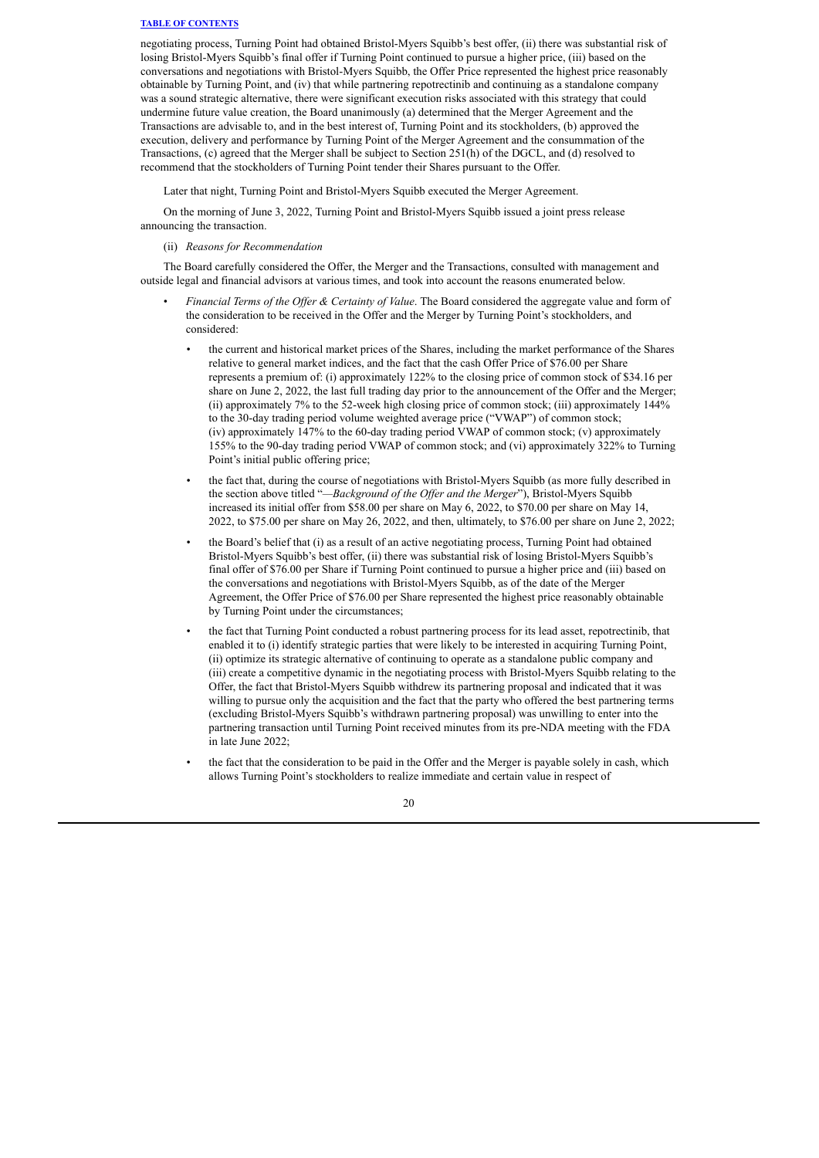negotiating process, Turning Point had obtained Bristol-Myers Squibb's best offer, (ii) there was substantial risk of losing Bristol-Myers Squibb's final offer if Turning Point continued to pursue a higher price, (iii) based on the conversations and negotiations with Bristol-Myers Squibb, the Offer Price represented the highest price reasonably obtainable by Turning Point, and (iv) that while partnering repotrectinib and continuing as a standalone company was a sound strategic alternative, there were significant execution risks associated with this strategy that could undermine future value creation, the Board unanimously (a) determined that the Merger Agreement and the Transactions are advisable to, and in the best interest of, Turning Point and its stockholders, (b) approved the execution, delivery and performance by Turning Point of the Merger Agreement and the consummation of the Transactions, (c) agreed that the Merger shall be subject to Section 251(h) of the DGCL, and (d) resolved to recommend that the stockholders of Turning Point tender their Shares pursuant to the Offer.

Later that night, Turning Point and Bristol-Myers Squibb executed the Merger Agreement.

On the morning of June 3, 2022, Turning Point and Bristol-Myers Squibb issued a joint press release announcing the transaction.

(ii) *Reasons for Recommendation*

The Board carefully considered the Offer, the Merger and the Transactions, consulted with management and outside legal and financial advisors at various times, and took into account the reasons enumerated below.

- *Financial Terms of the Of er & Certainty of Value*. The Board considered the aggregate value and form of the consideration to be received in the Offer and the Merger by Turning Point's stockholders, and considered:
	- the current and historical market prices of the Shares, including the market performance of the Shares relative to general market indices, and the fact that the cash Offer Price of \$76.00 per Share represents a premium of: (i) approximately 122% to the closing price of common stock of \$34.16 per share on June 2, 2022, the last full trading day prior to the announcement of the Offer and the Merger; (ii) approximately 7% to the 52-week high closing price of common stock; (iii) approximately 144% to the 30-day trading period volume weighted average price ("VWAP") of common stock; (iv) approximately 147% to the 60-day trading period VWAP of common stock; (v) approximately 155% to the 90-day trading period VWAP of common stock; and (vi) approximately 322% to Turning Point's initial public offering price;
	- the fact that, during the course of negotiations with Bristol-Myers Squibb (as more fully described in the section above titled "—Background of the Offer and the Merger"), Bristol-Myers Squibb increased its initial offer from \$58.00 per share on May 6, 2022, to \$70.00 per share on May 14, 2022, to \$75.00 per share on May 26, 2022, and then, ultimately, to \$76.00 per share on June 2, 2022;
	- the Board's belief that (i) as a result of an active negotiating process, Turning Point had obtained Bristol-Myers Squibb's best offer, (ii) there was substantial risk of losing Bristol-Myers Squibb's final offer of \$76.00 per Share if Turning Point continued to pursue a higher price and (iii) based on the conversations and negotiations with Bristol-Myers Squibb, as of the date of the Merger Agreement, the Offer Price of \$76.00 per Share represented the highest price reasonably obtainable by Turning Point under the circumstances;
	- the fact that Turning Point conducted a robust partnering process for its lead asset, repotrectinib, that enabled it to (i) identify strategic parties that were likely to be interested in acquiring Turning Point, (ii) optimize its strategic alternative of continuing to operate as a standalone public company and (iii) create a competitive dynamic in the negotiating process with Bristol-Myers Squibb relating to the Offer, the fact that Bristol-Myers Squibb withdrew its partnering proposal and indicated that it was willing to pursue only the acquisition and the fact that the party who offered the best partnering terms (excluding Bristol-Myers Squibb's withdrawn partnering proposal) was unwilling to enter into the partnering transaction until Turning Point received minutes from its pre-NDA meeting with the FDA in late June 2022;
	- the fact that the consideration to be paid in the Offer and the Merger is payable solely in cash, which allows Turning Point's stockholders to realize immediate and certain value in respect of

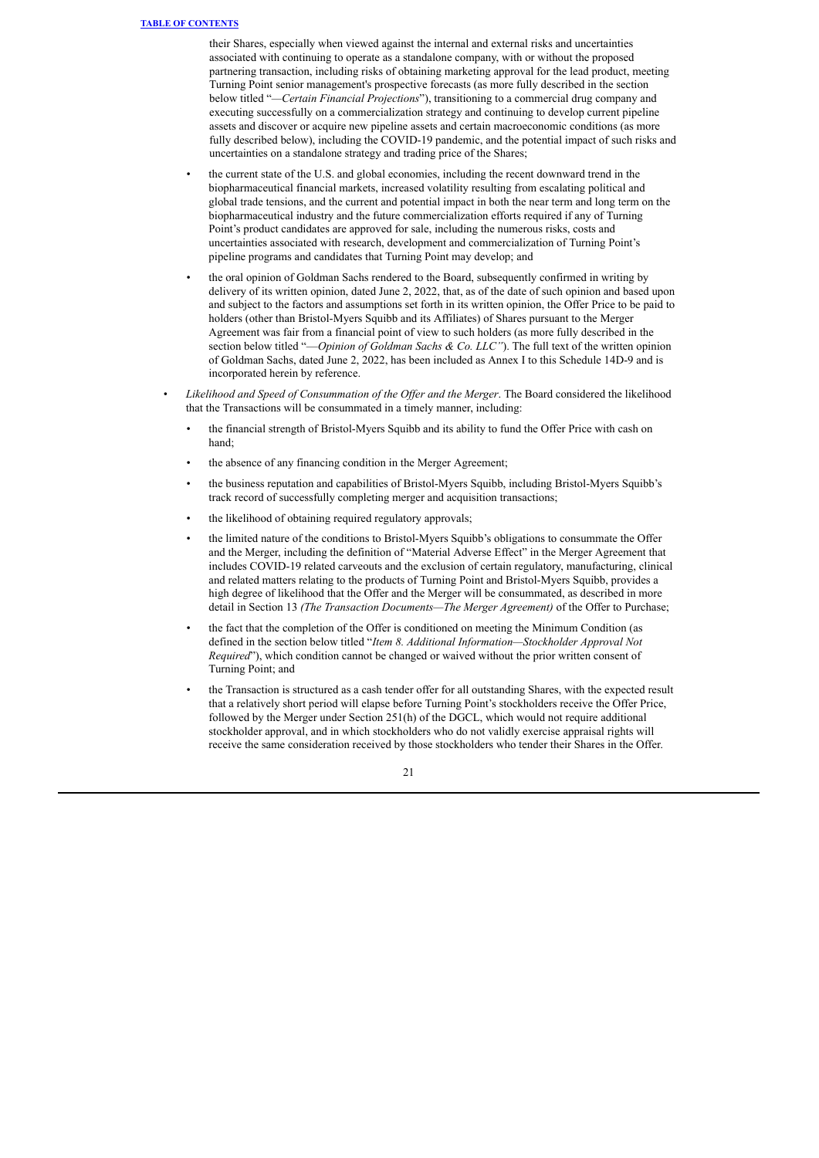their Shares, especially when viewed against the internal and external risks and uncertainties associated with continuing to operate as a standalone company, with or without the proposed partnering transaction, including risks of obtaining marketing approval for the lead product, meeting Turning Point senior management's prospective forecasts (as more fully described in the section below titled "*—Certain Financial Projections*"), transitioning to a commercial drug company and executing successfully on a commercialization strategy and continuing to develop current pipeline assets and discover or acquire new pipeline assets and certain macroeconomic conditions (as more fully described below), including the COVID-19 pandemic, and the potential impact of such risks and uncertainties on a standalone strategy and trading price of the Shares;

- the current state of the U.S. and global economies, including the recent downward trend in the biopharmaceutical financial markets, increased volatility resulting from escalating political and global trade tensions, and the current and potential impact in both the near term and long term on the biopharmaceutical industry and the future commercialization efforts required if any of Turning Point's product candidates are approved for sale, including the numerous risks, costs and uncertainties associated with research, development and commercialization of Turning Point's pipeline programs and candidates that Turning Point may develop; and
- the oral opinion of Goldman Sachs rendered to the Board, subsequently confirmed in writing by delivery of its written opinion, dated June 2, 2022, that, as of the date of such opinion and based upon and subject to the factors and assumptions set forth in its written opinion, the Offer Price to be paid to holders (other than Bristol-Myers Squibb and its Affiliates) of Shares pursuant to the Merger Agreement was fair from a financial point of view to such holders (as more fully described in the section below titled "—*Opinion of Goldman Sachs & Co. LLC"*). The full text of the written opinion of Goldman Sachs, dated June 2, 2022, has been included as Annex I to this Schedule 14D-9 and is incorporated herein by reference.
- *Likelihood and Speed of Consummation of the Of er and the Merger*. The Board considered the likelihood that the Transactions will be consummated in a timely manner, including:
	- the financial strength of Bristol-Myers Squibb and its ability to fund the Offer Price with cash on hand;
	- the absence of any financing condition in the Merger Agreement;
	- the business reputation and capabilities of Bristol-Myers Squibb, including Bristol-Myers Squibb's track record of successfully completing merger and acquisition transactions;
	- the likelihood of obtaining required regulatory approvals;
	- the limited nature of the conditions to Bristol-Myers Squibb's obligations to consummate the Offer and the Merger, including the definition of "Material Adverse Effect" in the Merger Agreement that includes COVID-19 related carveouts and the exclusion of certain regulatory, manufacturing, clinical and related matters relating to the products of Turning Point and Bristol-Myers Squibb, provides a high degree of likelihood that the Offer and the Merger will be consummated, as described in more detail in Section 13 *(The Transaction Documents—The Merger Agreement)* of the Offer to Purchase;
	- the fact that the completion of the Offer is conditioned on meeting the Minimum Condition (as defined in the section below titled "*Item 8. Additional Information—Stockholder Approval Not Required*"), which condition cannot be changed or waived without the prior written consent of Turning Point; and
	- the Transaction is structured as a cash tender offer for all outstanding Shares, with the expected result that a relatively short period will elapse before Turning Point's stockholders receive the Offer Price, followed by the Merger under Section 251(h) of the DGCL, which would not require additional stockholder approval, and in which stockholders who do not validly exercise appraisal rights will receive the same consideration received by those stockholders who tender their Shares in the Offer.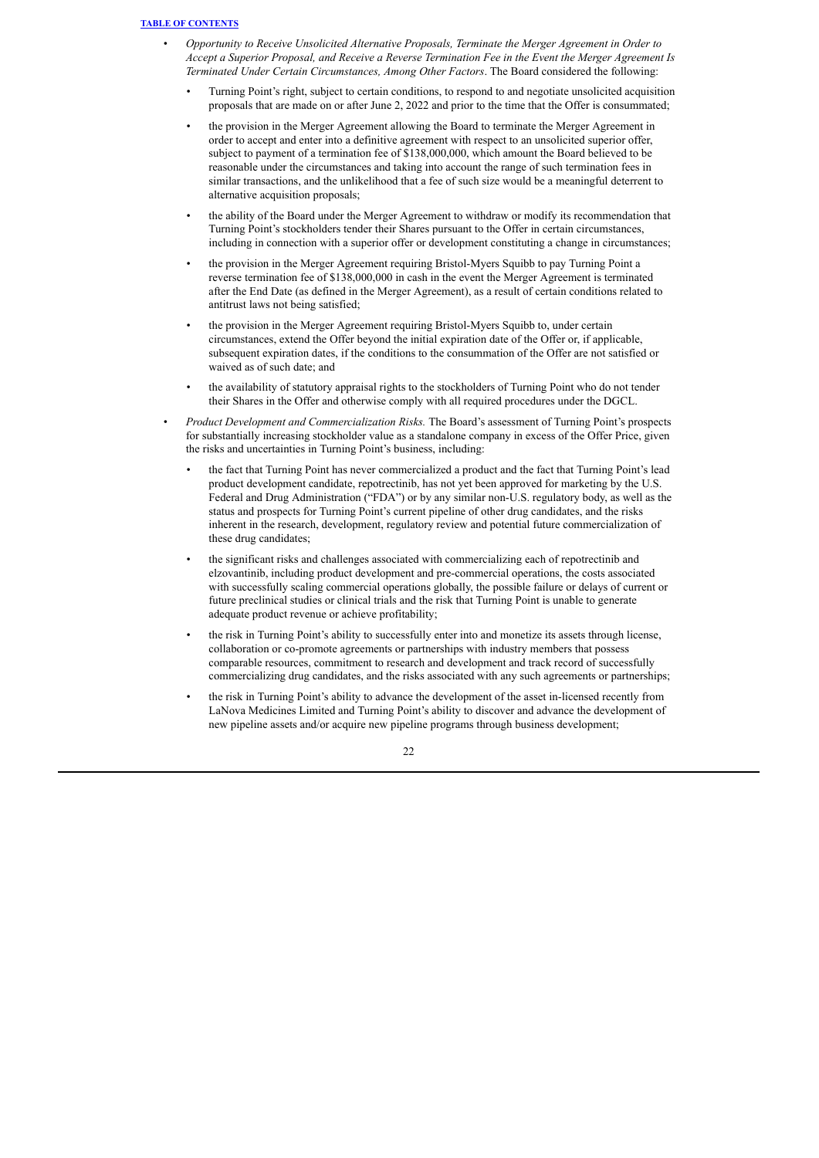- *Opportunity to Receive Unsolicited Alternative Proposals, Terminate the Merger Agreement in Order to Accept a Superior Proposal, and Receive a Reverse Termination Fee in the Event the Merger Agreement Is Terminated Under Certain Circumstances, Among Other Factors*. The Board considered the following:
	- Turning Point's right, subject to certain conditions, to respond to and negotiate unsolicited acquisition proposals that are made on or after June 2, 2022 and prior to the time that the Offer is consummated;
	- the provision in the Merger Agreement allowing the Board to terminate the Merger Agreement in order to accept and enter into a definitive agreement with respect to an unsolicited superior offer, subject to payment of a termination fee of \$138,000,000, which amount the Board believed to be reasonable under the circumstances and taking into account the range of such termination fees in similar transactions, and the unlikelihood that a fee of such size would be a meaningful deterrent to alternative acquisition proposals;
	- the ability of the Board under the Merger Agreement to withdraw or modify its recommendation that Turning Point's stockholders tender their Shares pursuant to the Offer in certain circumstances, including in connection with a superior offer or development constituting a change in circumstances;
	- the provision in the Merger Agreement requiring Bristol-Myers Squibb to pay Turning Point a reverse termination fee of \$138,000,000 in cash in the event the Merger Agreement is terminated after the End Date (as defined in the Merger Agreement), as a result of certain conditions related to antitrust laws not being satisfied;
	- the provision in the Merger Agreement requiring Bristol-Myers Squibb to, under certain circumstances, extend the Offer beyond the initial expiration date of the Offer or, if applicable, subsequent expiration dates, if the conditions to the consummation of the Offer are not satisfied or waived as of such date; and
	- the availability of statutory appraisal rights to the stockholders of Turning Point who do not tender their Shares in the Offer and otherwise comply with all required procedures under the DGCL.
- *Product Development and Commercialization Risks.* The Board's assessment of Turning Point's prospects for substantially increasing stockholder value as a standalone company in excess of the Offer Price, given the risks and uncertainties in Turning Point's business, including:
	- the fact that Turning Point has never commercialized a product and the fact that Turning Point's lead product development candidate, repotrectinib, has not yet been approved for marketing by the U.S. Federal and Drug Administration ("FDA") or by any similar non-U.S. regulatory body, as well as the status and prospects for Turning Point's current pipeline of other drug candidates, and the risks inherent in the research, development, regulatory review and potential future commercialization of these drug candidates;
	- the significant risks and challenges associated with commercializing each of repotrectinib and elzovantinib, including product development and pre-commercial operations, the costs associated with successfully scaling commercial operations globally, the possible failure or delays of current or future preclinical studies or clinical trials and the risk that Turning Point is unable to generate adequate product revenue or achieve profitability;
	- the risk in Turning Point's ability to successfully enter into and monetize its assets through license, collaboration or co-promote agreements or partnerships with industry members that possess comparable resources, commitment to research and development and track record of successfully commercializing drug candidates, and the risks associated with any such agreements or partnerships;
	- the risk in Turning Point's ability to advance the development of the asset in-licensed recently from LaNova Medicines Limited and Turning Point's ability to discover and advance the development of new pipeline assets and/or acquire new pipeline programs through business development;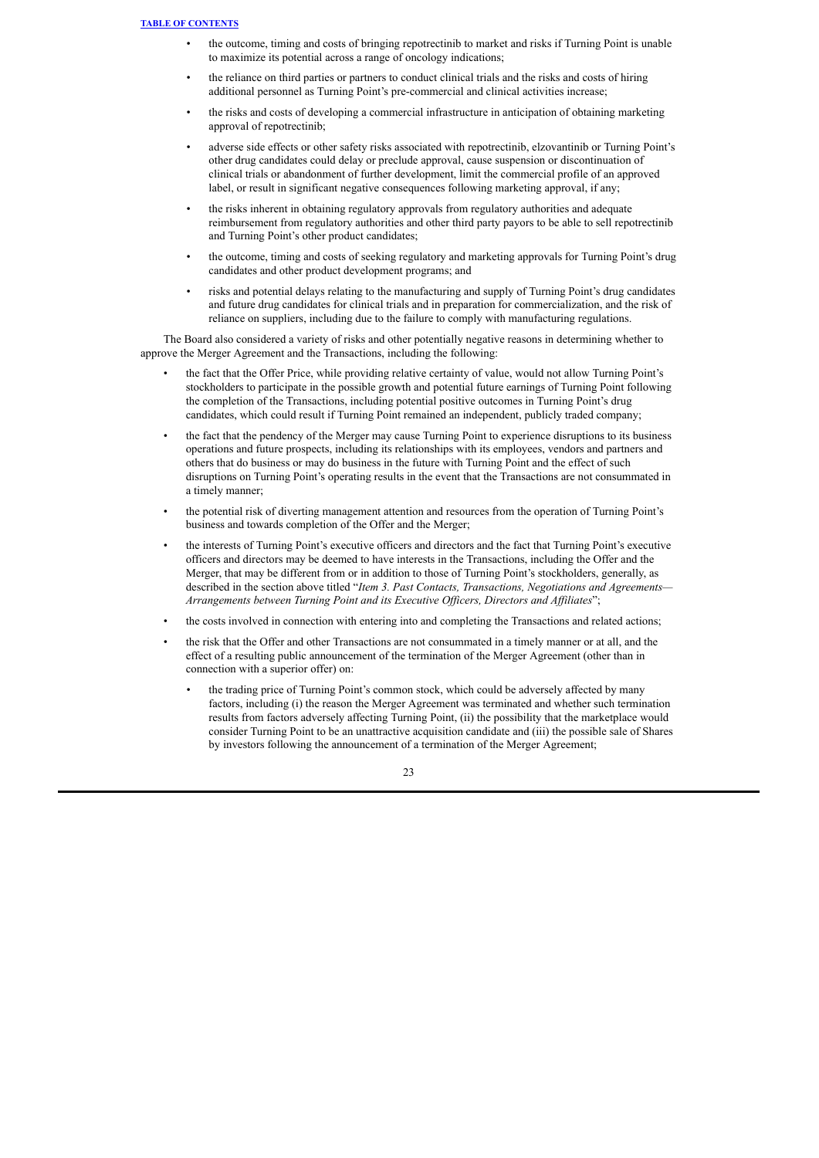- the outcome, timing and costs of bringing repotrectinib to market and risks if Turning Point is unable to maximize its potential across a range of oncology indications;
- the reliance on third parties or partners to conduct clinical trials and the risks and costs of hiring additional personnel as Turning Point's pre-commercial and clinical activities increase;
- the risks and costs of developing a commercial infrastructure in anticipation of obtaining marketing approval of repotrectinib;
- adverse side effects or other safety risks associated with repotrectinib, elzovantinib or Turning Point's other drug candidates could delay or preclude approval, cause suspension or discontinuation of clinical trials or abandonment of further development, limit the commercial profile of an approved label, or result in significant negative consequences following marketing approval, if any;
- the risks inherent in obtaining regulatory approvals from regulatory authorities and adequate reimbursement from regulatory authorities and other third party payors to be able to sell repotrectinib and Turning Point's other product candidates;
- the outcome, timing and costs of seeking regulatory and marketing approvals for Turning Point's drug candidates and other product development programs; and
- risks and potential delays relating to the manufacturing and supply of Turning Point's drug candidates and future drug candidates for clinical trials and in preparation for commercialization, and the risk of reliance on suppliers, including due to the failure to comply with manufacturing regulations.

The Board also considered a variety of risks and other potentially negative reasons in determining whether to approve the Merger Agreement and the Transactions, including the following:

- the fact that the Offer Price, while providing relative certainty of value, would not allow Turning Point's stockholders to participate in the possible growth and potential future earnings of Turning Point following the completion of the Transactions, including potential positive outcomes in Turning Point's drug candidates, which could result if Turning Point remained an independent, publicly traded company;
- the fact that the pendency of the Merger may cause Turning Point to experience disruptions to its business operations and future prospects, including its relationships with its employees, vendors and partners and others that do business or may do business in the future with Turning Point and the effect of such disruptions on Turning Point's operating results in the event that the Transactions are not consummated in a timely manner;
- the potential risk of diverting management attention and resources from the operation of Turning Point's business and towards completion of the Offer and the Merger;
- the interests of Turning Point's executive officers and directors and the fact that Turning Point's executive officers and directors may be deemed to have interests in the Transactions, including the Offer and the Merger, that may be different from or in addition to those of Turning Point's stockholders, generally, as described in the section above titled "*Item 3. Past Contacts, Transactions, Negotiations and Agreements— Arrangements between Turning Point and its Executive Of icers, Directors and Af iliates*";
- the costs involved in connection with entering into and completing the Transactions and related actions;
- the risk that the Offer and other Transactions are not consummated in a timely manner or at all, and the effect of a resulting public announcement of the termination of the Merger Agreement (other than in connection with a superior offer) on:
	- the trading price of Turning Point's common stock, which could be adversely affected by many factors, including (i) the reason the Merger Agreement was terminated and whether such termination results from factors adversely affecting Turning Point, (ii) the possibility that the marketplace would consider Turning Point to be an unattractive acquisition candidate and (iii) the possible sale of Shares by investors following the announcement of a termination of the Merger Agreement;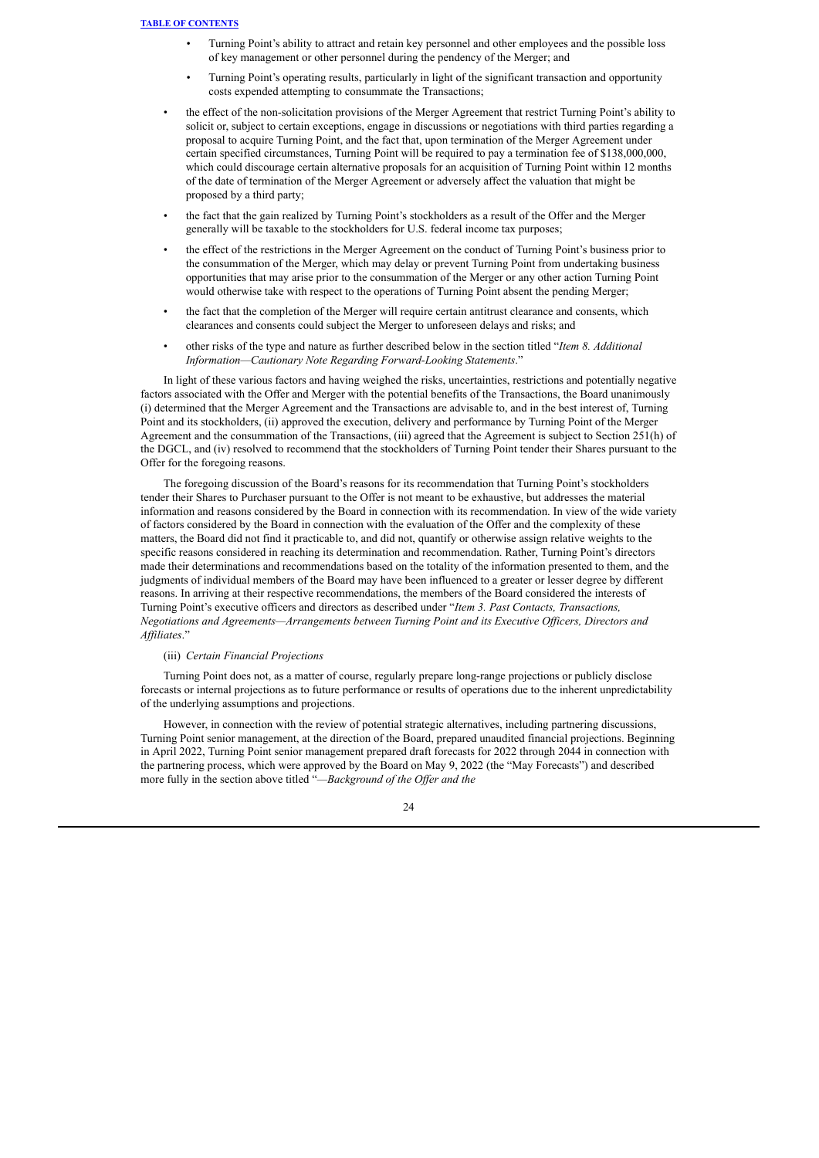- Turning Point's ability to attract and retain key personnel and other employees and the possible loss of key management or other personnel during the pendency of the Merger; and
- Turning Point's operating results, particularly in light of the significant transaction and opportunity costs expended attempting to consummate the Transactions;
- the effect of the non-solicitation provisions of the Merger Agreement that restrict Turning Point's ability to solicit or, subject to certain exceptions, engage in discussions or negotiations with third parties regarding a proposal to acquire Turning Point, and the fact that, upon termination of the Merger Agreement under certain specified circumstances, Turning Point will be required to pay a termination fee of \$138,000,000, which could discourage certain alternative proposals for an acquisition of Turning Point within 12 months of the date of termination of the Merger Agreement or adversely affect the valuation that might be proposed by a third party;
- the fact that the gain realized by Turning Point's stockholders as a result of the Offer and the Merger generally will be taxable to the stockholders for U.S. federal income tax purposes;
- the effect of the restrictions in the Merger Agreement on the conduct of Turning Point's business prior to the consummation of the Merger, which may delay or prevent Turning Point from undertaking business opportunities that may arise prior to the consummation of the Merger or any other action Turning Point would otherwise take with respect to the operations of Turning Point absent the pending Merger;
- the fact that the completion of the Merger will require certain antitrust clearance and consents, which clearances and consents could subject the Merger to unforeseen delays and risks; and
- other risks of the type and nature as further described below in the section titled "*Item 8. Additional Information—Cautionary Note Regarding Forward-Looking Statements*."

In light of these various factors and having weighed the risks, uncertainties, restrictions and potentially negative factors associated with the Offer and Merger with the potential benefits of the Transactions, the Board unanimously (i) determined that the Merger Agreement and the Transactions are advisable to, and in the best interest of, Turning Point and its stockholders, (ii) approved the execution, delivery and performance by Turning Point of the Merger Agreement and the consummation of the Transactions, (iii) agreed that the Agreement is subject to Section 251(h) of the DGCL, and (iv) resolved to recommend that the stockholders of Turning Point tender their Shares pursuant to the Offer for the foregoing reasons.

The foregoing discussion of the Board's reasons for its recommendation that Turning Point's stockholders tender their Shares to Purchaser pursuant to the Offer is not meant to be exhaustive, but addresses the material information and reasons considered by the Board in connection with its recommendation. In view of the wide variety of factors considered by the Board in connection with the evaluation of the Offer and the complexity of these matters, the Board did not find it practicable to, and did not, quantify or otherwise assign relative weights to the specific reasons considered in reaching its determination and recommendation. Rather, Turning Point's directors made their determinations and recommendations based on the totality of the information presented to them, and the judgments of individual members of the Board may have been influenced to a greater or lesser degree by different reasons. In arriving at their respective recommendations, the members of the Board considered the interests of Turning Point's executive officers and directors as described under "*Item 3. Past Contacts, Transactions, Negotiations and Agreements—Arrangements between Turning Point and its Executive Of icers, Directors and Af iliates*."

#### (iii) *Certain Financial Projections*

Turning Point does not, as a matter of course, regularly prepare long-range projections or publicly disclose forecasts or internal projections as to future performance or results of operations due to the inherent unpredictability of the underlying assumptions and projections.

However, in connection with the review of potential strategic alternatives, including partnering discussions, Turning Point senior management, at the direction of the Board, prepared unaudited financial projections. Beginning in April 2022, Turning Point senior management prepared draft forecasts for 2022 through 2044 in connection with the partnering process, which were approved by the Board on May 9, 2022 (the "May Forecasts") and described more fully in the section above titled "—Background of the Offer and the

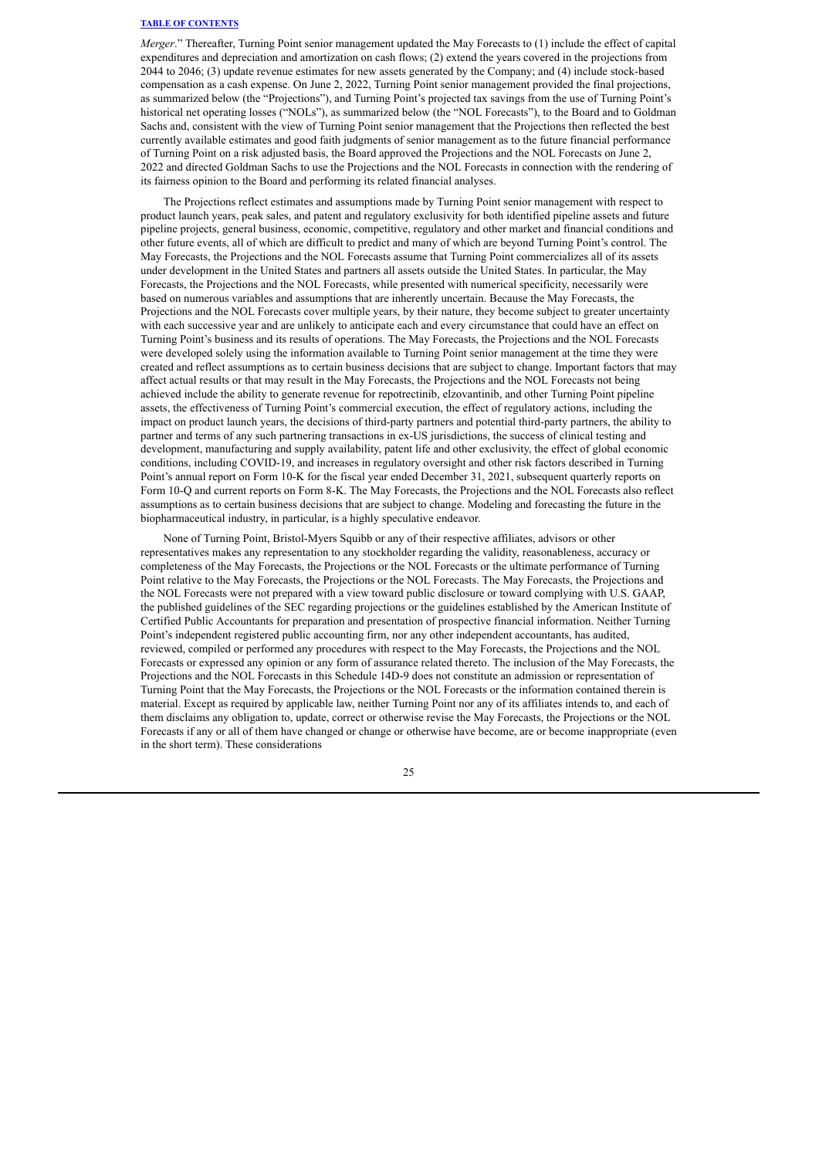*Merger*." Thereafter, Turning Point senior management updated the May Forecasts to (1) include the effect of capital expenditures and depreciation and amortization on cash flows; (2) extend the years covered in the projections from 2044 to 2046; (3) update revenue estimates for new assets generated by the Company; and (4) include stock-based compensation as a cash expense. On June 2, 2022, Turning Point senior management provided the final projections, as summarized below (the "Projections"), and Turning Point's projected tax savings from the use of Turning Point's historical net operating losses ("NOLs"), as summarized below (the "NOL Forecasts"), to the Board and to Goldman Sachs and, consistent with the view of Turning Point senior management that the Projections then reflected the best currently available estimates and good faith judgments of senior management as to the future financial performance of Turning Point on a risk adjusted basis, the Board approved the Projections and the NOL Forecasts on June 2, 2022 and directed Goldman Sachs to use the Projections and the NOL Forecasts in connection with the rendering of its fairness opinion to the Board and performing its related financial analyses.

The Projections reflect estimates and assumptions made by Turning Point senior management with respect to product launch years, peak sales, and patent and regulatory exclusivity for both identified pipeline assets and future pipeline projects, general business, economic, competitive, regulatory and other market and financial conditions and other future events, all of which are difficult to predict and many of which are beyond Turning Point's control. The May Forecasts, the Projections and the NOL Forecasts assume that Turning Point commercializes all of its assets under development in the United States and partners all assets outside the United States. In particular, the May Forecasts, the Projections and the NOL Forecasts, while presented with numerical specificity, necessarily were based on numerous variables and assumptions that are inherently uncertain. Because the May Forecasts, the Projections and the NOL Forecasts cover multiple years, by their nature, they become subject to greater uncertainty with each successive year and are unlikely to anticipate each and every circumstance that could have an effect on Turning Point's business and its results of operations. The May Forecasts, the Projections and the NOL Forecasts were developed solely using the information available to Turning Point senior management at the time they were created and reflect assumptions as to certain business decisions that are subject to change. Important factors that may affect actual results or that may result in the May Forecasts, the Projections and the NOL Forecasts not being achieved include the ability to generate revenue for repotrectinib, elzovantinib, and other Turning Point pipeline assets, the effectiveness of Turning Point's commercial execution, the effect of regulatory actions, including the impact on product launch years, the decisions of third-party partners and potential third-party partners, the ability to partner and terms of any such partnering transactions in ex-US jurisdictions, the success of clinical testing and development, manufacturing and supply availability, patent life and other exclusivity, the effect of global economic conditions, including COVID-19, and increases in regulatory oversight and other risk factors described in Turning Point's annual report on Form 10-K for the fiscal year ended December 31, 2021, subsequent quarterly reports on Form 10-Q and current reports on Form 8-K. The May Forecasts, the Projections and the NOL Forecasts also reflect assumptions as to certain business decisions that are subject to change. Modeling and forecasting the future in the biopharmaceutical industry, in particular, is a highly speculative endeavor.

None of Turning Point, Bristol-Myers Squibb or any of their respective affiliates, advisors or other representatives makes any representation to any stockholder regarding the validity, reasonableness, accuracy or completeness of the May Forecasts, the Projections or the NOL Forecasts or the ultimate performance of Turning Point relative to the May Forecasts, the Projections or the NOL Forecasts. The May Forecasts, the Projections and the NOL Forecasts were not prepared with a view toward public disclosure or toward complying with U.S. GAAP, the published guidelines of the SEC regarding projections or the guidelines established by the American Institute of Certified Public Accountants for preparation and presentation of prospective financial information. Neither Turning Point's independent registered public accounting firm, nor any other independent accountants, has audited, reviewed, compiled or performed any procedures with respect to the May Forecasts, the Projections and the NOL Forecasts or expressed any opinion or any form of assurance related thereto. The inclusion of the May Forecasts, the Projections and the NOL Forecasts in this Schedule 14D-9 does not constitute an admission or representation of Turning Point that the May Forecasts, the Projections or the NOL Forecasts or the information contained therein is material. Except as required by applicable law, neither Turning Point nor any of its affiliates intends to, and each of them disclaims any obligation to, update, correct or otherwise revise the May Forecasts, the Projections or the NOL Forecasts if any or all of them have changed or change or otherwise have become, are or become inappropriate (even in the short term). These considerations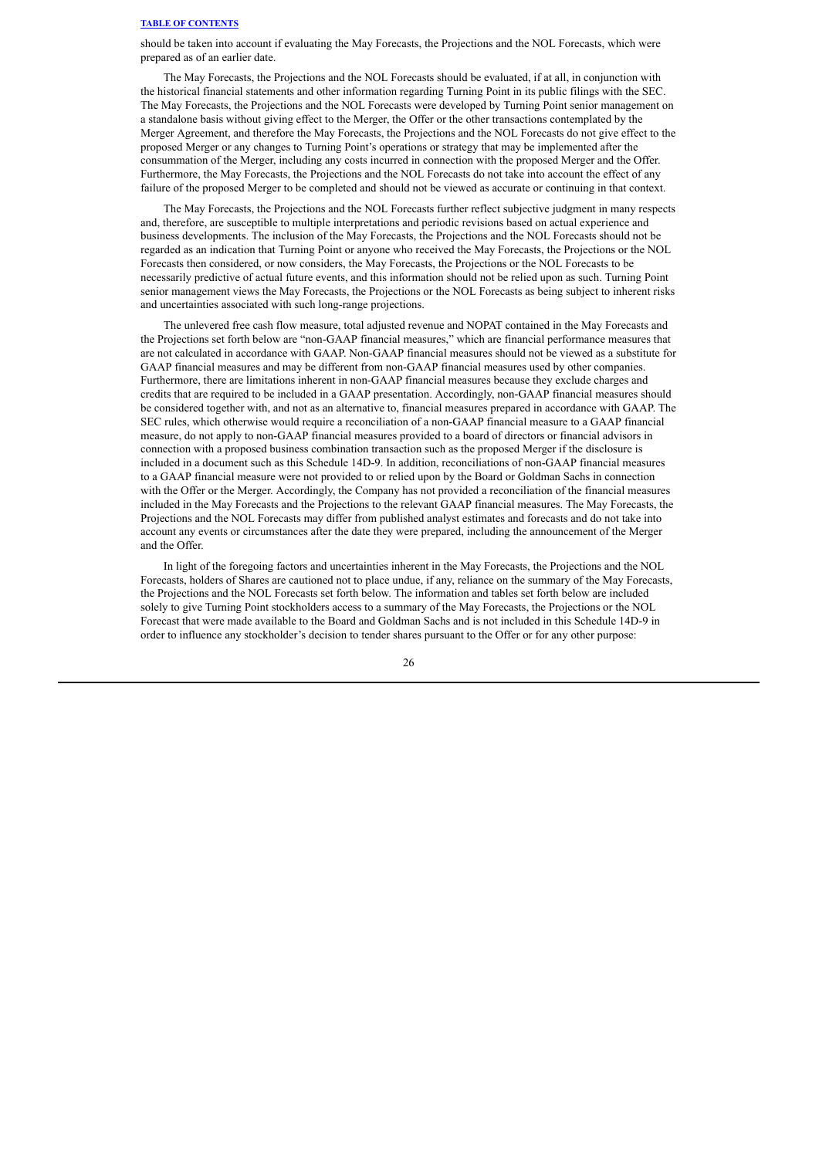should be taken into account if evaluating the May Forecasts, the Projections and the NOL Forecasts, which were prepared as of an earlier date.

The May Forecasts, the Projections and the NOL Forecasts should be evaluated, if at all, in conjunction with the historical financial statements and other information regarding Turning Point in its public filings with the SEC. The May Forecasts, the Projections and the NOL Forecasts were developed by Turning Point senior management on a standalone basis without giving effect to the Merger, the Offer or the other transactions contemplated by the Merger Agreement, and therefore the May Forecasts, the Projections and the NOL Forecasts do not give effect to the proposed Merger or any changes to Turning Point's operations or strategy that may be implemented after the consummation of the Merger, including any costs incurred in connection with the proposed Merger and the Offer. Furthermore, the May Forecasts, the Projections and the NOL Forecasts do not take into account the effect of any failure of the proposed Merger to be completed and should not be viewed as accurate or continuing in that context.

The May Forecasts, the Projections and the NOL Forecasts further reflect subjective judgment in many respects and, therefore, are susceptible to multiple interpretations and periodic revisions based on actual experience and business developments. The inclusion of the May Forecasts, the Projections and the NOL Forecasts should not be regarded as an indication that Turning Point or anyone who received the May Forecasts, the Projections or the NOL Forecasts then considered, or now considers, the May Forecasts, the Projections or the NOL Forecasts to be necessarily predictive of actual future events, and this information should not be relied upon as such. Turning Point senior management views the May Forecasts, the Projections or the NOL Forecasts as being subject to inherent risks and uncertainties associated with such long-range projections.

The unlevered free cash flow measure, total adjusted revenue and NOPAT contained in the May Forecasts and the Projections set forth below are "non-GAAP financial measures," which are financial performance measures that are not calculated in accordance with GAAP. Non-GAAP financial measures should not be viewed as a substitute for GAAP financial measures and may be different from non-GAAP financial measures used by other companies. Furthermore, there are limitations inherent in non-GAAP financial measures because they exclude charges and credits that are required to be included in a GAAP presentation. Accordingly, non-GAAP financial measures should be considered together with, and not as an alternative to, financial measures prepared in accordance with GAAP. The SEC rules, which otherwise would require a reconciliation of a non-GAAP financial measure to a GAAP financial measure, do not apply to non-GAAP financial measures provided to a board of directors or financial advisors in connection with a proposed business combination transaction such as the proposed Merger if the disclosure is included in a document such as this Schedule 14D-9. In addition, reconciliations of non-GAAP financial measures to a GAAP financial measure were not provided to or relied upon by the Board or Goldman Sachs in connection with the Offer or the Merger. Accordingly, the Company has not provided a reconciliation of the financial measures included in the May Forecasts and the Projections to the relevant GAAP financial measures. The May Forecasts, the Projections and the NOL Forecasts may differ from published analyst estimates and forecasts and do not take into account any events or circumstances after the date they were prepared, including the announcement of the Merger and the Offer.

In light of the foregoing factors and uncertainties inherent in the May Forecasts, the Projections and the NOL Forecasts, holders of Shares are cautioned not to place undue, if any, reliance on the summary of the May Forecasts, the Projections and the NOL Forecasts set forth below. The information and tables set forth below are included solely to give Turning Point stockholders access to a summary of the May Forecasts, the Projections or the NOL Forecast that were made available to the Board and Goldman Sachs and is not included in this Schedule 14D-9 in order to influence any stockholder's decision to tender shares pursuant to the Offer or for any other purpose: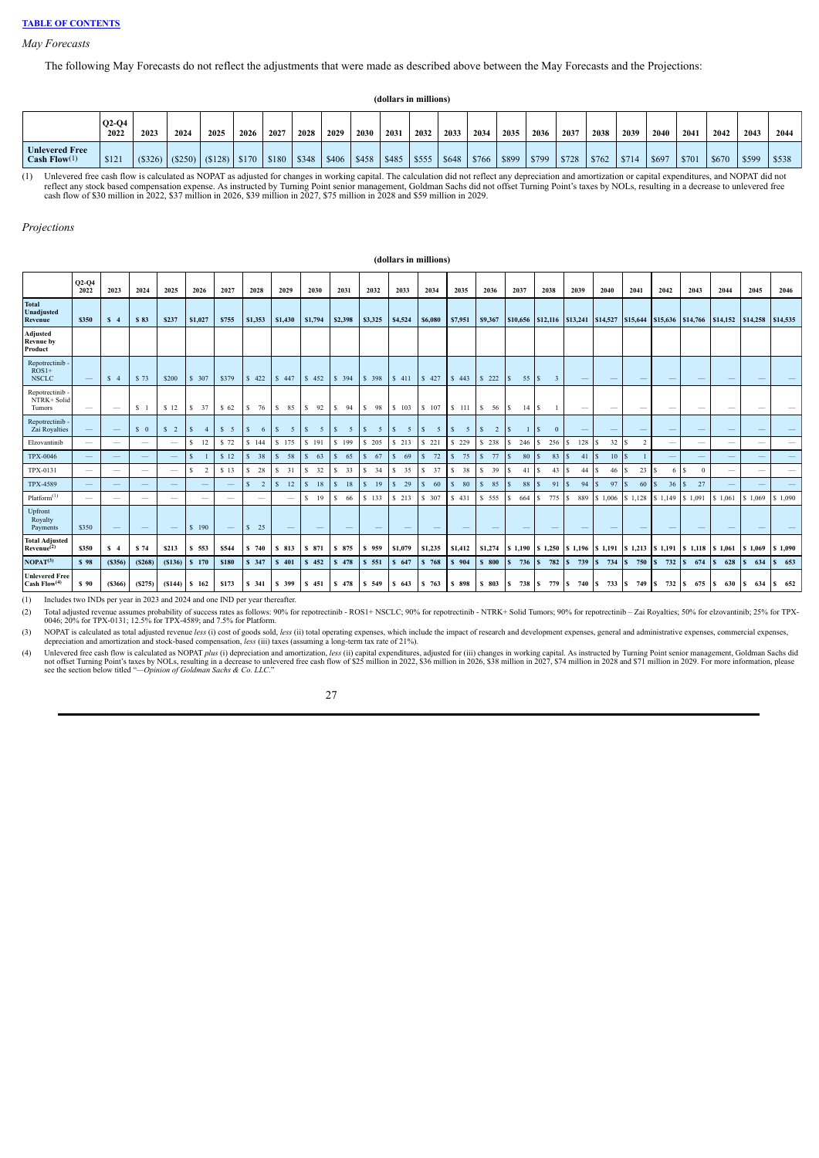#### *May Forecasts*

The following May Forecasts do not reflect the adjustments that were made as described above between the May Forecasts and the Projections:

#### **(dollars in millions)**

|                                                     | <b>O2-O4</b><br>2022 | 2023                                                                           | 2024 | 2025 | 2026 | 2027 | 2028 | 2029 | 2030 | 2031 | 2032 | 2033 | 2034                 | 2035 | 2036 | 2037 | 2038                                  | 2039 | 2040  | 2041  | 2042  | 2043  | 2044 |
|-----------------------------------------------------|----------------------|--------------------------------------------------------------------------------|------|------|------|------|------|------|------|------|------|------|----------------------|------|------|------|---------------------------------------|------|-------|-------|-------|-------|------|
| Unlevered Free<br>$\mathbf{Cash}\ \mathbf{Flow}(1)$ | \$12                 | $(2526)$ $(250)$ $(128)$ $170$ $18180$ $15348$ $15406$ $15458$ $15485$ $15555$ |      |      |      |      |      |      |      |      |      |      | $$648$ $$766$ $$899$ |      |      |      | $\frac{1}{2}$ \$799 \$728 \$762 \$714 |      | \$697 | \$701 | \$670 | \$599 | S538 |

(1) Unlevered free cash flow is calculated as NOPAT as adjusted for changes in working capital. The calculation did not reflect any depreciation and amortization or capital expenditures, and NOPAT did not reflect any stock based compensation expense. As instructed by Turning Point senior management, Goldman Sachs did not offset Turning Point's taxes by NOLs, resulting in a decrease to unlevered free<br>cash flow of \$30 million

#### *Projections*

|                                               |                                                                              |                                 |                          |                   |                      |                   |                                |                                       |                                 |                    |          | (dollars in millions) |                            |                                       |                     |                     |                          |                 |                                         |                      |                     |                    |                  |                          |                                 |
|-----------------------------------------------|------------------------------------------------------------------------------|---------------------------------|--------------------------|-------------------|----------------------|-------------------|--------------------------------|---------------------------------------|---------------------------------|--------------------|----------|-----------------------|----------------------------|---------------------------------------|---------------------|---------------------|--------------------------|-----------------|-----------------------------------------|----------------------|---------------------|--------------------|------------------|--------------------------|---------------------------------|
|                                               | <b>Q2-Q4</b><br>2022                                                         | 2023                            | 2024                     | 2025              | 2026                 | 2027              | 2028                           | 2029                                  | 2030                            | 2031               | 2032     | 2033                  | 2034                       | 2035                                  | 2036                | 2037                | 2038                     | 2039            | 2040                                    | 2041                 | 2042                | 2043               | 2044             | 2045                     | 2046                            |
| <b>Total</b><br>Unadjusted<br>Revenue         | \$350                                                                        | S <sub>4</sub>                  | \$83                     | <b>\$237</b>      | \$1,027              | \$755             | \$1,353                        | \$1,430                               | \$1,794                         | \$2,398            | \$3,325  | \$4,524               | \$6,080                    | \$7,951                               | \$9,367             | \$10,656            | \$12,116 \$13,241        |                 | \$14,527 \$15,644                       |                      | \$15,636            | \$14,766           | \$14,152         | \$14,258                 | \$14,535                        |
| Adjusted<br>Revnue by<br>Product              |                                                                              |                                 |                          |                   |                      |                   |                                |                                       |                                 |                    |          |                       |                            |                                       |                     |                     |                          |                 |                                         |                      |                     |                    |                  |                          |                                 |
| Repotrectinib<br>$ROS1+$<br><b>NSCLC</b>      |                                                                              | S <sub>4</sub>                  | \$73                     | \$200             | \$ 307               | \$379             | \$422                          | \$447                                 | \$452                           | $S$ 394            | \$ 398   | \$411                 | $\vert$ \$ 427             | \$443                                 | $S$ 222             | 55<br>$\mathbf{s}$  | S<br>$\overline{3}$      |                 |                                         |                      |                     |                    |                  |                          |                                 |
| Repotrectinib<br>NTRK+ Solid<br><b>Tumors</b> | $\overline{\phantom{m}}$                                                     | $\overline{\phantom{m}}$        | S <sub>1</sub>           | S <sub>12</sub>   | $S$ 37               | \$62              | S<br>76                        | $S$ 85                                | $S$ 92                          | $S$ 94             | $S$ 98   | $S$ 103               | $S$ 107                    | \$111                                 | $S = 56$            | 14S<br>IS.          |                          |                 | $\overline{\phantom{a}}$                | -                    | -                   |                    |                  |                          |                                 |
| Repotrectinib<br>Zai Royalties                |                                                                              | -                               | S <sub>0</sub>           | S <sub>2</sub>    | s.<br>$\overline{4}$ | S <sub>5</sub>    | -S<br>-6                       | S<br>$\overline{5}$                   | $\sqrt{5}$<br>IS.               | -S<br>- 5          | S.<br>-5 | S<br>-5               | $\mathsf{S}$<br>$\sqrt{5}$ | $\overline{5}$<br>l S                 | l S<br><sup>2</sup> | IS.<br>$\mathbf{1}$ | $\mathbf{s}$<br>$\Omega$ |                 |                                         |                      |                     |                    |                  |                          |                                 |
| Elzovantinib                                  | $\hspace{0.1mm}-\hspace{0.1mm}$                                              | $\overline{\phantom{m}}$        | $\overline{\phantom{a}}$ | $\qquad \qquad$   | 12<br>s              | \$ 72             | \$144                          | \$175                                 | \$191                           | \$199              | \$ 205   | \$ 213                | \$221                      | \$ 229                                | \$238               | 246                 | 256<br>\$                | 128             | 32                                      | $\overline{2}$<br>\$ | -                   | -                  |                  | $\overline{\phantom{a}}$ | $\hspace{0.1mm}-\hspace{0.1mm}$ |
| <b>TPX-0046</b>                               | $\hspace{0.1mm}-\hspace{0.1mm}$                                              |                                 |                          |                   | $\mathbf{s}$         | S <sub>12</sub>   | $\mathbf{s}$<br>38             | 58<br>$\mathbf{s}$                    | 63<br>$\mathbf{s}$              | $\mathbf{s}$<br>65 | $S = 67$ | S<br>- 69             | $\mathbf{s}$<br>72         | 75<br>$\mathbf{s}$                    | $\mathbf{s}$<br>77  | 80                  | 83                       | 41              | 10 <sup>10</sup><br>$\mathbf{S}$        | $\mathbf{\hat{S}}$   |                     |                    |                  |                          |                                 |
| TPX-0131                                      | $\hspace{0.1mm}-\hspace{0.1mm}$                                              | —                               |                          | -                 | s<br>$\overline{2}$  | S <sub>13</sub>   | 28<br>s                        | 31<br>s.                              | 32<br>s.                        | 33<br>S.           | $S$ 34   | 35<br>$\cdot$ S       | 37<br>s.                   | $S$ 38                                | 39<br>s.            | 41                  | 43<br>\$                 | 44              | 46<br>l \$                              | 23<br>\$.            | 6                   | $\Omega$<br>\$     |                  |                          | $\overline{\phantom{0}}$        |
| <b>TPX-4589</b>                               |                                                                              |                                 |                          |                   |                      |                   | $\mathbf{s}$<br>$\overline{2}$ | $\mathbf{s}$<br>12                    | <sup>18</sup><br>$\mathbf{s}$   | $\mathbf{s}$<br>18 | \$19     | 29<br>S               | S.<br>- 60                 | -80<br>$\mathbf{s}$                   | $\mathbf{s}$<br>85  | 88                  | 91<br>$\mathbf{S}$       | 94              | 97S<br>$\mathbf{\hat{s}}$               | 60                   | 36                  | 27<br>$\mathbf{s}$ |                  |                          |                                 |
| Platform <sup>(1)</sup>                       | $\qquad \qquad$                                                              | -                               |                          |                   | -                    |                   |                                |                                       | 19<br>s                         | s<br>66            | $S$ 133  | $S$ 213               | \$ 307                     | \$431                                 | \$ 555              | 664<br>S.           | \$<br>775                | 889             | \$1.006                                 | \$1.128              | \$1.149             | \$1.091            | \$1.061          | \$1.069                  | \$1.090                         |
| Upfront<br>Royalty<br>Payments                | \$350                                                                        | $\hspace{0.1mm}-\hspace{0.1mm}$ | $\overline{\phantom{a}}$ | $\qquad \qquad -$ | $S$ 190              | $\qquad \qquad -$ | S<br>- 25                      | $\hspace{1.0cm} \rule{1.5cm}{0.15cm}$ | $\hspace{0.1mm}-\hspace{0.1mm}$ |                    |          |                       | $\overline{\phantom{a}}$   | $\hspace{1.0cm} \rule{1.5cm}{0.15cm}$ | —                   |                     |                          |                 |                                         |                      |                     |                    |                  |                          |                                 |
| <b>Total Adjusted</b><br>$Revenue^{(2)}$      | \$350                                                                        | S <sub>4</sub>                  | \$74                     | \$213             | \$553                | \$544             | \$740                          | \$813                                 | \$371                           | \$ 875             | \$959    | \$1,079               | \$1,235                    | \$1,412                               | \$1,274             | \$1,190             |                          |                 | \$1,250 \$1,196 \$1,191 \$1,213 \$1,191 |                      |                     | \$1,118            | \$1,061          | \$1,069                  | \$1,090                         |
| NOPAT <sup>(3)</sup>                          | S 98                                                                         | (S356)                          | (S268)                   | (S136)            | S 170                | <b>S180</b>       | \$ 347                         | \$401                                 | \$452                           | \$478              | \$551    | \$647                 | \$768                      | $S$ 904                               | \$800               | 736<br>$\mathbf{s}$ | $\mathbf{s}$<br>782      | 739             | 734<br>S                                | $\mathbf{s}$<br>750  | 732<br>$\mathbf{s}$ | S.<br>674          | 628<br>S         | 634                      | 653<br>$\mathbf{s}$             |
| <b>Unlevered Free</b><br>Cash $Flow(4)$       | S 90                                                                         | (S366)                          | (S275)                   | (S144)            | \$162                | \$173             | \$ 341                         | \$ 399                                | \$451                           | S 478              | \$549    | \$ 643                | \$763                      | \$898                                 | $S$ 803             | \$738               | \$779                    | 740<br><b>S</b> | $S$ 733                                 | 749<br>$\mathbf{s}$  | 732<br>S.           | 675<br>s           | 630<br>$\cdot$ S | 634<br>IS.               | $S = 652$                       |
| (1)                                           | Includes two INDs per year in 2023 and 2024 and one IND per year thereafter. |                                 |                          |                   |                      |                   |                                |                                       |                                 |                    |          |                       |                            |                                       |                     |                     |                          |                 |                                         |                      |                     |                    |                  |                          |                                 |

(2) Total adjusted revenue assumes probability of success rates as follows: 90% for repotrectinib - ROS1+ NSCLC; 90% for repotrectinib - NTRK+ Solid Tumors; 90% for repotrectinib - Zai Royalties; 50% for elzovantinib; 25%

(3) NOPAT is calculated as total adjusted revenue less (i) cost of goods sold, less (ii) total operating expenses, which include the impact of research and development expenses, general and administrative expenses, commerc

(4) Unlevered free cash flow is calculated as NOPAT *plus* (i) depreciation and amortization, less (ii) capital expenditures, adjusted for (iii) changes in working capital. As instructed by Turning Point senior management,

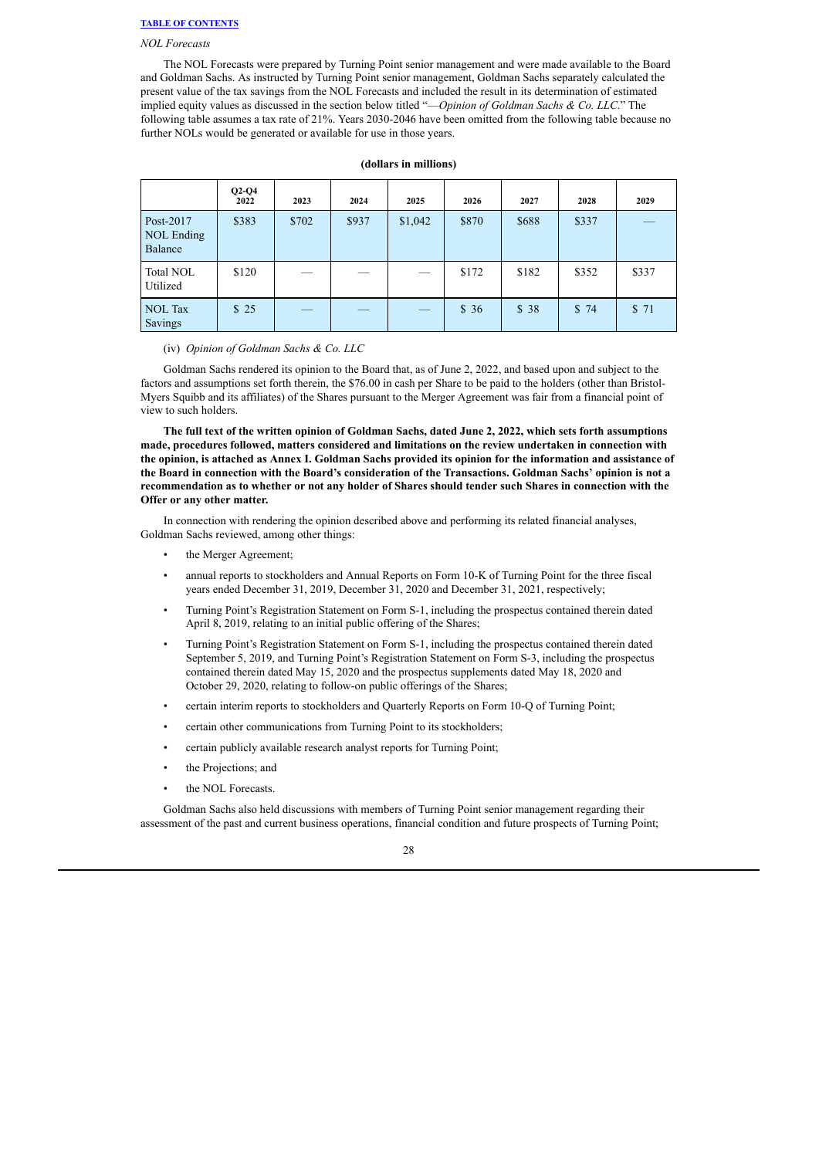#### *NOL Forecasts*

The NOL Forecasts were prepared by Turning Point senior management and were made available to the Board and Goldman Sachs. As instructed by Turning Point senior management, Goldman Sachs separately calculated the present value of the tax savings from the NOL Forecasts and included the result in its determination of estimated implied equity values as discussed in the section below titled "—*Opinion of Goldman Sachs & Co. LLC*." The following table assumes a tax rate of 21%. Years 2030-2046 have been omitted from the following table because no further NOLs would be generated or available for use in those years.

|                                           | $Q2-Q4$<br>2022 | 2023  | 2024  | 2025    | 2026  | 2027  | 2028  | 2029  |
|-------------------------------------------|-----------------|-------|-------|---------|-------|-------|-------|-------|
| Post-2017<br><b>NOL Ending</b><br>Balance | \$383           | \$702 | \$937 | \$1,042 | \$870 | \$688 | \$337 |       |
| Total NOL<br>Utilized                     | \$120           |       |       |         | \$172 | \$182 | \$352 | \$337 |
| <b>NOL</b> Tax<br>Savings                 | \$25            |       |       |         | \$36  | \$38  | \$74  | \$71  |

#### **(dollars in millions)**

#### (iv) *Opinion of Goldman Sachs & Co. LLC*

Goldman Sachs rendered its opinion to the Board that, as of June 2, 2022, and based upon and subject to the factors and assumptions set forth therein, the \$76.00 in cash per Share to be paid to the holders (other than Bristol-Myers Squibb and its affiliates) of the Shares pursuant to the Merger Agreement was fair from a financial point of view to such holders.

The full text of the written opinion of Goldman Sachs, dated June 2, 2022, which sets forth assumptions **made, procedures followed, matters considered and limitations on the review undertaken in connection with** the opinion, is attached as Annex I. Goldman Sachs provided its opinion for the information and assistance of the Board in connection with the Board's consideration of the Transactions. Goldman Sachs' opinion is not a recommendation as to whether or not any holder of Shares should tender such Shares in connection with the **Offer or any other matter.**

In connection with rendering the opinion described above and performing its related financial analyses, Goldman Sachs reviewed, among other things:

- the Merger Agreement;
- annual reports to stockholders and Annual Reports on Form 10-K of Turning Point for the three fiscal years ended December 31, 2019, December 31, 2020 and December 31, 2021, respectively;
- Turning Point's Registration Statement on Form S-1, including the prospectus contained therein dated April 8, 2019, relating to an initial public offering of the Shares;
- Turning Point's Registration Statement on Form S-1, including the prospectus contained therein dated September 5, 2019, and Turning Point's Registration Statement on Form S-3, including the prospectus contained therein dated May 15, 2020 and the prospectus supplements dated May 18, 2020 and October 29, 2020, relating to follow-on public offerings of the Shares;
- certain interim reports to stockholders and Quarterly Reports on Form 10-Q of Turning Point;
- certain other communications from Turning Point to its stockholders;
- certain publicly available research analyst reports for Turning Point;
- the Projections; and
- the NOL Forecasts.

Goldman Sachs also held discussions with members of Turning Point senior management regarding their assessment of the past and current business operations, financial condition and future prospects of Turning Point;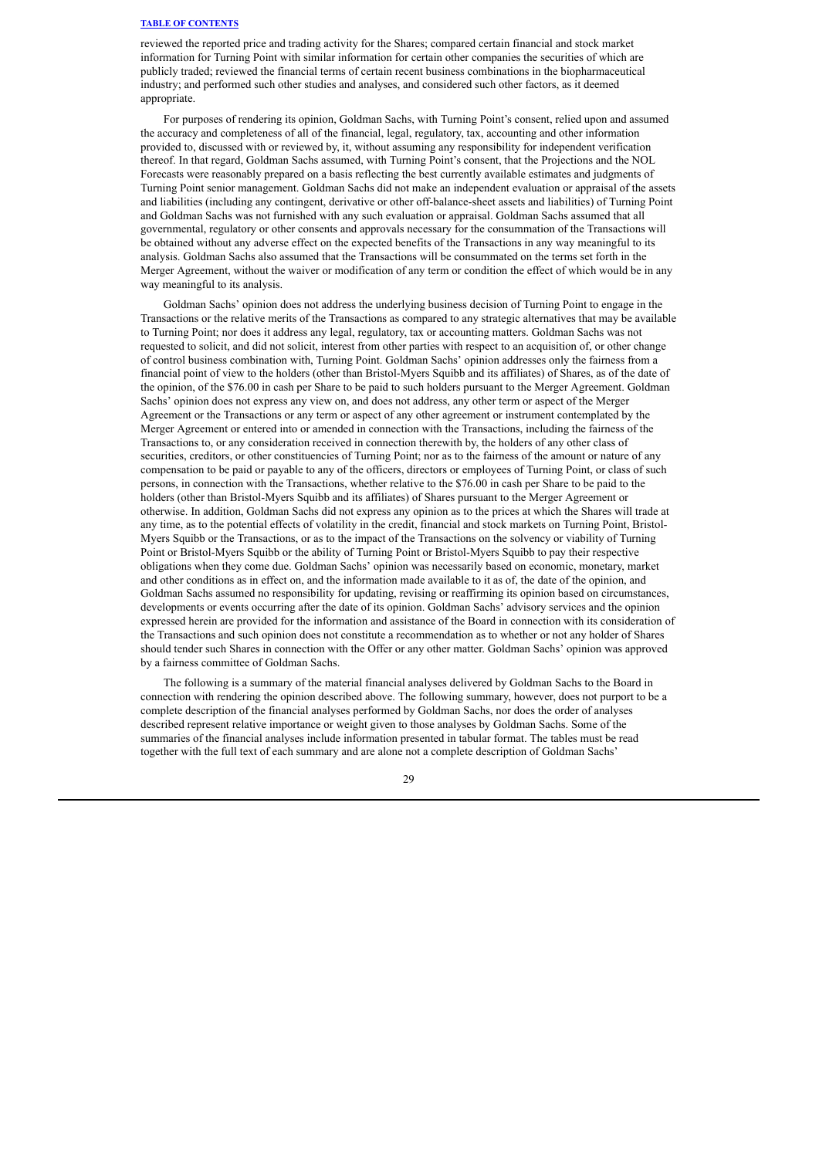reviewed the reported price and trading activity for the Shares; compared certain financial and stock market information for Turning Point with similar information for certain other companies the securities of which are publicly traded; reviewed the financial terms of certain recent business combinations in the biopharmaceutical industry; and performed such other studies and analyses, and considered such other factors, as it deemed appropriate.

For purposes of rendering its opinion, Goldman Sachs, with Turning Point's consent, relied upon and assumed the accuracy and completeness of all of the financial, legal, regulatory, tax, accounting and other information provided to, discussed with or reviewed by, it, without assuming any responsibility for independent verification thereof. In that regard, Goldman Sachs assumed, with Turning Point's consent, that the Projections and the NOL Forecasts were reasonably prepared on a basis reflecting the best currently available estimates and judgments of Turning Point senior management. Goldman Sachs did not make an independent evaluation or appraisal of the assets and liabilities (including any contingent, derivative or other off-balance-sheet assets and liabilities) of Turning Point and Goldman Sachs was not furnished with any such evaluation or appraisal. Goldman Sachs assumed that all governmental, regulatory or other consents and approvals necessary for the consummation of the Transactions will be obtained without any adverse effect on the expected benefits of the Transactions in any way meaningful to its analysis. Goldman Sachs also assumed that the Transactions will be consummated on the terms set forth in the Merger Agreement, without the waiver or modification of any term or condition the effect of which would be in any way meaningful to its analysis.

Goldman Sachs' opinion does not address the underlying business decision of Turning Point to engage in the Transactions or the relative merits of the Transactions as compared to any strategic alternatives that may be available to Turning Point; nor does it address any legal, regulatory, tax or accounting matters. Goldman Sachs was not requested to solicit, and did not solicit, interest from other parties with respect to an acquisition of, or other change of control business combination with, Turning Point. Goldman Sachs' opinion addresses only the fairness from a financial point of view to the holders (other than Bristol-Myers Squibb and its affiliates) of Shares, as of the date of the opinion, of the \$76.00 in cash per Share to be paid to such holders pursuant to the Merger Agreement. Goldman Sachs' opinion does not express any view on, and does not address, any other term or aspect of the Merger Agreement or the Transactions or any term or aspect of any other agreement or instrument contemplated by the Merger Agreement or entered into or amended in connection with the Transactions, including the fairness of the Transactions to, or any consideration received in connection therewith by, the holders of any other class of securities, creditors, or other constituencies of Turning Point; nor as to the fairness of the amount or nature of any compensation to be paid or payable to any of the officers, directors or employees of Turning Point, or class of such persons, in connection with the Transactions, whether relative to the \$76.00 in cash per Share to be paid to the holders (other than Bristol-Myers Squibb and its affiliates) of Shares pursuant to the Merger Agreement or otherwise. In addition, Goldman Sachs did not express any opinion as to the prices at which the Shares will trade at any time, as to the potential effects of volatility in the credit, financial and stock markets on Turning Point, Bristol-Myers Squibb or the Transactions, or as to the impact of the Transactions on the solvency or viability of Turning Point or Bristol-Myers Squibb or the ability of Turning Point or Bristol-Myers Squibb to pay their respective obligations when they come due. Goldman Sachs' opinion was necessarily based on economic, monetary, market and other conditions as in effect on, and the information made available to it as of, the date of the opinion, and Goldman Sachs assumed no responsibility for updating, revising or reaffirming its opinion based on circumstances, developments or events occurring after the date of its opinion. Goldman Sachs' advisory services and the opinion expressed herein are provided for the information and assistance of the Board in connection with its consideration of the Transactions and such opinion does not constitute a recommendation as to whether or not any holder of Shares should tender such Shares in connection with the Offer or any other matter. Goldman Sachs' opinion was approved by a fairness committee of Goldman Sachs.

The following is a summary of the material financial analyses delivered by Goldman Sachs to the Board in connection with rendering the opinion described above. The following summary, however, does not purport to be a complete description of the financial analyses performed by Goldman Sachs, nor does the order of analyses described represent relative importance or weight given to those analyses by Goldman Sachs. Some of the summaries of the financial analyses include information presented in tabular format. The tables must be read together with the full text of each summary and are alone not a complete description of Goldman Sachs'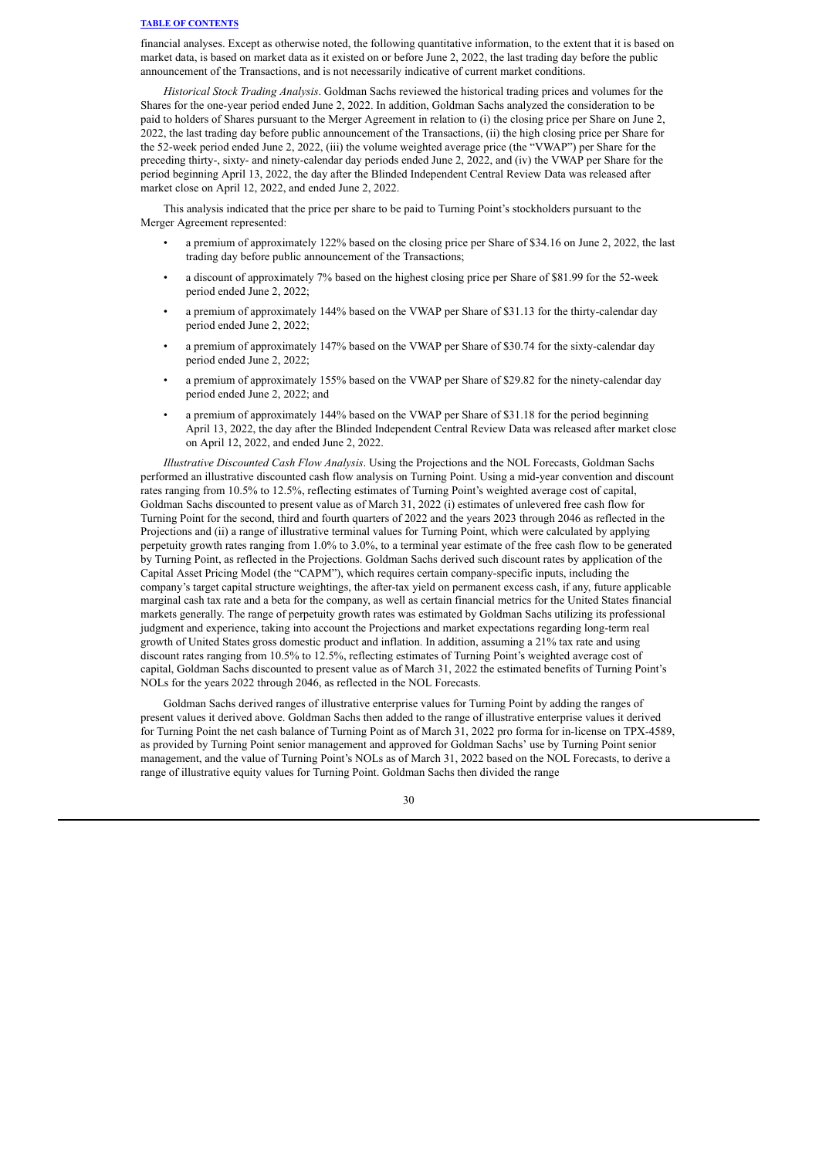financial analyses. Except as otherwise noted, the following quantitative information, to the extent that it is based on market data, is based on market data as it existed on or before June 2, 2022, the last trading day before the public announcement of the Transactions, and is not necessarily indicative of current market conditions.

*Historical Stock Trading Analysis*. Goldman Sachs reviewed the historical trading prices and volumes for the Shares for the one-year period ended June 2, 2022. In addition, Goldman Sachs analyzed the consideration to be paid to holders of Shares pursuant to the Merger Agreement in relation to (i) the closing price per Share on June 2, 2022, the last trading day before public announcement of the Transactions, (ii) the high closing price per Share for the 52-week period ended June 2, 2022, (iii) the volume weighted average price (the "VWAP") per Share for the preceding thirty-, sixty- and ninety-calendar day periods ended June 2, 2022, and (iv) the VWAP per Share for the period beginning April 13, 2022, the day after the Blinded Independent Central Review Data was released after market close on April 12, 2022, and ended June 2, 2022.

This analysis indicated that the price per share to be paid to Turning Point's stockholders pursuant to the Merger Agreement represented:

- a premium of approximately 122% based on the closing price per Share of \$34.16 on June 2, 2022, the last trading day before public announcement of the Transactions;
- a discount of approximately 7% based on the highest closing price per Share of \$81.99 for the 52-week period ended June 2, 2022;
- a premium of approximately 144% based on the VWAP per Share of \$31.13 for the thirty-calendar day period ended June 2, 2022;
- a premium of approximately 147% based on the VWAP per Share of \$30.74 for the sixty-calendar day period ended June 2, 2022;
- a premium of approximately 155% based on the VWAP per Share of \$29.82 for the ninety-calendar day period ended June 2, 2022; and
- a premium of approximately 144% based on the VWAP per Share of \$31.18 for the period beginning April 13, 2022, the day after the Blinded Independent Central Review Data was released after market close on April 12, 2022, and ended June 2, 2022.

*Illustrative Discounted Cash Flow Analysis*. Using the Projections and the NOL Forecasts, Goldman Sachs performed an illustrative discounted cash flow analysis on Turning Point. Using a mid-year convention and discount rates ranging from 10.5% to 12.5%, reflecting estimates of Turning Point's weighted average cost of capital, Goldman Sachs discounted to present value as of March 31, 2022 (i) estimates of unlevered free cash flow for Turning Point for the second, third and fourth quarters of 2022 and the years 2023 through 2046 as reflected in the Projections and (ii) a range of illustrative terminal values for Turning Point, which were calculated by applying perpetuity growth rates ranging from 1.0% to 3.0%, to a terminal year estimate of the free cash flow to be generated by Turning Point, as reflected in the Projections. Goldman Sachs derived such discount rates by application of the Capital Asset Pricing Model (the "CAPM"), which requires certain company-specific inputs, including the company's target capital structure weightings, the after-tax yield on permanent excess cash, if any, future applicable marginal cash tax rate and a beta for the company, as well as certain financial metrics for the United States financial markets generally. The range of perpetuity growth rates was estimated by Goldman Sachs utilizing its professional judgment and experience, taking into account the Projections and market expectations regarding long-term real growth of United States gross domestic product and inflation. In addition, assuming a 21% tax rate and using discount rates ranging from 10.5% to 12.5%, reflecting estimates of Turning Point's weighted average cost of capital, Goldman Sachs discounted to present value as of March 31, 2022 the estimated benefits of Turning Point's NOLs for the years 2022 through 2046, as reflected in the NOL Forecasts.

Goldman Sachs derived ranges of illustrative enterprise values for Turning Point by adding the ranges of present values it derived above. Goldman Sachs then added to the range of illustrative enterprise values it derived for Turning Point the net cash balance of Turning Point as of March 31, 2022 pro forma for in-license on TPX-4589, as provided by Turning Point senior management and approved for Goldman Sachs' use by Turning Point senior management, and the value of Turning Point's NOLs as of March 31, 2022 based on the NOL Forecasts, to derive a range of illustrative equity values for Turning Point. Goldman Sachs then divided the range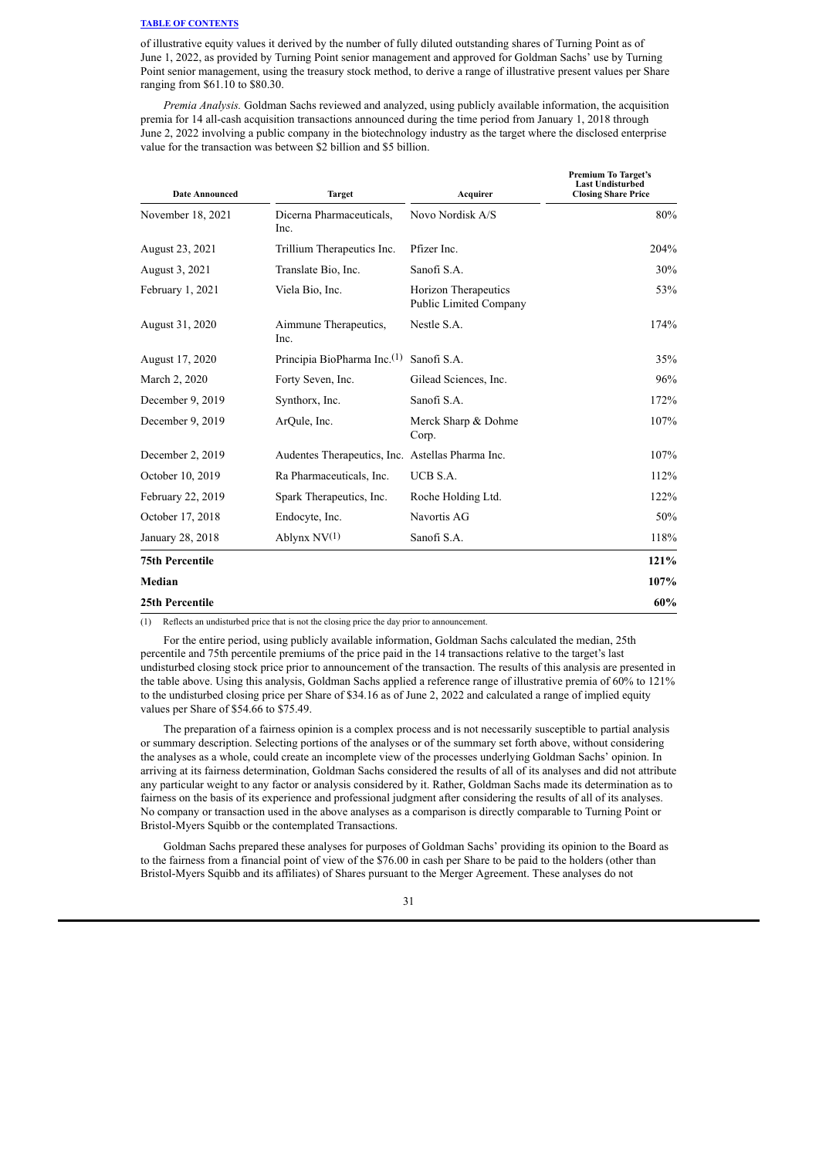of illustrative equity values it derived by the number of fully diluted outstanding shares of Turning Point as of June 1, 2022, as provided by Turning Point senior management and approved for Goldman Sachs' use by Turning Point senior management, using the treasury stock method, to derive a range of illustrative present values per Share ranging from \$61.10 to \$80.30.

*Premia Analysis.* Goldman Sachs reviewed and analyzed, using publicly available information, the acquisition premia for 14 all-cash acquisition transactions announced during the time period from January 1, 2018 through June 2, 2022 involving a public company in the biotechnology industry as the target where the disclosed enterprise value for the transaction was between \$2 billion and \$5 billion.

| <b>Date Announced</b>  | <b>Target</b>                                    | Acquirer                                              | <b>Premium To Target's</b><br><b>Last Undisturbed</b><br><b>Closing Share Price</b> |
|------------------------|--------------------------------------------------|-------------------------------------------------------|-------------------------------------------------------------------------------------|
| November 18, 2021      | Dicerna Pharmaceuticals.<br>Inc.                 | Novo Nordisk A/S                                      | 80%                                                                                 |
| August 23, 2021        | Trillium Therapeutics Inc.                       | Pfizer Inc.                                           | 204%                                                                                |
| August 3, 2021         | Translate Bio, Inc.                              | Sanofi S.A.                                           | 30%                                                                                 |
| February 1, 2021       | Viela Bio, Inc.                                  | Horizon Therapeutics<br><b>Public Limited Company</b> | 53%                                                                                 |
| August 31, 2020        | Aimmune Therapeutics.<br>Inc.                    | Nestle S.A.                                           | 174%                                                                                |
| August 17, 2020        | Principia BioPharma Inc. <sup>(1)</sup>          | Sanofi S.A.                                           | 35%                                                                                 |
| March 2, 2020          | Forty Seven, Inc.                                | Gilead Sciences, Inc.                                 | 96%                                                                                 |
| December 9, 2019       | Synthorx, Inc.                                   | Sanofi S.A.                                           | 172%                                                                                |
| December 9, 2019       | ArOule, Inc.                                     | Merck Sharp & Dohme<br>Corp.                          | 107%                                                                                |
| December 2, 2019       | Audentes Therapeutics, Inc. Astellas Pharma Inc. |                                                       | 107%                                                                                |
| October 10, 2019       | Ra Pharmaceuticals, Inc.                         | UCB S.A.                                              | 112%                                                                                |
| February 22, 2019      | Spark Therapeutics, Inc.                         | Roche Holding Ltd.                                    | 122%                                                                                |
| October 17, 2018       | Endocyte, Inc.                                   | Navortis AG                                           | 50%                                                                                 |
| January 28, 2018       | Ablynx $NV(1)$                                   | Sanofi S.A.                                           | 118%                                                                                |
| <b>75th Percentile</b> |                                                  |                                                       | 121%                                                                                |
| Median                 |                                                  |                                                       | 107%                                                                                |
| 25th Percentile        |                                                  |                                                       | 60%                                                                                 |

(1) Reflects an undisturbed price that is not the closing price the day prior to announcement.

For the entire period, using publicly available information, Goldman Sachs calculated the median, 25th percentile and 75th percentile premiums of the price paid in the 14 transactions relative to the target's last undisturbed closing stock price prior to announcement of the transaction. The results of this analysis are presented in the table above. Using this analysis, Goldman Sachs applied a reference range of illustrative premia of 60% to 121% to the undisturbed closing price per Share of \$34.16 as of June 2, 2022 and calculated a range of implied equity values per Share of \$54.66 to \$75.49.

The preparation of a fairness opinion is a complex process and is not necessarily susceptible to partial analysis or summary description. Selecting portions of the analyses or of the summary set forth above, without considering the analyses as a whole, could create an incomplete view of the processes underlying Goldman Sachs' opinion. In arriving at its fairness determination, Goldman Sachs considered the results of all of its analyses and did not attribute any particular weight to any factor or analysis considered by it. Rather, Goldman Sachs made its determination as to fairness on the basis of its experience and professional judgment after considering the results of all of its analyses. No company or transaction used in the above analyses as a comparison is directly comparable to Turning Point or Bristol-Myers Squibb or the contemplated Transactions.

Goldman Sachs prepared these analyses for purposes of Goldman Sachs' providing its opinion to the Board as to the fairness from a financial point of view of the \$76.00 in cash per Share to be paid to the holders (other than Bristol-Myers Squibb and its affiliates) of Shares pursuant to the Merger Agreement. These analyses do not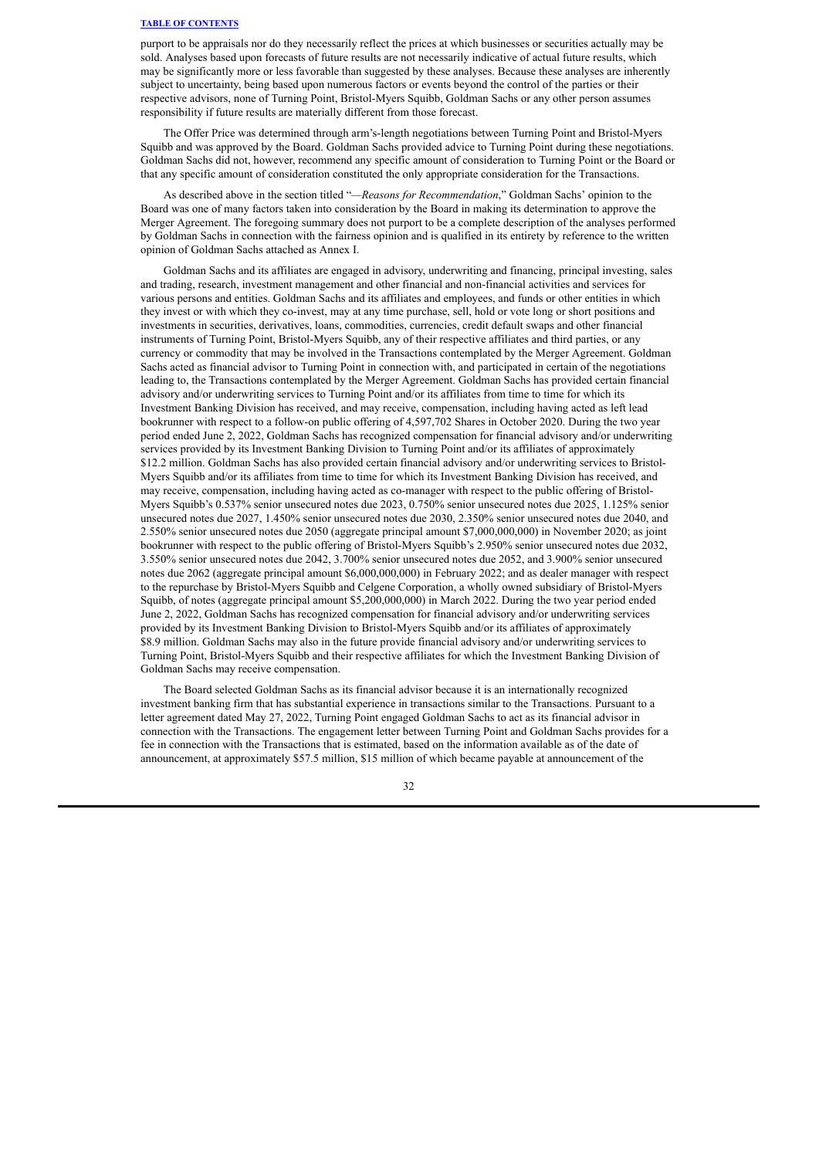purport to be appraisals nor do they necessarily reflect the prices at which businesses or securities actually may be sold. Analyses based upon forecasts of future results are not necessarily indicative of actual future results, which may be significantly more or less favorable than suggested by these analyses. Because these analyses are inherently subject to uncertainty, being based upon numerous factors or events beyond the control of the parties or their respective advisors, none of Turning Point, Bristol-Myers Squibb, Goldman Sachs or any other person assumes responsibility if future results are materially different from those forecast.

The Offer Price was determined through arm's-length negotiations between Turning Point and Bristol-Myers Squibb and was approved by the Board. Goldman Sachs provided advice to Turning Point during these negotiations. Goldman Sachs did not, however, recommend any specific amount of consideration to Turning Point or the Board or that any specific amount of consideration constituted the only appropriate consideration for the Transactions.

As described above in the section titled "*—Reasons for Recommendation*," Goldman Sachs' opinion to the Board was one of many factors taken into consideration by the Board in making its determination to approve the Merger Agreement. The foregoing summary does not purport to be a complete description of the analyses performed by Goldman Sachs in connection with the fairness opinion and is qualified in its entirety by reference to the written opinion of Goldman Sachs attached as Annex I.

Goldman Sachs and its affiliates are engaged in advisory, underwriting and financing, principal investing, sales and trading, research, investment management and other financial and non-financial activities and services for various persons and entities. Goldman Sachs and its affiliates and employees, and funds or other entities in which they invest or with which they co-invest, may at any time purchase, sell, hold or vote long or short positions and investments in securities, derivatives, loans, commodities, currencies, credit default swaps and other financial instruments of Turning Point, Bristol-Myers Squibb, any of their respective affiliates and third parties, or any currency or commodity that may be involved in the Transactions contemplated by the Merger Agreement. Goldman Sachs acted as financial advisor to Turning Point in connection with, and participated in certain of the negotiations leading to, the Transactions contemplated by the Merger Agreement. Goldman Sachs has provided certain financial advisory and/or underwriting services to Turning Point and/or its affiliates from time to time for which its Investment Banking Division has received, and may receive, compensation, including having acted as left lead bookrunner with respect to a follow-on public offering of 4,597,702 Shares in October 2020. During the two year period ended June 2, 2022, Goldman Sachs has recognized compensation for financial advisory and/or underwriting services provided by its Investment Banking Division to Turning Point and/or its affiliates of approximately \$12.2 million. Goldman Sachs has also provided certain financial advisory and/or underwriting services to Bristol-Myers Squibb and/or its affiliates from time to time for which its Investment Banking Division has received, and may receive, compensation, including having acted as co-manager with respect to the public offering of Bristol-Myers Squibb's 0.537% senior unsecured notes due 2023, 0.750% senior unsecured notes due 2025, 1.125% senior unsecured notes due 2027, 1.450% senior unsecured notes due 2030, 2.350% senior unsecured notes due 2040, and 2.550% senior unsecured notes due 2050 (aggregate principal amount \$7,000,000,000) in November 2020; as joint bookrunner with respect to the public offering of Bristol-Myers Squibb's 2.950% senior unsecured notes due 2032, 3.550% senior unsecured notes due 2042, 3.700% senior unsecured notes due 2052, and 3.900% senior unsecured notes due 2062 (aggregate principal amount \$6,000,000,000) in February 2022; and as dealer manager with respect to the repurchase by Bristol-Myers Squibb and Celgene Corporation, a wholly owned subsidiary of Bristol-Myers Squibb, of notes (aggregate principal amount \$5,200,000,000) in March 2022. During the two year period ended June 2, 2022, Goldman Sachs has recognized compensation for financial advisory and/or underwriting services provided by its Investment Banking Division to Bristol-Myers Squibb and/or its affiliates of approximately \$8.9 million. Goldman Sachs may also in the future provide financial advisory and/or underwriting services to Turning Point, Bristol-Myers Squibb and their respective affiliates for which the Investment Banking Division of Goldman Sachs may receive compensation.

The Board selected Goldman Sachs as its financial advisor because it is an internationally recognized investment banking firm that has substantial experience in transactions similar to the Transactions. Pursuant to a letter agreement dated May 27, 2022, Turning Point engaged Goldman Sachs to act as its financial advisor in connection with the Transactions. The engagement letter between Turning Point and Goldman Sachs provides for a fee in connection with the Transactions that is estimated, based on the information available as of the date of announcement, at approximately \$57.5 million, \$15 million of which became payable at announcement of the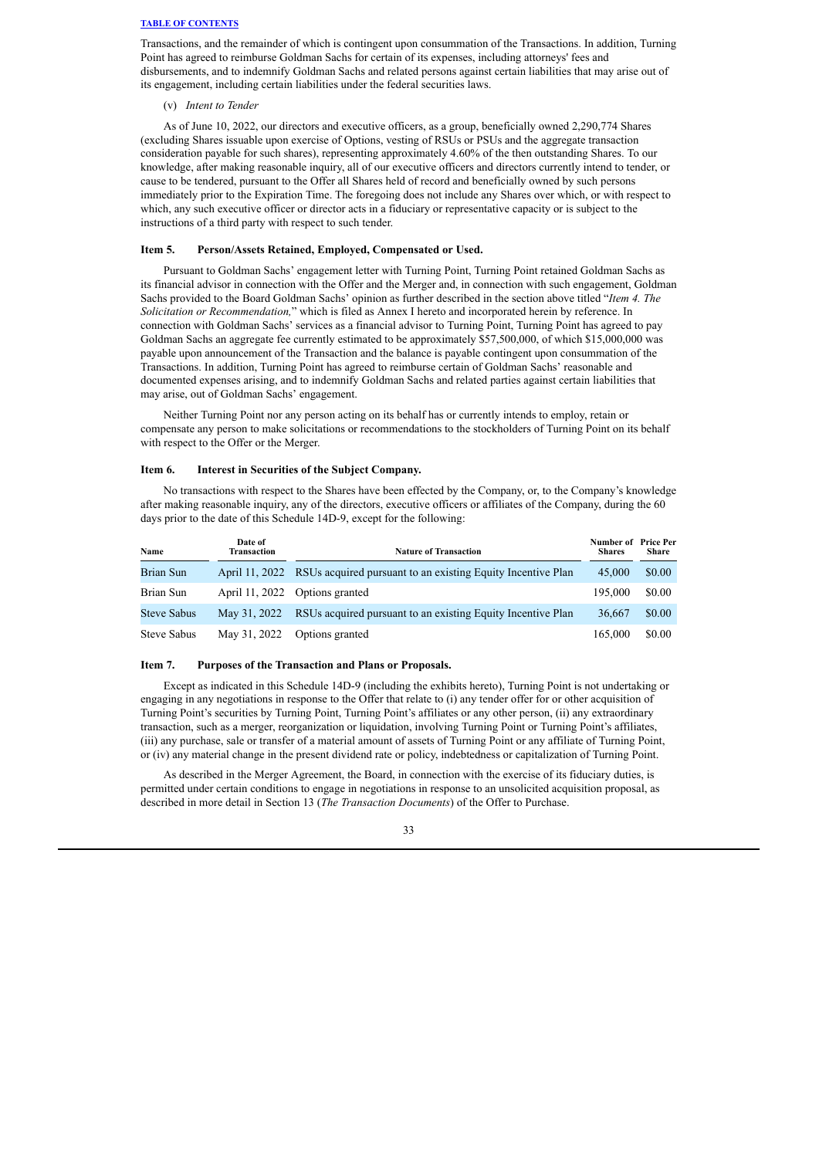Transactions, and the remainder of which is contingent upon consummation of the Transactions. In addition, Turning Point has agreed to reimburse Goldman Sachs for certain of its expenses, including attorneys' fees and disbursements, and to indemnify Goldman Sachs and related persons against certain liabilities that may arise out of its engagement, including certain liabilities under the federal securities laws.

#### (v) *Intent to Tender*

As of June 10, 2022, our directors and executive officers, as a group, beneficially owned 2,290,774 Shares (excluding Shares issuable upon exercise of Options, vesting of RSUs or PSUs and the aggregate transaction consideration payable for such shares), representing approximately 4.60% of the then outstanding Shares. To our knowledge, after making reasonable inquiry, all of our executive officers and directors currently intend to tender, or cause to be tendered, pursuant to the Offer all Shares held of record and beneficially owned by such persons immediately prior to the Expiration Time. The foregoing does not include any Shares over which, or with respect to which, any such executive officer or director acts in a fiduciary or representative capacity or is subject to the instructions of a third party with respect to such tender.

#### <span id="page-34-0"></span>**Item 5. Person/Assets Retained, Employed, Compensated or Used.**

Pursuant to Goldman Sachs' engagement letter with Turning Point, Turning Point retained Goldman Sachs as its financial advisor in connection with the Offer and the Merger and, in connection with such engagement, Goldman Sachs provided to the Board Goldman Sachs' opinion as further described in the section above titled "*Item 4. The Solicitation or Recommendation,*" which is filed as Annex I hereto and incorporated herein by reference. In connection with Goldman Sachs' services as a financial advisor to Turning Point, Turning Point has agreed to pay Goldman Sachs an aggregate fee currently estimated to be approximately \$57,500,000, of which \$15,000,000 was payable upon announcement of the Transaction and the balance is payable contingent upon consummation of the Transactions. In addition, Turning Point has agreed to reimburse certain of Goldman Sachs' reasonable and documented expenses arising, and to indemnify Goldman Sachs and related parties against certain liabilities that may arise, out of Goldman Sachs' engagement.

Neither Turning Point nor any person acting on its behalf has or currently intends to employ, retain or compensate any person to make solicitations or recommendations to the stockholders of Turning Point on its behalf with respect to the Offer or the Merger.

#### <span id="page-34-1"></span>**Item 6. Interest in Securities of the Subject Company.**

No transactions with respect to the Shares have been effected by the Company, or, to the Company's knowledge after making reasonable inquiry, any of the directors, executive officers or affiliates of the Company, during the 60 days prior to the date of this Schedule 14D-9, except for the following:

| Name        | Date of<br>Transaction | <b>Nature of Transaction</b>                                               | Number of Price Per<br><b>Shares</b> | Share  |
|-------------|------------------------|----------------------------------------------------------------------------|--------------------------------------|--------|
| Brian Sun   |                        | April 11, 2022 RSUs acquired pursuant to an existing Equity Incentive Plan | 45,000                               | \$0.00 |
| Brian Sun   |                        | April 11, 2022 Options granted                                             | 195,000                              | \$0.00 |
| Steve Sabus | May 31, 2022           | RSUs acquired pursuant to an existing Equity Incentive Plan                | 36.667                               | \$0.00 |
| Steve Sabus | May 31, 2022           | Options granted                                                            | 165,000                              | \$0.00 |

#### <span id="page-34-2"></span>**Item 7. Purposes of the Transaction and Plans or Proposals.**

Except as indicated in this Schedule 14D-9 (including the exhibits hereto), Turning Point is not undertaking or engaging in any negotiations in response to the Offer that relate to (i) any tender offer for or other acquisition of Turning Point's securities by Turning Point, Turning Point's affiliates or any other person, (ii) any extraordinary transaction, such as a merger, reorganization or liquidation, involving Turning Point or Turning Point's affiliates, (iii) any purchase, sale or transfer of a material amount of assets of Turning Point or any affiliate of Turning Point, or (iv) any material change in the present dividend rate or policy, indebtedness or capitalization of Turning Point.

As described in the Merger Agreement, the Board, in connection with the exercise of its fiduciary duties, is permitted under certain conditions to engage in negotiations in response to an unsolicited acquisition proposal, as described in more detail in Section 13 (*The Transaction Documents*) of the Offer to Purchase.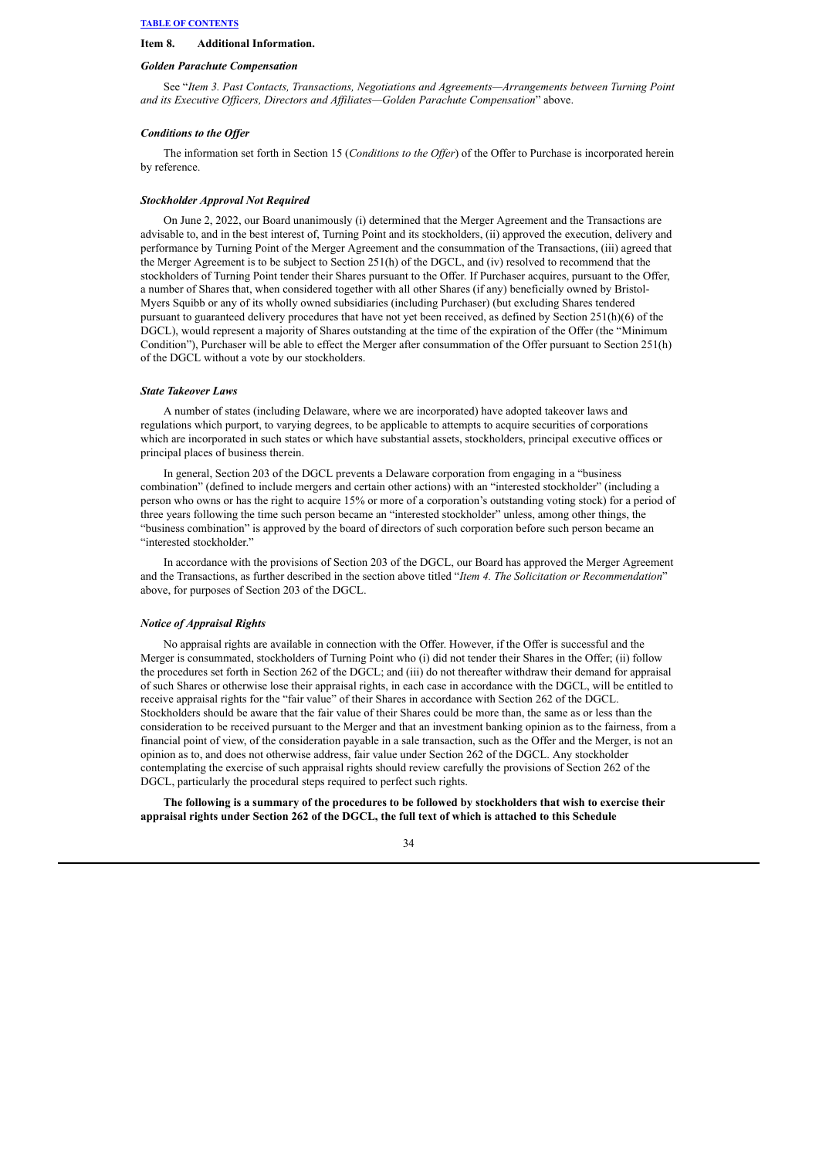#### <span id="page-35-0"></span>**Item 8. Additional Information.**

#### *Golden Parachute Compensation*

See "*Item 3. Past Contacts, Transactions, Negotiations and Agreements—Arrangements between Turning Point and its Executive Of icers, Directors and Af iliates—Golden Parachute Compensation*" above.

#### *Conditions to the Of er*

The information set forth in Section 15 (*Conditions to the Offer*) of the Offer to Purchase is incorporated herein by reference.

#### *Stockholder Approval Not Required*

On June 2, 2022, our Board unanimously (i) determined that the Merger Agreement and the Transactions are advisable to, and in the best interest of, Turning Point and its stockholders, (ii) approved the execution, delivery and performance by Turning Point of the Merger Agreement and the consummation of the Transactions, (iii) agreed that the Merger Agreement is to be subject to Section 251(h) of the DGCL, and (iv) resolved to recommend that the stockholders of Turning Point tender their Shares pursuant to the Offer. If Purchaser acquires, pursuant to the Offer, a number of Shares that, when considered together with all other Shares (if any) beneficially owned by Bristol-Myers Squibb or any of its wholly owned subsidiaries (including Purchaser) (but excluding Shares tendered pursuant to guaranteed delivery procedures that have not yet been received, as defined by Section 251(h)(6) of the DGCL), would represent a majority of Shares outstanding at the time of the expiration of the Offer (the "Minimum Condition"), Purchaser will be able to effect the Merger after consummation of the Offer pursuant to Section 251(h) of the DGCL without a vote by our stockholders.

#### *State Takeover Laws*

A number of states (including Delaware, where we are incorporated) have adopted takeover laws and regulations which purport, to varying degrees, to be applicable to attempts to acquire securities of corporations which are incorporated in such states or which have substantial assets, stockholders, principal executive offices or principal places of business therein.

In general, Section 203 of the DGCL prevents a Delaware corporation from engaging in a "business combination" (defined to include mergers and certain other actions) with an "interested stockholder" (including a person who owns or has the right to acquire 15% or more of a corporation's outstanding voting stock) for a period of three years following the time such person became an "interested stockholder" unless, among other things, the "business combination" is approved by the board of directors of such corporation before such person became an "interested stockholder."

In accordance with the provisions of Section 203 of the DGCL, our Board has approved the Merger Agreement and the Transactions, as further described in the section above titled "*Item 4. The Solicitation or Recommendation*" above, for purposes of Section 203 of the DGCL.

#### *Notice of Appraisal Rights*

No appraisal rights are available in connection with the Offer. However, if the Offer is successful and the Merger is consummated, stockholders of Turning Point who (i) did not tender their Shares in the Offer; (ii) follow the procedures set forth in Section 262 of the DGCL; and (iii) do not thereafter withdraw their demand for appraisal of such Shares or otherwise lose their appraisal rights, in each case in accordance with the DGCL, will be entitled to receive appraisal rights for the "fair value" of their Shares in accordance with Section 262 of the DGCL. Stockholders should be aware that the fair value of their Shares could be more than, the same as or less than the consideration to be received pursuant to the Merger and that an investment banking opinion as to the fairness, from a financial point of view, of the consideration payable in a sale transaction, such as the Offer and the Merger, is not an opinion as to, and does not otherwise address, fair value under Section 262 of the DGCL. Any stockholder contemplating the exercise of such appraisal rights should review carefully the provisions of Section 262 of the DGCL, particularly the procedural steps required to perfect such rights.

The following is a summary of the procedures to be followed by stockholders that wish to exercise their appraisal rights under Section 262 of the DGCL, the full text of which is attached to this Schedule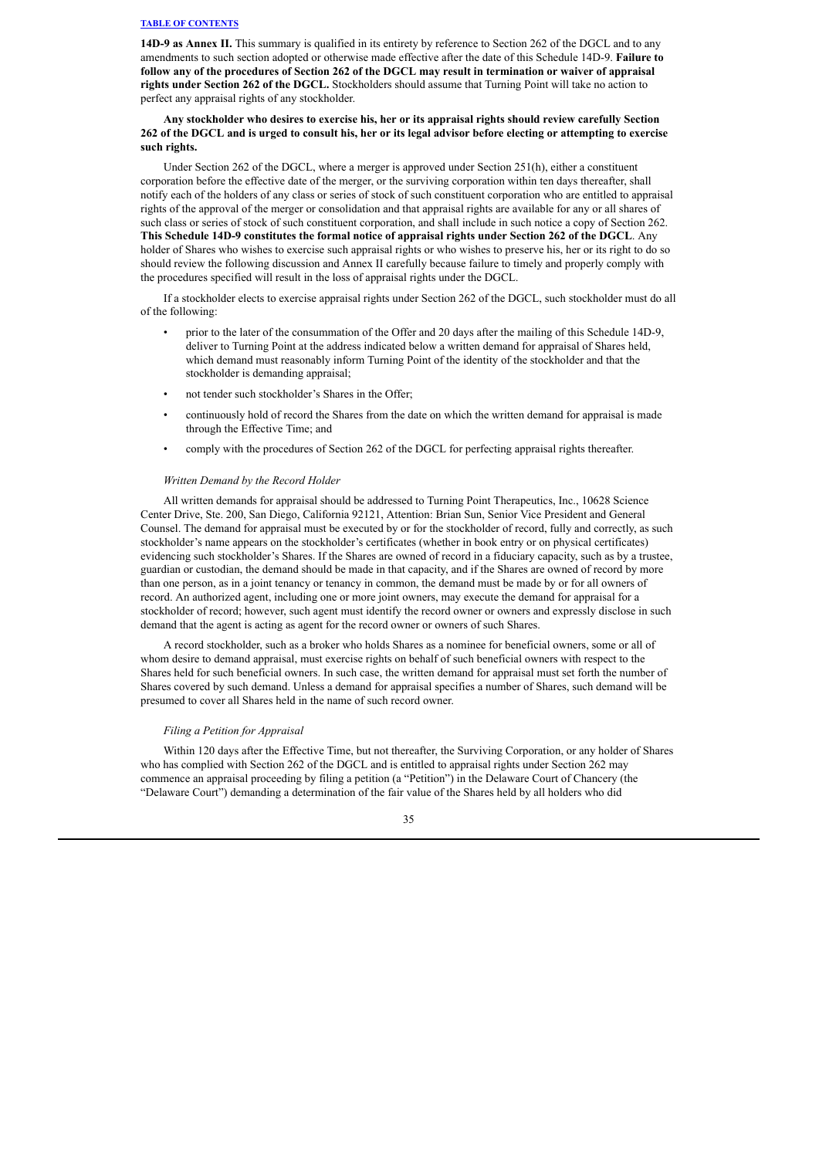**14D-9 as Annex II.** This summary is qualified in its entirety by reference to Section 262 of the DGCL and to any amendments to such section adopted or otherwise made effective after the date of this Schedule 14D-9. **Failure to** follow any of the procedures of Section 262 of the DGCL may result in termination or waiver of appraisal **rights under Section 262 of the DGCL.** Stockholders should assume that Turning Point will take no action to perfect any appraisal rights of any stockholder.

#### **Any stockholder who desires to exercise his, her or its appraisal rights should review carefully Section** 262 of the DGCL and is urged to consult his, her or its legal advisor before electing or attempting to exercise **such rights.**

Under Section 262 of the DGCL, where a merger is approved under Section 251(h), either a constituent corporation before the effective date of the merger, or the surviving corporation within ten days thereafter, shall notify each of the holders of any class or series of stock of such constituent corporation who are entitled to appraisal rights of the approval of the merger or consolidation and that appraisal rights are available for any or all shares of such class or series of stock of such constituent corporation, and shall include in such notice a copy of Section 262. **This Schedule 14D-9 constitutes the formal notice of appraisal rights under Section 262 of the DGCL**. Any holder of Shares who wishes to exercise such appraisal rights or who wishes to preserve his, her or its right to do so should review the following discussion and Annex II carefully because failure to timely and properly comply with the procedures specified will result in the loss of appraisal rights under the DGCL.

If a stockholder elects to exercise appraisal rights under Section 262 of the DGCL, such stockholder must do all of the following:

- prior to the later of the consummation of the Offer and 20 days after the mailing of this Schedule 14D-9, deliver to Turning Point at the address indicated below a written demand for appraisal of Shares held, which demand must reasonably inform Turning Point of the identity of the stockholder and that the stockholder is demanding appraisal;
- not tender such stockholder's Shares in the Offer;
- continuously hold of record the Shares from the date on which the written demand for appraisal is made through the Effective Time; and
- comply with the procedures of Section 262 of the DGCL for perfecting appraisal rights thereafter.

#### *Written Demand by the Record Holder*

All written demands for appraisal should be addressed to Turning Point Therapeutics, Inc., 10628 Science Center Drive, Ste. 200, San Diego, California 92121, Attention: Brian Sun, Senior Vice President and General Counsel. The demand for appraisal must be executed by or for the stockholder of record, fully and correctly, as such stockholder's name appears on the stockholder's certificates (whether in book entry or on physical certificates) evidencing such stockholder's Shares. If the Shares are owned of record in a fiduciary capacity, such as by a trustee, guardian or custodian, the demand should be made in that capacity, and if the Shares are owned of record by more than one person, as in a joint tenancy or tenancy in common, the demand must be made by or for all owners of record. An authorized agent, including one or more joint owners, may execute the demand for appraisal for a stockholder of record; however, such agent must identify the record owner or owners and expressly disclose in such demand that the agent is acting as agent for the record owner or owners of such Shares.

A record stockholder, such as a broker who holds Shares as a nominee for beneficial owners, some or all of whom desire to demand appraisal, must exercise rights on behalf of such beneficial owners with respect to the Shares held for such beneficial owners. In such case, the written demand for appraisal must set forth the number of Shares covered by such demand. Unless a demand for appraisal specifies a number of Shares, such demand will be presumed to cover all Shares held in the name of such record owner.

#### *Filing a Petition for Appraisal*

Within 120 days after the Effective Time, but not thereafter, the Surviving Corporation, or any holder of Shares who has complied with Section 262 of the DGCL and is entitled to appraisal rights under Section 262 may commence an appraisal proceeding by filing a petition (a "Petition") in the Delaware Court of Chancery (the "Delaware Court") demanding a determination of the fair value of the Shares held by all holders who did

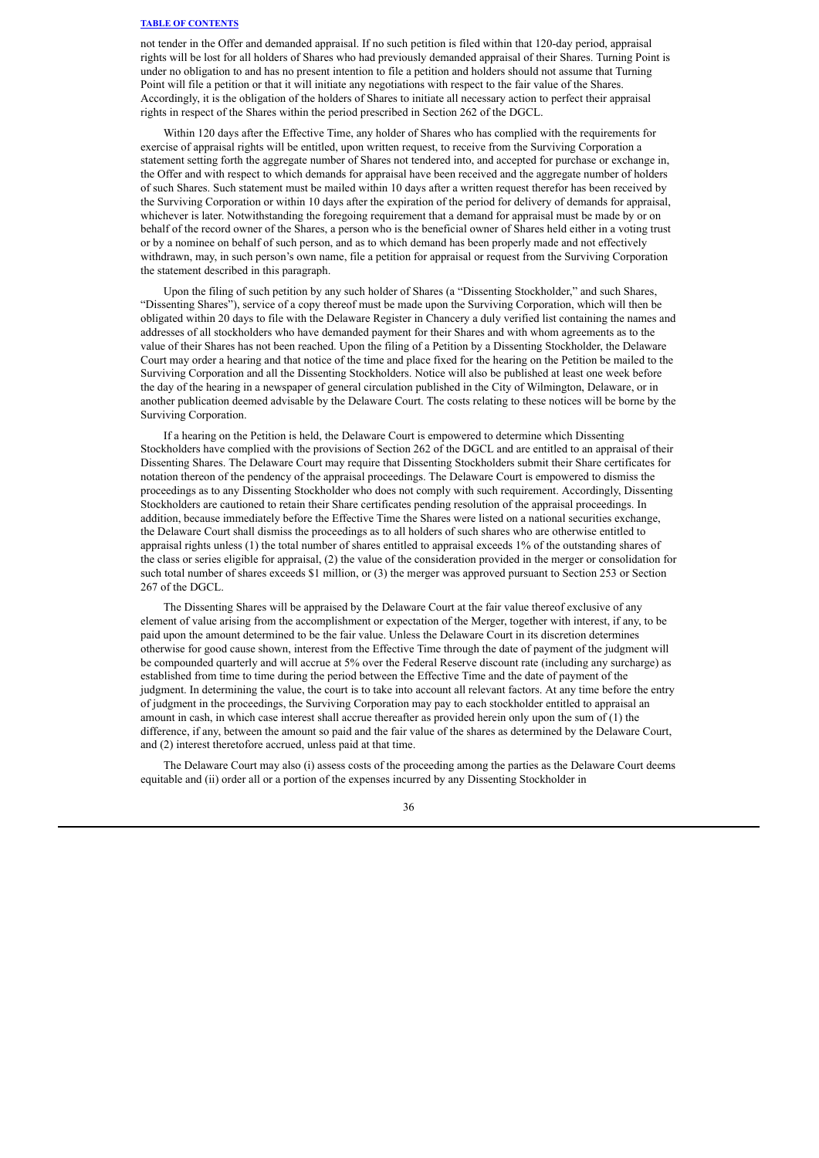not tender in the Offer and demanded appraisal. If no such petition is filed within that 120-day period, appraisal rights will be lost for all holders of Shares who had previously demanded appraisal of their Shares. Turning Point is under no obligation to and has no present intention to file a petition and holders should not assume that Turning Point will file a petition or that it will initiate any negotiations with respect to the fair value of the Shares. Accordingly, it is the obligation of the holders of Shares to initiate all necessary action to perfect their appraisal rights in respect of the Shares within the period prescribed in Section 262 of the DGCL.

Within 120 days after the Effective Time, any holder of Shares who has complied with the requirements for exercise of appraisal rights will be entitled, upon written request, to receive from the Surviving Corporation a statement setting forth the aggregate number of Shares not tendered into, and accepted for purchase or exchange in, the Offer and with respect to which demands for appraisal have been received and the aggregate number of holders of such Shares. Such statement must be mailed within 10 days after a written request therefor has been received by the Surviving Corporation or within 10 days after the expiration of the period for delivery of demands for appraisal, whichever is later. Notwithstanding the foregoing requirement that a demand for appraisal must be made by or on behalf of the record owner of the Shares, a person who is the beneficial owner of Shares held either in a voting trust or by a nominee on behalf of such person, and as to which demand has been properly made and not effectively withdrawn, may, in such person's own name, file a petition for appraisal or request from the Surviving Corporation the statement described in this paragraph.

Upon the filing of such petition by any such holder of Shares (a "Dissenting Stockholder," and such Shares, "Dissenting Shares"), service of a copy thereof must be made upon the Surviving Corporation, which will then be obligated within 20 days to file with the Delaware Register in Chancery a duly verified list containing the names and addresses of all stockholders who have demanded payment for their Shares and with whom agreements as to the value of their Shares has not been reached. Upon the filing of a Petition by a Dissenting Stockholder, the Delaware Court may order a hearing and that notice of the time and place fixed for the hearing on the Petition be mailed to the Surviving Corporation and all the Dissenting Stockholders. Notice will also be published at least one week before the day of the hearing in a newspaper of general circulation published in the City of Wilmington, Delaware, or in another publication deemed advisable by the Delaware Court. The costs relating to these notices will be borne by the Surviving Corporation.

If a hearing on the Petition is held, the Delaware Court is empowered to determine which Dissenting Stockholders have complied with the provisions of Section 262 of the DGCL and are entitled to an appraisal of their Dissenting Shares. The Delaware Court may require that Dissenting Stockholders submit their Share certificates for notation thereon of the pendency of the appraisal proceedings. The Delaware Court is empowered to dismiss the proceedings as to any Dissenting Stockholder who does not comply with such requirement. Accordingly, Dissenting Stockholders are cautioned to retain their Share certificates pending resolution of the appraisal proceedings. In addition, because immediately before the Effective Time the Shares were listed on a national securities exchange, the Delaware Court shall dismiss the proceedings as to all holders of such shares who are otherwise entitled to appraisal rights unless (1) the total number of shares entitled to appraisal exceeds 1% of the outstanding shares of the class or series eligible for appraisal, (2) the value of the consideration provided in the merger or consolidation for such total number of shares exceeds \$1 million, or (3) the merger was approved pursuant to Section 253 or Section 267 of the DGCL.

The Dissenting Shares will be appraised by the Delaware Court at the fair value thereof exclusive of any element of value arising from the accomplishment or expectation of the Merger, together with interest, if any, to be paid upon the amount determined to be the fair value. Unless the Delaware Court in its discretion determines otherwise for good cause shown, interest from the Effective Time through the date of payment of the judgment will be compounded quarterly and will accrue at 5% over the Federal Reserve discount rate (including any surcharge) as established from time to time during the period between the Effective Time and the date of payment of the judgment. In determining the value, the court is to take into account all relevant factors. At any time before the entry of judgment in the proceedings, the Surviving Corporation may pay to each stockholder entitled to appraisal an amount in cash, in which case interest shall accrue thereafter as provided herein only upon the sum of (1) the difference, if any, between the amount so paid and the fair value of the shares as determined by the Delaware Court, and (2) interest theretofore accrued, unless paid at that time.

The Delaware Court may also (i) assess costs of the proceeding among the parties as the Delaware Court deems equitable and (ii) order all or a portion of the expenses incurred by any Dissenting Stockholder in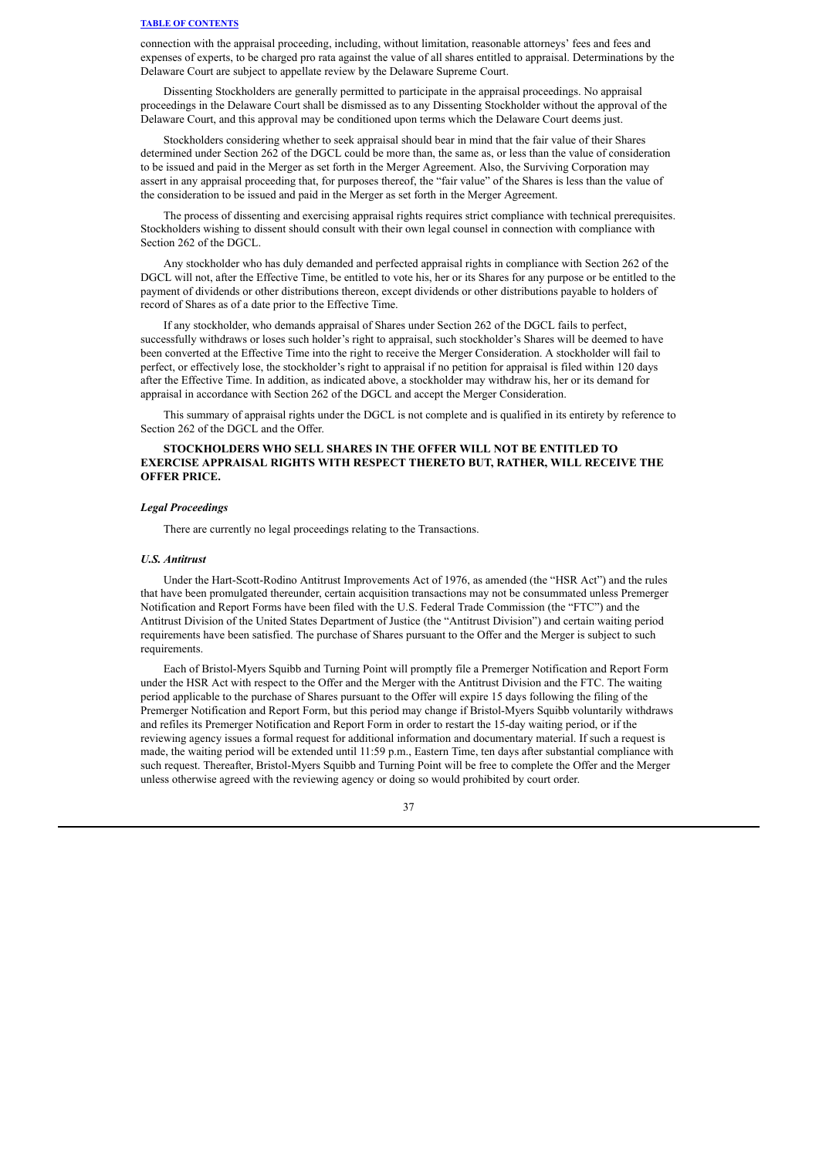connection with the appraisal proceeding, including, without limitation, reasonable attorneys' fees and fees and expenses of experts, to be charged pro rata against the value of all shares entitled to appraisal. Determinations by the Delaware Court are subject to appellate review by the Delaware Supreme Court.

Dissenting Stockholders are generally permitted to participate in the appraisal proceedings. No appraisal proceedings in the Delaware Court shall be dismissed as to any Dissenting Stockholder without the approval of the Delaware Court, and this approval may be conditioned upon terms which the Delaware Court deems just.

Stockholders considering whether to seek appraisal should bear in mind that the fair value of their Shares determined under Section 262 of the DGCL could be more than, the same as, or less than the value of consideration to be issued and paid in the Merger as set forth in the Merger Agreement. Also, the Surviving Corporation may assert in any appraisal proceeding that, for purposes thereof, the "fair value" of the Shares is less than the value of the consideration to be issued and paid in the Merger as set forth in the Merger Agreement.

The process of dissenting and exercising appraisal rights requires strict compliance with technical prerequisites. Stockholders wishing to dissent should consult with their own legal counsel in connection with compliance with Section 262 of the DGCL.

Any stockholder who has duly demanded and perfected appraisal rights in compliance with Section 262 of the DGCL will not, after the Effective Time, be entitled to vote his, her or its Shares for any purpose or be entitled to the payment of dividends or other distributions thereon, except dividends or other distributions payable to holders of record of Shares as of a date prior to the Effective Time.

If any stockholder, who demands appraisal of Shares under Section 262 of the DGCL fails to perfect, successfully withdraws or loses such holder's right to appraisal, such stockholder's Shares will be deemed to have been converted at the Effective Time into the right to receive the Merger Consideration. A stockholder will fail to perfect, or effectively lose, the stockholder's right to appraisal if no petition for appraisal is filed within 120 days after the Effective Time. In addition, as indicated above, a stockholder may withdraw his, her or its demand for appraisal in accordance with Section 262 of the DGCL and accept the Merger Consideration.

This summary of appraisal rights under the DGCL is not complete and is qualified in its entirety by reference to Section 262 of the DGCL and the Offer.

#### **STOCKHOLDERS WHO SELL SHARES IN THE OFFER WILL NOT BE ENTITLED TO EXERCISE APPRAISAL RIGHTS WITH RESPECT THERETO BUT, RATHER, WILL RECEIVE THE OFFER PRICE.**

#### *Legal Proceedings*

There are currently no legal proceedings relating to the Transactions.

#### *U.S. Antitrust*

Under the Hart-Scott-Rodino Antitrust Improvements Act of 1976, as amended (the "HSR Act") and the rules that have been promulgated thereunder, certain acquisition transactions may not be consummated unless Premerger Notification and Report Forms have been filed with the U.S. Federal Trade Commission (the "FTC") and the Antitrust Division of the United States Department of Justice (the "Antitrust Division") and certain waiting period requirements have been satisfied. The purchase of Shares pursuant to the Offer and the Merger is subject to such requirements

Each of Bristol-Myers Squibb and Turning Point will promptly file a Premerger Notification and Report Form under the HSR Act with respect to the Offer and the Merger with the Antitrust Division and the FTC. The waiting period applicable to the purchase of Shares pursuant to the Offer will expire 15 days following the filing of the Premerger Notification and Report Form, but this period may change if Bristol-Myers Squibb voluntarily withdraws and refiles its Premerger Notification and Report Form in order to restart the 15-day waiting period, or if the reviewing agency issues a formal request for additional information and documentary material. If such a request is made, the waiting period will be extended until 11:59 p.m., Eastern Time, ten days after substantial compliance with such request. Thereafter, Bristol-Myers Squibb and Turning Point will be free to complete the Offer and the Merger unless otherwise agreed with the reviewing agency or doing so would prohibited by court order.

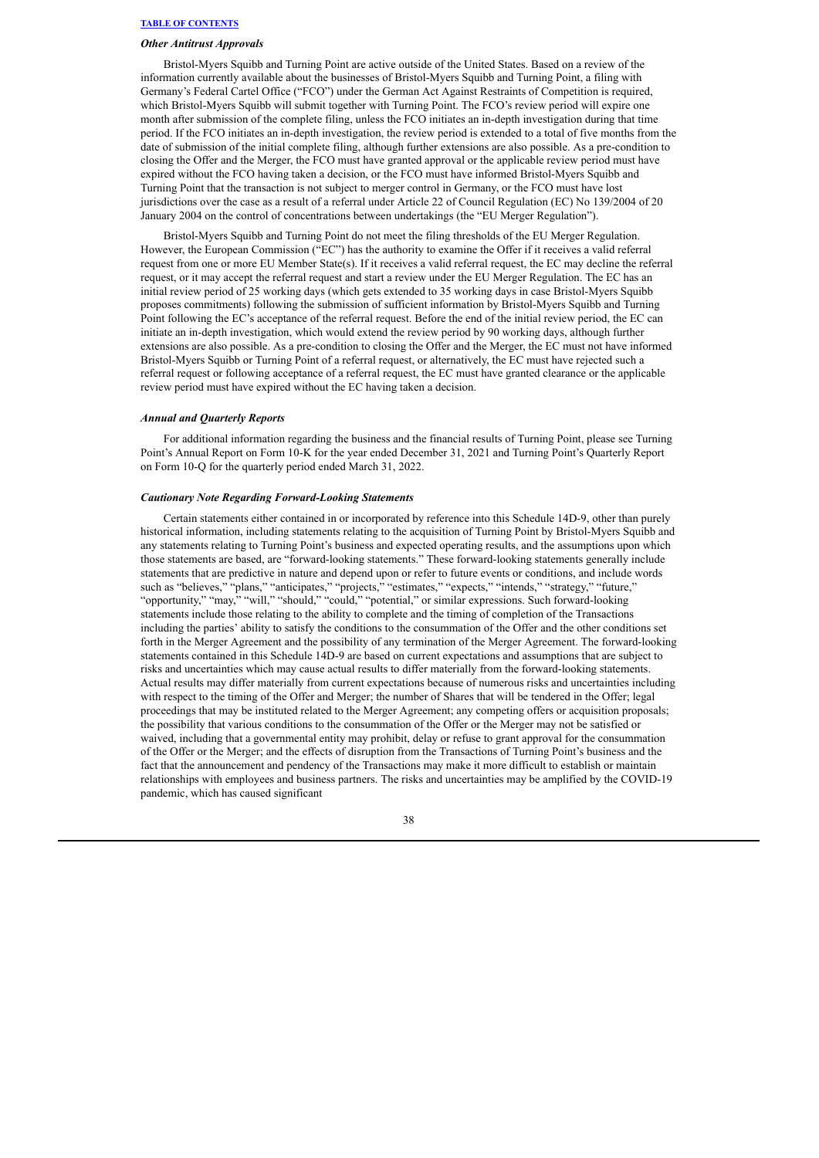#### *Other Antitrust Approvals*

Bristol-Myers Squibb and Turning Point are active outside of the United States. Based on a review of the information currently available about the businesses of Bristol-Myers Squibb and Turning Point, a filing with Germany's Federal Cartel Office ("FCO") under the German Act Against Restraints of Competition is required, which Bristol-Myers Squibb will submit together with Turning Point. The FCO's review period will expire one month after submission of the complete filing, unless the FCO initiates an in-depth investigation during that time period. If the FCO initiates an in-depth investigation, the review period is extended to a total of five months from the date of submission of the initial complete filing, although further extensions are also possible. As a pre-condition to closing the Offer and the Merger, the FCO must have granted approval or the applicable review period must have expired without the FCO having taken a decision, or the FCO must have informed Bristol-Myers Squibb and Turning Point that the transaction is not subject to merger control in Germany, or the FCO must have lost jurisdictions over the case as a result of a referral under Article 22 of Council Regulation (EC) No 139/2004 of 20 January 2004 on the control of concentrations between undertakings (the "EU Merger Regulation").

Bristol-Myers Squibb and Turning Point do not meet the filing thresholds of the EU Merger Regulation. However, the European Commission ("EC") has the authority to examine the Offer if it receives a valid referral request from one or more EU Member State(s). If it receives a valid referral request, the EC may decline the referral request, or it may accept the referral request and start a review under the EU Merger Regulation. The EC has an initial review period of 25 working days (which gets extended to 35 working days in case Bristol-Myers Squibb proposes commitments) following the submission of sufficient information by Bristol-Myers Squibb and Turning Point following the EC's acceptance of the referral request. Before the end of the initial review period, the EC can initiate an in-depth investigation, which would extend the review period by 90 working days, although further extensions are also possible. As a pre-condition to closing the Offer and the Merger, the EC must not have informed Bristol-Myers Squibb or Turning Point of a referral request, or alternatively, the EC must have rejected such a referral request or following acceptance of a referral request, the EC must have granted clearance or the applicable review period must have expired without the EC having taken a decision.

#### *Annual and Quarterly Reports*

For additional information regarding the business and the financial results of Turning Point, please see Turning Point's Annual Report on Form 10-K for the year ended December 31, 2021 and Turning Point's Quarterly Report on Form 10-Q for the quarterly period ended March 31, 2022.

#### *Cautionary Note Regarding Forward-Looking Statements*

Certain statements either contained in or incorporated by reference into this Schedule 14D-9, other than purely historical information, including statements relating to the acquisition of Turning Point by Bristol-Myers Squibb and any statements relating to Turning Point's business and expected operating results, and the assumptions upon which those statements are based, are "forward-looking statements." These forward-looking statements generally include statements that are predictive in nature and depend upon or refer to future events or conditions, and include words such as "believes," "plans," "anticipates," "projects," "estimates," "expects," "intends," "strategy," "future," "opportunity," "may," "will," "should," "could," "potential," or similar expressions. Such forward-looking statements include those relating to the ability to complete and the timing of completion of the Transactions including the parties' ability to satisfy the conditions to the consummation of the Offer and the other conditions set forth in the Merger Agreement and the possibility of any termination of the Merger Agreement. The forward-looking statements contained in this Schedule 14D-9 are based on current expectations and assumptions that are subject to risks and uncertainties which may cause actual results to differ materially from the forward-looking statements. Actual results may differ materially from current expectations because of numerous risks and uncertainties including with respect to the timing of the Offer and Merger; the number of Shares that will be tendered in the Offer; legal proceedings that may be instituted related to the Merger Agreement; any competing offers or acquisition proposals; the possibility that various conditions to the consummation of the Offer or the Merger may not be satisfied or waived, including that a governmental entity may prohibit, delay or refuse to grant approval for the consummation of the Offer or the Merger; and the effects of disruption from the Transactions of Turning Point's business and the fact that the announcement and pendency of the Transactions may make it more difficult to establish or maintain relationships with employees and business partners. The risks and uncertainties may be amplified by the COVID-19 pandemic, which has caused significant

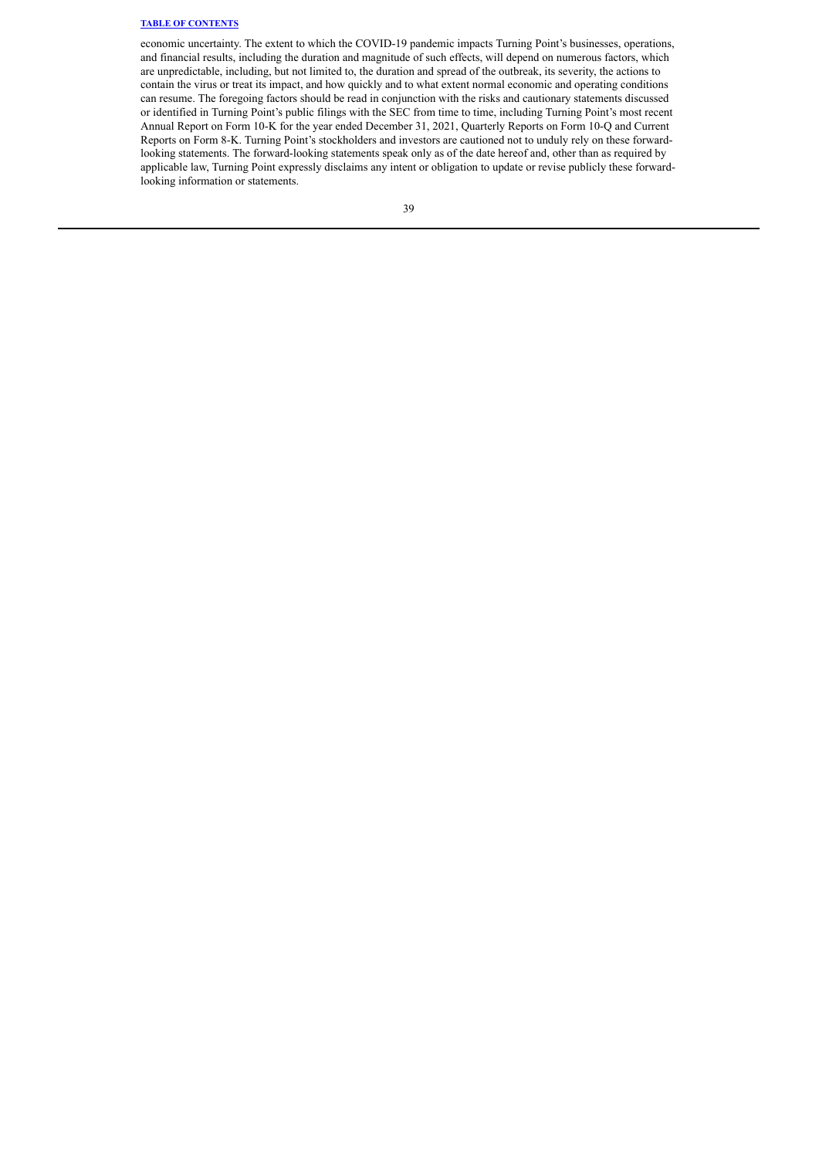economic uncertainty. The extent to which the COVID-19 pandemic impacts Turning Point's businesses, operations, and financial results, including the duration and magnitude of such effects, will depend on numerous factors, which are unpredictable, including, but not limited to, the duration and spread of the outbreak, its severity, the actions to contain the virus or treat its impact, and how quickly and to what extent normal economic and operating conditions can resume. The foregoing factors should be read in conjunction with the risks and cautionary statements discussed or identified in Turning Point's public filings with the SEC from time to time, including Turning Point's most recent Annual Report on Form 10-K for the year ended December 31, 2021, Quarterly Reports on Form 10-Q and Current Reports on Form 8-K. Turning Point's stockholders and investors are cautioned not to unduly rely on these forwardlooking statements. The forward-looking statements speak only as of the date hereof and, other than as required by applicable law, Turning Point expressly disclaims any intent or obligation to update or revise publicly these forwardlooking information or statements.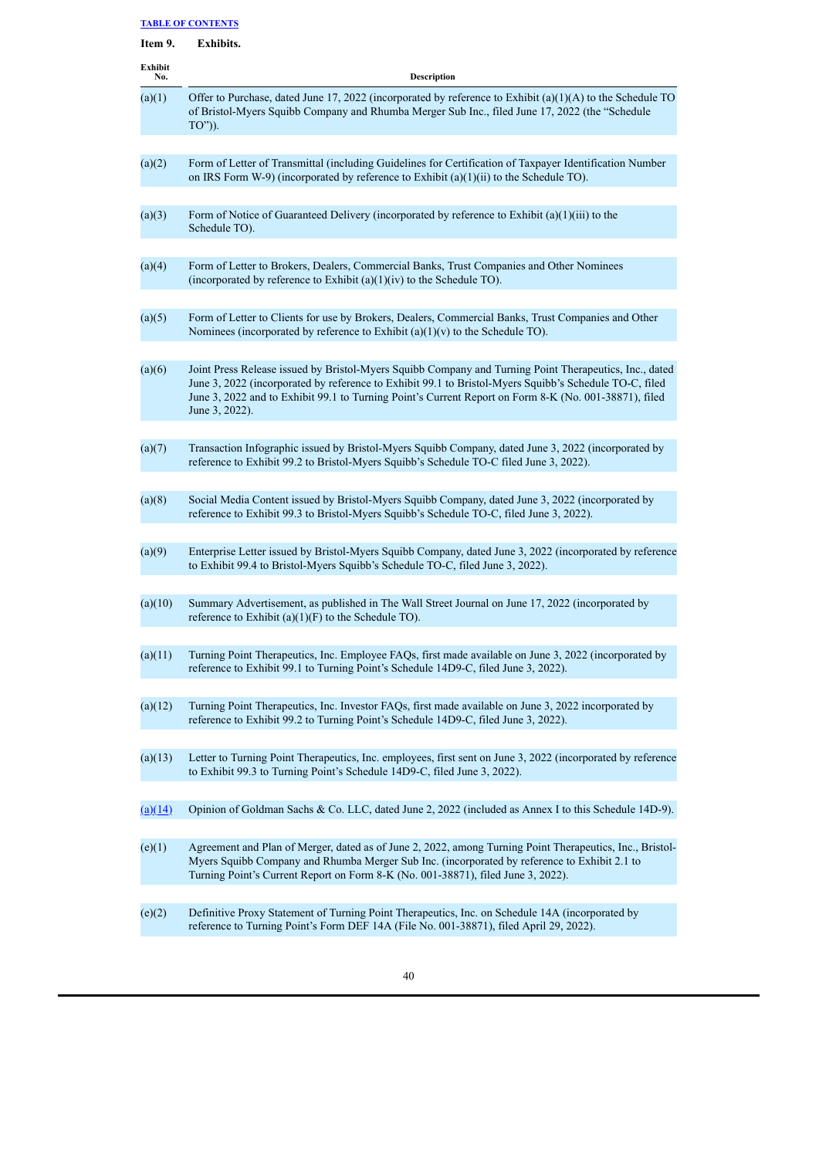<span id="page-41-0"></span>**Item 9. Exhibits.**

| Exhibit<br>No. | Description                                                                                                                                                                                                                                                                                                                                 |
|----------------|---------------------------------------------------------------------------------------------------------------------------------------------------------------------------------------------------------------------------------------------------------------------------------------------------------------------------------------------|
| (a)(1)         | Offer to Purchase, dated June 17, 2022 (incorporated by reference to Exhibit (a)(1)(A) to the Schedule TO<br>of Bristol-Myers Squibb Company and Rhumba Merger Sub Inc., filed June 17, 2022 (the "Schedule<br>$TO")$ ).                                                                                                                    |
| (a)(2)         | Form of Letter of Transmittal (including Guidelines for Certification of Taxpayer Identification Number<br>on IRS Form W-9) (incorporated by reference to Exhibit $(a)(1)(ii)$ to the Schedule TO).                                                                                                                                         |
| (a)(3)         | Form of Notice of Guaranteed Delivery (incorporated by reference to Exhibit (a)(1)(iii) to the<br>Schedule TO).                                                                                                                                                                                                                             |
| (a)(4)         | Form of Letter to Brokers, Dealers, Commercial Banks, Trust Companies and Other Nominees<br>(incorporated by reference to Exhibit $(a)(1)(iv)$ to the Schedule TO).                                                                                                                                                                         |
| (a)(5)         | Form of Letter to Clients for use by Brokers, Dealers, Commercial Banks, Trust Companies and Other<br>Nominees (incorporated by reference to Exhibit $(a)(1)(v)$ to the Schedule TO).                                                                                                                                                       |
| (a)(6)         | Joint Press Release issued by Bristol-Myers Squibb Company and Turning Point Therapeutics, Inc., dated<br>June 3, 2022 (incorporated by reference to Exhibit 99.1 to Bristol-Myers Squibb's Schedule TO-C, filed<br>June 3, 2022 and to Exhibit 99.1 to Turning Point's Current Report on Form 8-K (No. 001-38871), filed<br>June 3, 2022). |
| (a)(7)         | Transaction Infographic issued by Bristol-Myers Squibb Company, dated June 3, 2022 (incorporated by<br>reference to Exhibit 99.2 to Bristol-Myers Squibb's Schedule TO-C filed June 3, 2022).                                                                                                                                               |
| (a)(8)         | Social Media Content issued by Bristol-Myers Squibb Company, dated June 3, 2022 (incorporated by<br>reference to Exhibit 99.3 to Bristol-Myers Squibb's Schedule TO-C, filed June 3, 2022).                                                                                                                                                 |
| (a)(9)         | Enterprise Letter issued by Bristol-Myers Squibb Company, dated June 3, 2022 (incorporated by reference<br>to Exhibit 99.4 to Bristol-Myers Squibb's Schedule TO-C, filed June 3, 2022).                                                                                                                                                    |
| (a)(10)        | Summary Advertisement, as published in The Wall Street Journal on June 17, 2022 (incorporated by<br>reference to Exhibit $(a)(1)(F)$ to the Schedule TO).                                                                                                                                                                                   |
| (a)(11)        | Turning Point Therapeutics, Inc. Employee FAQs, first made available on June 3, 2022 (incorporated by<br>reference to Exhibit 99.1 to Turning Point's Schedule 14D9-C, filed June 3, 2022).                                                                                                                                                 |
| (a)(12)        | Turning Point Therapeutics, Inc. Investor FAQs, first made available on June 3, 2022 incorporated by<br>reference to Exhibit 99.2 to Turning Point's Schedule 14D9-C, filed June 3, 2022).                                                                                                                                                  |
| (a)(13)        | Letter to Turning Point Therapeutics, Inc. employees, first sent on June 3, 2022 (incorporated by reference<br>to Exhibit 99.3 to Turning Point's Schedule 14D9-C, filed June 3, 2022).                                                                                                                                                     |
| (a)(14)        | Opinion of Goldman Sachs & Co. LLC, dated June 2, 2022 (included as Annex I to this Schedule 14D-9).                                                                                                                                                                                                                                        |
| (e)(1)         | Agreement and Plan of Merger, dated as of June 2, 2022, among Turning Point Therapeutics, Inc., Bristol-<br>Myers Squibb Company and Rhumba Merger Sub Inc. (incorporated by reference to Exhibit 2.1 to<br>Turning Point's Current Report on Form 8-K (No. 001-38871), filed June 3, 2022).                                                |
| (e)(2)         | Definitive Proxy Statement of Turning Point Therapeutics, Inc. on Schedule 14A (incorporated by<br>reference to Turning Point's Form DEF 14A (File No. 001-38871), filed April 29, 2022).                                                                                                                                                   |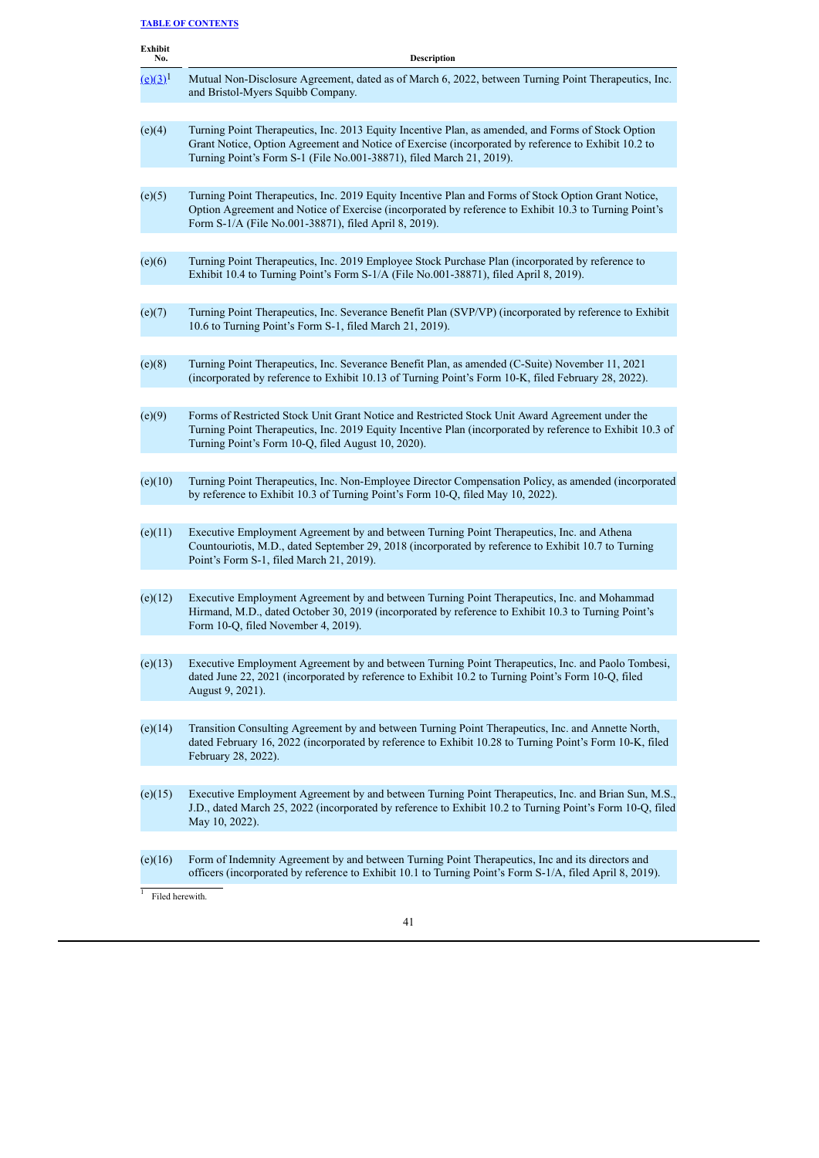| Exhibit<br>No.             | Description                                                                                                                                                                                                                                                                       |
|----------------------------|-----------------------------------------------------------------------------------------------------------------------------------------------------------------------------------------------------------------------------------------------------------------------------------|
| <u>(e)(3)</u> <sup>1</sup> | Mutual Non-Disclosure Agreement, dated as of March 6, 2022, between Turning Point Therapeutics, Inc.<br>and Bristol-Myers Squibb Company.                                                                                                                                         |
| (e)(4)                     | Turning Point Therapeutics, Inc. 2013 Equity Incentive Plan, as amended, and Forms of Stock Option<br>Grant Notice, Option Agreement and Notice of Exercise (incorporated by reference to Exhibit 10.2 to<br>Turning Point's Form S-1 (File No.001-38871), filed March 21, 2019). |
| (e)(5)                     | Turning Point Therapeutics, Inc. 2019 Equity Incentive Plan and Forms of Stock Option Grant Notice,<br>Option Agreement and Notice of Exercise (incorporated by reference to Exhibit 10.3 to Turning Point's<br>Form S-1/A (File No.001-38871), filed April 8, 2019).             |
| (e)(6)                     | Turning Point Therapeutics, Inc. 2019 Employee Stock Purchase Plan (incorporated by reference to<br>Exhibit 10.4 to Turning Point's Form S-1/A (File No.001-38871), filed April 8, 2019).                                                                                         |
| (e)(7)                     | Turning Point Therapeutics, Inc. Severance Benefit Plan (SVP/VP) (incorporated by reference to Exhibit<br>10.6 to Turning Point's Form S-1, filed March 21, 2019).                                                                                                                |
| (e)(8)                     | Turning Point Therapeutics, Inc. Severance Benefit Plan, as amended (C-Suite) November 11, 2021<br>(incorporated by reference to Exhibit 10.13 of Turning Point's Form 10-K, filed February 28, 2022).                                                                            |
| (e)(9)                     | Forms of Restricted Stock Unit Grant Notice and Restricted Stock Unit Award Agreement under the<br>Turning Point Therapeutics, Inc. 2019 Equity Incentive Plan (incorporated by reference to Exhibit 10.3 of<br>Turning Point's Form 10-Q, filed August 10, 2020).                |
| (e)(10)                    | Turning Point Therapeutics, Inc. Non-Employee Director Compensation Policy, as amended (incorporated<br>by reference to Exhibit 10.3 of Turning Point's Form 10-Q, filed May 10, 2022).                                                                                           |
| (e)(11)                    | Executive Employment Agreement by and between Turning Point Therapeutics, Inc. and Athena<br>Countouriotis, M.D., dated September 29, 2018 (incorporated by reference to Exhibit 10.7 to Turning<br>Point's Form S-1, filed March 21, 2019).                                      |
| (e)(12)                    | Executive Employment Agreement by and between Turning Point Therapeutics, Inc. and Mohammad<br>Hirmand, M.D., dated October 30, 2019 (incorporated by reference to Exhibit 10.3 to Turning Point's<br>Form 10-Q, filed November 4, 2019).                                         |
| (e)(13)                    | Executive Employment Agreement by and between Turning Point Therapeutics, Inc. and Paolo Tombesi,<br>dated June 22, 2021 (incorporated by reference to Exhibit 10.2 to Turning Point's Form 10-Q, filed<br>August 9, 2021).                                                       |
| (e)(14)                    | Transition Consulting Agreement by and between Turning Point Therapeutics, Inc. and Annette North,<br>dated February 16, 2022 (incorporated by reference to Exhibit 10.28 to Turning Point's Form 10-K, filed<br>February 28, 2022).                                              |
| (e)(15)                    | Executive Employment Agreement by and between Turning Point Therapeutics, Inc. and Brian Sun, M.S.,<br>J.D., dated March 25, 2022 (incorporated by reference to Exhibit 10.2 to Turning Point's Form 10-Q, filed<br>May 10, 2022).                                                |
| (e)(16)                    | Form of Indemnity Agreement by and between Turning Point Therapeutics, Inc and its directors and<br>officers (incorporated by reference to Exhibit 10.1 to Turning Point's Form S-1/A, filed April 8, 2019).                                                                      |
| Filed herewith.            |                                                                                                                                                                                                                                                                                   |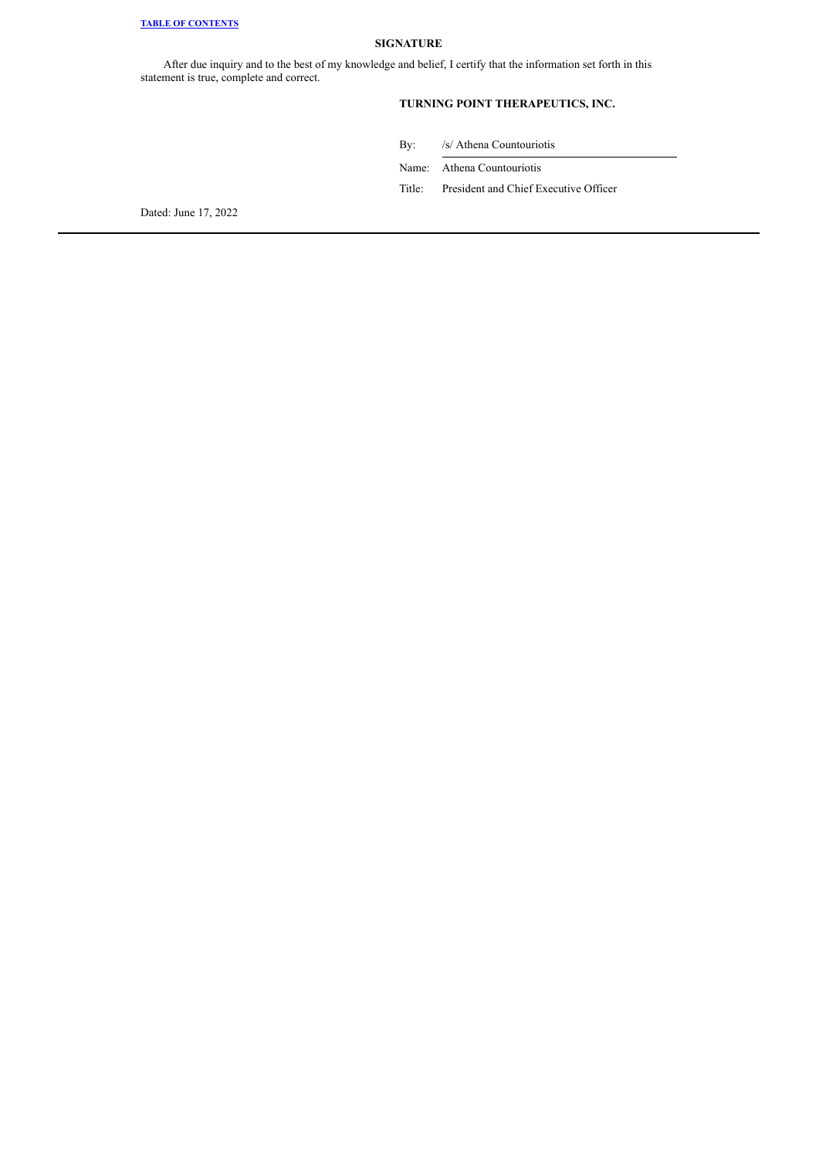#### **SIGNATURE**

After due inquiry and to the best of my knowledge and belief, I certify that the information set forth in this statement is true, complete and correct.

#### **TURNING POINT THERAPEUTICS, INC.**

By: /s/ Athena Countouriotis

Name: Athena Countouriotis

Title: President and Chief Executive Officer

Dated: June 17, 2022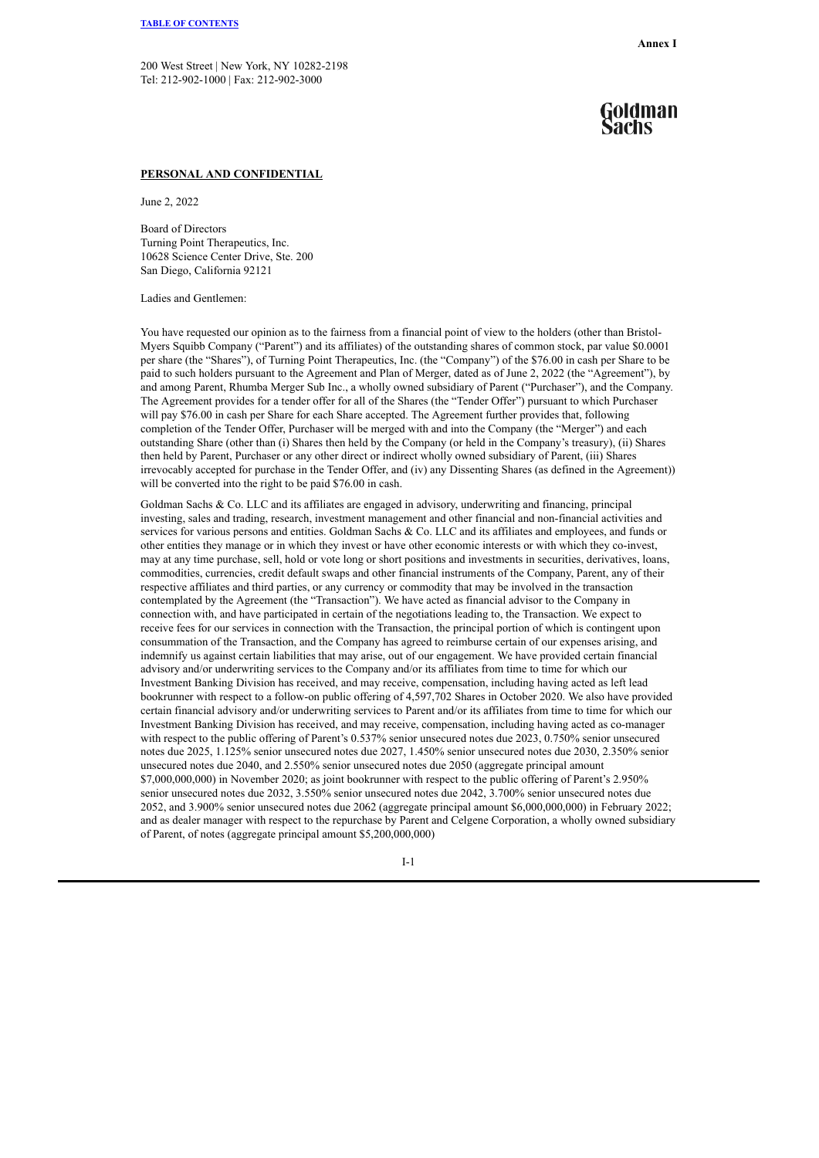# Goldman

#### <span id="page-44-0"></span>**PERSONAL AND CONFIDENTIAL**

June 2, 2022

Board of Directors Turning Point Therapeutics, Inc. 10628 Science Center Drive, Ste. 200 San Diego, California 92121

Ladies and Gentlemen:

You have requested our opinion as to the fairness from a financial point of view to the holders (other than Bristol-Myers Squibb Company ("Parent") and its affiliates) of the outstanding shares of common stock, par value \$0.0001 per share (the "Shares"), of Turning Point Therapeutics, Inc. (the "Company") of the \$76.00 in cash per Share to be paid to such holders pursuant to the Agreement and Plan of Merger, dated as of June 2, 2022 (the "Agreement"), by and among Parent, Rhumba Merger Sub Inc., a wholly owned subsidiary of Parent ("Purchaser"), and the Company. The Agreement provides for a tender offer for all of the Shares (the "Tender Offer") pursuant to which Purchaser will pay \$76.00 in cash per Share for each Share accepted. The Agreement further provides that, following completion of the Tender Offer, Purchaser will be merged with and into the Company (the "Merger") and each outstanding Share (other than (i) Shares then held by the Company (or held in the Company's treasury), (ii) Shares then held by Parent, Purchaser or any other direct or indirect wholly owned subsidiary of Parent, (iii) Shares irrevocably accepted for purchase in the Tender Offer, and (iv) any Dissenting Shares (as defined in the Agreement)) will be converted into the right to be paid \$76.00 in cash.

Goldman Sachs & Co. LLC and its affiliates are engaged in advisory, underwriting and financing, principal investing, sales and trading, research, investment management and other financial and non-financial activities and services for various persons and entities. Goldman Sachs & Co. LLC and its affiliates and employees, and funds or other entities they manage or in which they invest or have other economic interests or with which they co-invest, may at any time purchase, sell, hold or vote long or short positions and investments in securities, derivatives, loans, commodities, currencies, credit default swaps and other financial instruments of the Company, Parent, any of their respective affiliates and third parties, or any currency or commodity that may be involved in the transaction contemplated by the Agreement (the "Transaction"). We have acted as financial advisor to the Company in connection with, and have participated in certain of the negotiations leading to, the Transaction. We expect to receive fees for our services in connection with the Transaction, the principal portion of which is contingent upon consummation of the Transaction, and the Company has agreed to reimburse certain of our expenses arising, and indemnify us against certain liabilities that may arise, out of our engagement. We have provided certain financial advisory and/or underwriting services to the Company and/or its affiliates from time to time for which our Investment Banking Division has received, and may receive, compensation, including having acted as left lead bookrunner with respect to a follow-on public offering of 4,597,702 Shares in October 2020. We also have provided certain financial advisory and/or underwriting services to Parent and/or its affiliates from time to time for which our Investment Banking Division has received, and may receive, compensation, including having acted as co-manager with respect to the public offering of Parent's 0.537% senior unsecured notes due 2023, 0.750% senior unsecured notes due 2025, 1.125% senior unsecured notes due 2027, 1.450% senior unsecured notes due 2030, 2.350% senior unsecured notes due 2040, and 2.550% senior unsecured notes due 2050 (aggregate principal amount \$7,000,000,000) in November 2020; as joint bookrunner with respect to the public offering of Parent's 2.950% senior unsecured notes due 2032, 3.550% senior unsecured notes due 2042, 3.700% senior unsecured notes due 2052, and 3.900% senior unsecured notes due 2062 (aggregate principal amount \$6,000,000,000) in February 2022; and as dealer manager with respect to the repurchase by Parent and Celgene Corporation, a wholly owned subsidiary of Parent, of notes (aggregate principal amount \$5,200,000,000)

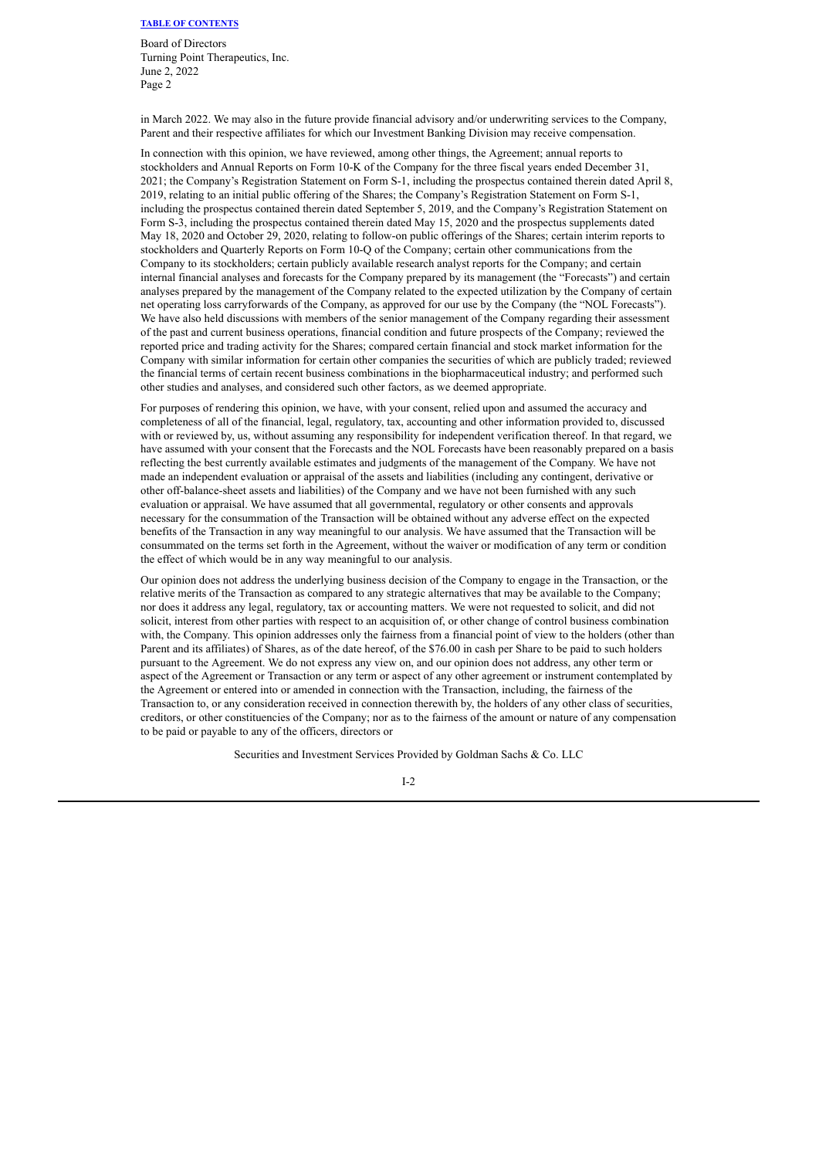Board of Directors Turning Point Therapeutics, Inc. June 2, 2022 Page 2

in March 2022. We may also in the future provide financial advisory and/or underwriting services to the Company, Parent and their respective affiliates for which our Investment Banking Division may receive compensation.

In connection with this opinion, we have reviewed, among other things, the Agreement; annual reports to stockholders and Annual Reports on Form 10-K of the Company for the three fiscal years ended December 31, 2021; the Company's Registration Statement on Form S-1, including the prospectus contained therein dated April 8, 2019, relating to an initial public offering of the Shares; the Company's Registration Statement on Form S-1, including the prospectus contained therein dated September 5, 2019, and the Company's Registration Statement on Form S-3, including the prospectus contained therein dated May 15, 2020 and the prospectus supplements dated May 18, 2020 and October 29, 2020, relating to follow-on public offerings of the Shares; certain interim reports to stockholders and Quarterly Reports on Form 10-Q of the Company; certain other communications from the Company to its stockholders; certain publicly available research analyst reports for the Company; and certain internal financial analyses and forecasts for the Company prepared by its management (the "Forecasts") and certain analyses prepared by the management of the Company related to the expected utilization by the Company of certain net operating loss carryforwards of the Company, as approved for our use by the Company (the "NOL Forecasts"). We have also held discussions with members of the senior management of the Company regarding their assessment of the past and current business operations, financial condition and future prospects of the Company; reviewed the reported price and trading activity for the Shares; compared certain financial and stock market information for the Company with similar information for certain other companies the securities of which are publicly traded; reviewed the financial terms of certain recent business combinations in the biopharmaceutical industry; and performed such other studies and analyses, and considered such other factors, as we deemed appropriate.

For purposes of rendering this opinion, we have, with your consent, relied upon and assumed the accuracy and completeness of all of the financial, legal, regulatory, tax, accounting and other information provided to, discussed with or reviewed by, us, without assuming any responsibility for independent verification thereof. In that regard, we have assumed with your consent that the Forecasts and the NOL Forecasts have been reasonably prepared on a basis reflecting the best currently available estimates and judgments of the management of the Company. We have not made an independent evaluation or appraisal of the assets and liabilities (including any contingent, derivative or other off-balance-sheet assets and liabilities) of the Company and we have not been furnished with any such evaluation or appraisal. We have assumed that all governmental, regulatory or other consents and approvals necessary for the consummation of the Transaction will be obtained without any adverse effect on the expected benefits of the Transaction in any way meaningful to our analysis. We have assumed that the Transaction will be consummated on the terms set forth in the Agreement, without the waiver or modification of any term or condition the effect of which would be in any way meaningful to our analysis.

Our opinion does not address the underlying business decision of the Company to engage in the Transaction, or the relative merits of the Transaction as compared to any strategic alternatives that may be available to the Company; nor does it address any legal, regulatory, tax or accounting matters. We were not requested to solicit, and did not solicit, interest from other parties with respect to an acquisition of, or other change of control business combination with, the Company. This opinion addresses only the fairness from a financial point of view to the holders (other than Parent and its affiliates) of Shares, as of the date hereof, of the \$76.00 in cash per Share to be paid to such holders pursuant to the Agreement. We do not express any view on, and our opinion does not address, any other term or aspect of the Agreement or Transaction or any term or aspect of any other agreement or instrument contemplated by the Agreement or entered into or amended in connection with the Transaction, including, the fairness of the Transaction to, or any consideration received in connection therewith by, the holders of any other class of securities, creditors, or other constituencies of the Company; nor as to the fairness of the amount or nature of any compensation to be paid or payable to any of the officers, directors or

Securities and Investment Services Provided by Goldman Sachs & Co. LLC

 $I-2$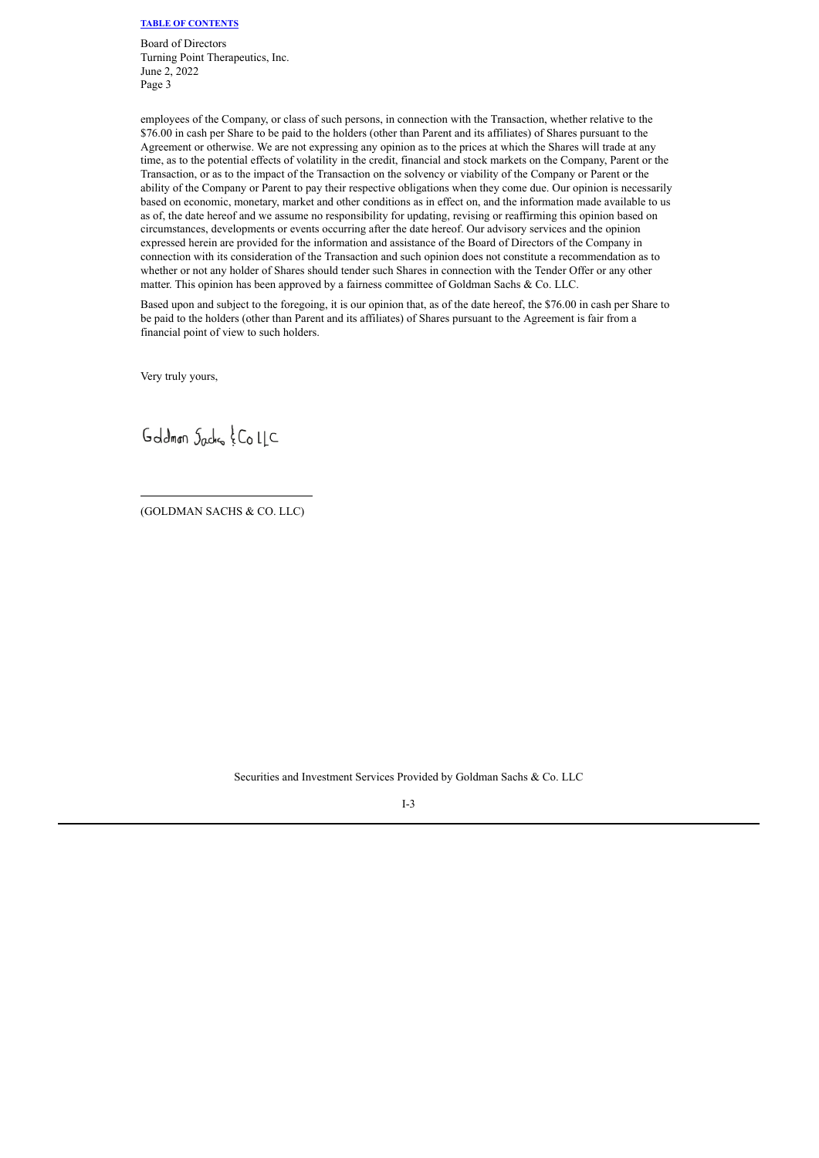Board of Directors Turning Point Therapeutics, Inc. June 2, 2022 Page 3

employees of the Company, or class of such persons, in connection with the Transaction, whether relative to the \$76.00 in cash per Share to be paid to the holders (other than Parent and its affiliates) of Shares pursuant to the Agreement or otherwise. We are not expressing any opinion as to the prices at which the Shares will trade at any time, as to the potential effects of volatility in the credit, financial and stock markets on the Company, Parent or the Transaction, or as to the impact of the Transaction on the solvency or viability of the Company or Parent or the ability of the Company or Parent to pay their respective obligations when they come due. Our opinion is necessarily based on economic, monetary, market and other conditions as in effect on, and the information made available to us as of, the date hereof and we assume no responsibility for updating, revising or reaffirming this opinion based on circumstances, developments or events occurring after the date hereof. Our advisory services and the opinion expressed herein are provided for the information and assistance of the Board of Directors of the Company in connection with its consideration of the Transaction and such opinion does not constitute a recommendation as to whether or not any holder of Shares should tender such Shares in connection with the Tender Offer or any other matter. This opinion has been approved by a fairness committee of Goldman Sachs & Co. LLC.

Based upon and subject to the foregoing, it is our opinion that, as of the date hereof, the \$76.00 in cash per Share to be paid to the holders (other than Parent and its affiliates) of Shares pursuant to the Agreement is fair from a financial point of view to such holders.

Very truly yours,

 $Gddman$  Sache  $EC_0LIC$ 

(GOLDMAN SACHS & CO. LLC)

Securities and Investment Services Provided by Goldman Sachs & Co. LLC

I-3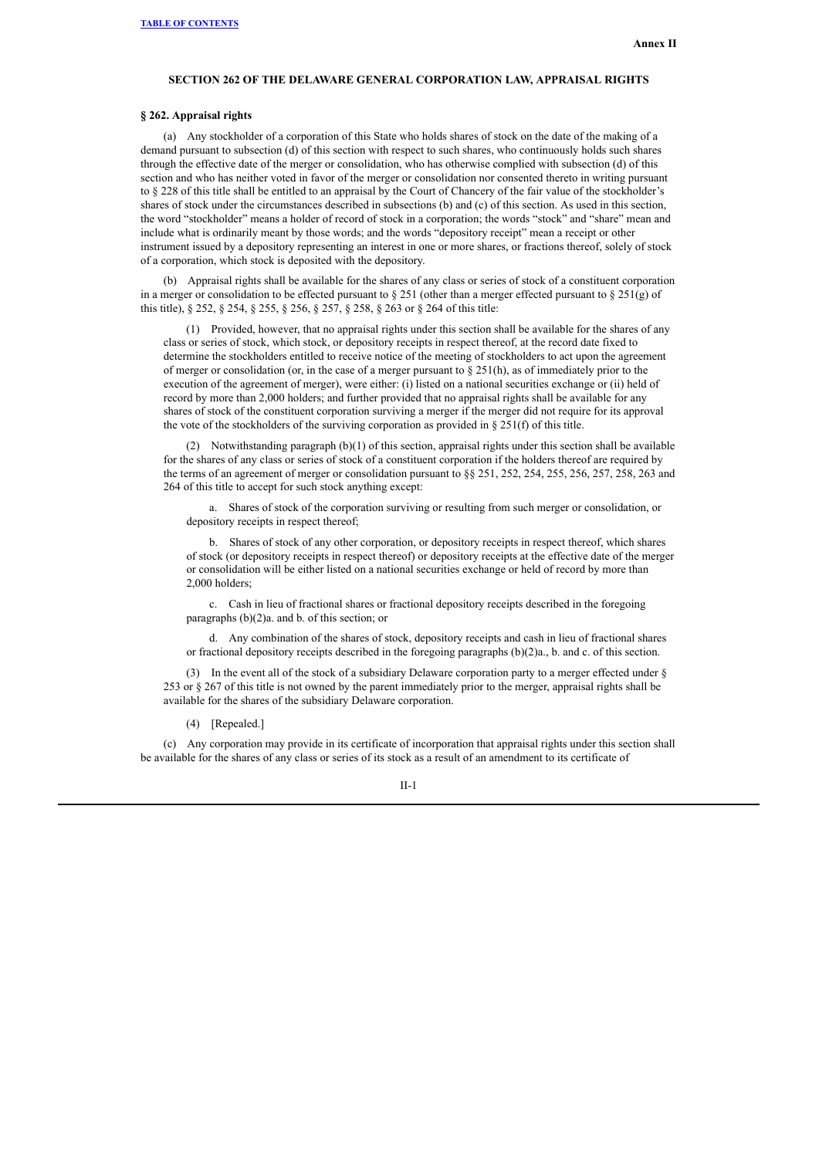#### <span id="page-47-0"></span>**SECTION 262 OF THE DELAWARE GENERAL CORPORATION LAW, APPRAISAL RIGHTS**

#### **§ 262. Appraisal rights**

(a) Any stockholder of a corporation of this State who holds shares of stock on the date of the making of a demand pursuant to subsection (d) of this section with respect to such shares, who continuously holds such shares through the effective date of the merger or consolidation, who has otherwise complied with subsection (d) of this section and who has neither voted in favor of the merger or consolidation nor consented thereto in writing pursuant to § 228 of this title shall be entitled to an appraisal by the Court of Chancery of the fair value of the stockholder's shares of stock under the circumstances described in subsections (b) and (c) of this section. As used in this section, the word "stockholder" means a holder of record of stock in a corporation; the words "stock" and "share" mean and include what is ordinarily meant by those words; and the words "depository receipt" mean a receipt or other instrument issued by a depository representing an interest in one or more shares, or fractions thereof, solely of stock of a corporation, which stock is deposited with the depository.

(b) Appraisal rights shall be available for the shares of any class or series of stock of a constituent corporation in a merger or consolidation to be effected pursuant to  $\S 251$  (other than a merger effected pursuant to  $\S 251(g)$  of this title), § 252, § 254, § 255, § 256, § 257, § 258, § 263 or § 264 of this title:

(1) Provided, however, that no appraisal rights under this section shall be available for the shares of any class or series of stock, which stock, or depository receipts in respect thereof, at the record date fixed to determine the stockholders entitled to receive notice of the meeting of stockholders to act upon the agreement of merger or consolidation (or, in the case of a merger pursuant to  $\S 251(h)$ , as of immediately prior to the execution of the agreement of merger), were either: (i) listed on a national securities exchange or (ii) held of record by more than 2,000 holders; and further provided that no appraisal rights shall be available for any shares of stock of the constituent corporation surviving a merger if the merger did not require for its approval the vote of the stockholders of the surviving corporation as provided in § 251(f) of this title.

(2) Notwithstanding paragraph (b)(1) of this section, appraisal rights under this section shall be available for the shares of any class or series of stock of a constituent corporation if the holders thereof are required by the terms of an agreement of merger or consolidation pursuant to §§ 251, 252, 254, 255, 256, 257, 258, 263 and 264 of this title to accept for such stock anything except:

a. Shares of stock of the corporation surviving or resulting from such merger or consolidation, or depository receipts in respect thereof;

b. Shares of stock of any other corporation, or depository receipts in respect thereof, which shares of stock (or depository receipts in respect thereof) or depository receipts at the effective date of the merger or consolidation will be either listed on a national securities exchange or held of record by more than 2,000 holders;

c. Cash in lieu of fractional shares or fractional depository receipts described in the foregoing paragraphs (b)(2)a. and b. of this section; or

d. Any combination of the shares of stock, depository receipts and cash in lieu of fractional shares or fractional depository receipts described in the foregoing paragraphs (b)(2)a., b. and c. of this section.

(3) In the event all of the stock of a subsidiary Delaware corporation party to a merger effected under § 253 or § 267 of this title is not owned by the parent immediately prior to the merger, appraisal rights shall be available for the shares of the subsidiary Delaware corporation.

(4) [Repealed.]

(c) Any corporation may provide in its certificate of incorporation that appraisal rights under this section shall be available for the shares of any class or series of its stock as a result of an amendment to its certificate of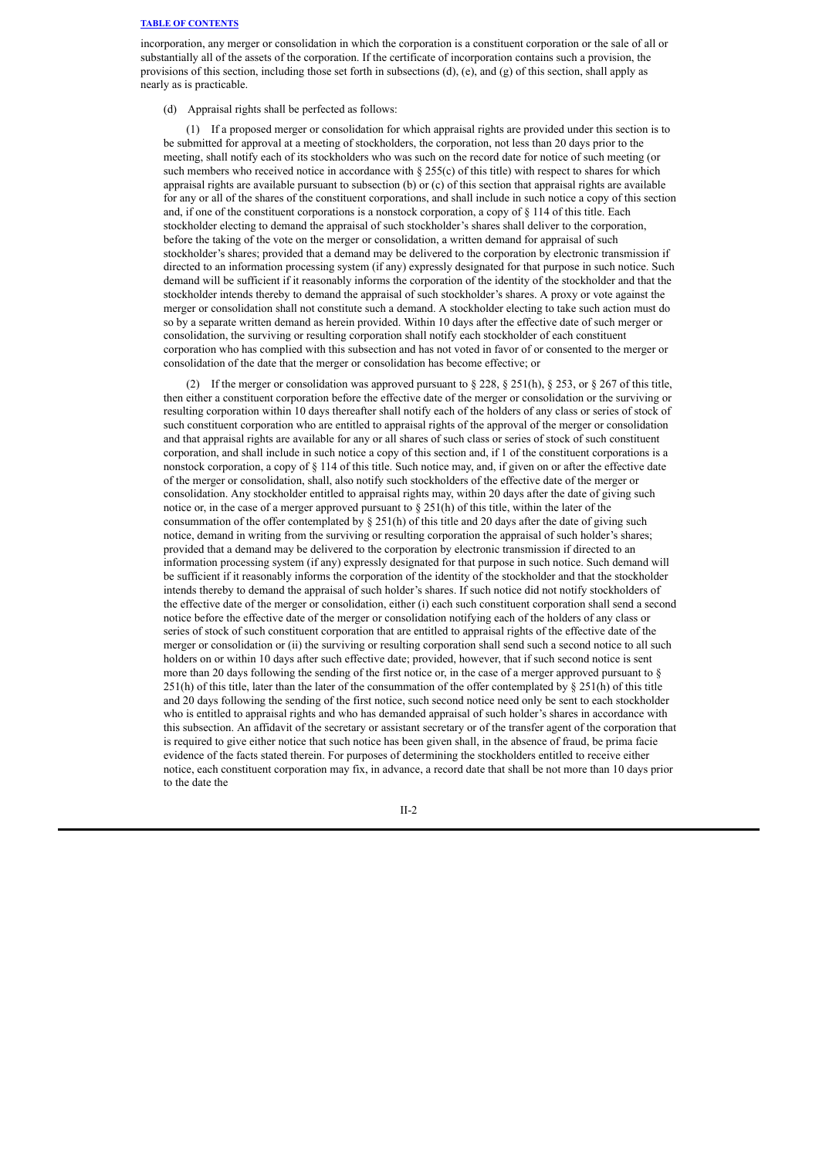incorporation, any merger or consolidation in which the corporation is a constituent corporation or the sale of all or substantially all of the assets of the corporation. If the certificate of incorporation contains such a provision, the provisions of this section, including those set forth in subsections (d), (e), and (g) of this section, shall apply as nearly as is practicable.

#### (d) Appraisal rights shall be perfected as follows:

(1) If a proposed merger or consolidation for which appraisal rights are provided under this section is to be submitted for approval at a meeting of stockholders, the corporation, not less than 20 days prior to the meeting, shall notify each of its stockholders who was such on the record date for notice of such meeting (or such members who received notice in accordance with  $\S 255(c)$  of this title) with respect to shares for which appraisal rights are available pursuant to subsection (b) or (c) of this section that appraisal rights are available for any or all of the shares of the constituent corporations, and shall include in such notice a copy of this section and, if one of the constituent corporations is a nonstock corporation, a copy of § 114 of this title. Each stockholder electing to demand the appraisal of such stockholder's shares shall deliver to the corporation, before the taking of the vote on the merger or consolidation, a written demand for appraisal of such stockholder's shares; provided that a demand may be delivered to the corporation by electronic transmission if directed to an information processing system (if any) expressly designated for that purpose in such notice. Such demand will be sufficient if it reasonably informs the corporation of the identity of the stockholder and that the stockholder intends thereby to demand the appraisal of such stockholder's shares. A proxy or vote against the merger or consolidation shall not constitute such a demand. A stockholder electing to take such action must do so by a separate written demand as herein provided. Within 10 days after the effective date of such merger or consolidation, the surviving or resulting corporation shall notify each stockholder of each constituent corporation who has complied with this subsection and has not voted in favor of or consented to the merger or consolidation of the date that the merger or consolidation has become effective; or

(2) If the merger or consolidation was approved pursuant to § 228, § 251(h), § 253, or § 267 of this title, then either a constituent corporation before the effective date of the merger or consolidation or the surviving or resulting corporation within 10 days thereafter shall notify each of the holders of any class or series of stock of such constituent corporation who are entitled to appraisal rights of the approval of the merger or consolidation and that appraisal rights are available for any or all shares of such class or series of stock of such constituent corporation, and shall include in such notice a copy of this section and, if 1 of the constituent corporations is a nonstock corporation, a copy of § 114 of this title. Such notice may, and, if given on or after the effective date of the merger or consolidation, shall, also notify such stockholders of the effective date of the merger or consolidation. Any stockholder entitled to appraisal rights may, within 20 days after the date of giving such notice or, in the case of a merger approved pursuant to  $\S 251(h)$  of this title, within the later of the consummation of the offer contemplated by  $\frac{8.251(h)}{h}$  of this title and 20 days after the date of giving such notice, demand in writing from the surviving or resulting corporation the appraisal of such holder's shares; provided that a demand may be delivered to the corporation by electronic transmission if directed to an information processing system (if any) expressly designated for that purpose in such notice. Such demand will be sufficient if it reasonably informs the corporation of the identity of the stockholder and that the stockholder intends thereby to demand the appraisal of such holder's shares. If such notice did not notify stockholders of the effective date of the merger or consolidation, either (i) each such constituent corporation shall send a second notice before the effective date of the merger or consolidation notifying each of the holders of any class or series of stock of such constituent corporation that are entitled to appraisal rights of the effective date of the merger or consolidation or (ii) the surviving or resulting corporation shall send such a second notice to all such holders on or within 10 days after such effective date; provided, however, that if such second notice is sent more than 20 days following the sending of the first notice or, in the case of a merger approved pursuant to  $\delta$ 251(h) of this title, later than the later of the consummation of the offer contemplated by  $\S 251(h)$  of this title and 20 days following the sending of the first notice, such second notice need only be sent to each stockholder who is entitled to appraisal rights and who has demanded appraisal of such holder's shares in accordance with this subsection. An affidavit of the secretary or assistant secretary or of the transfer agent of the corporation that is required to give either notice that such notice has been given shall, in the absence of fraud, be prima facie evidence of the facts stated therein. For purposes of determining the stockholders entitled to receive either notice, each constituent corporation may fix, in advance, a record date that shall be not more than 10 days prior to the date the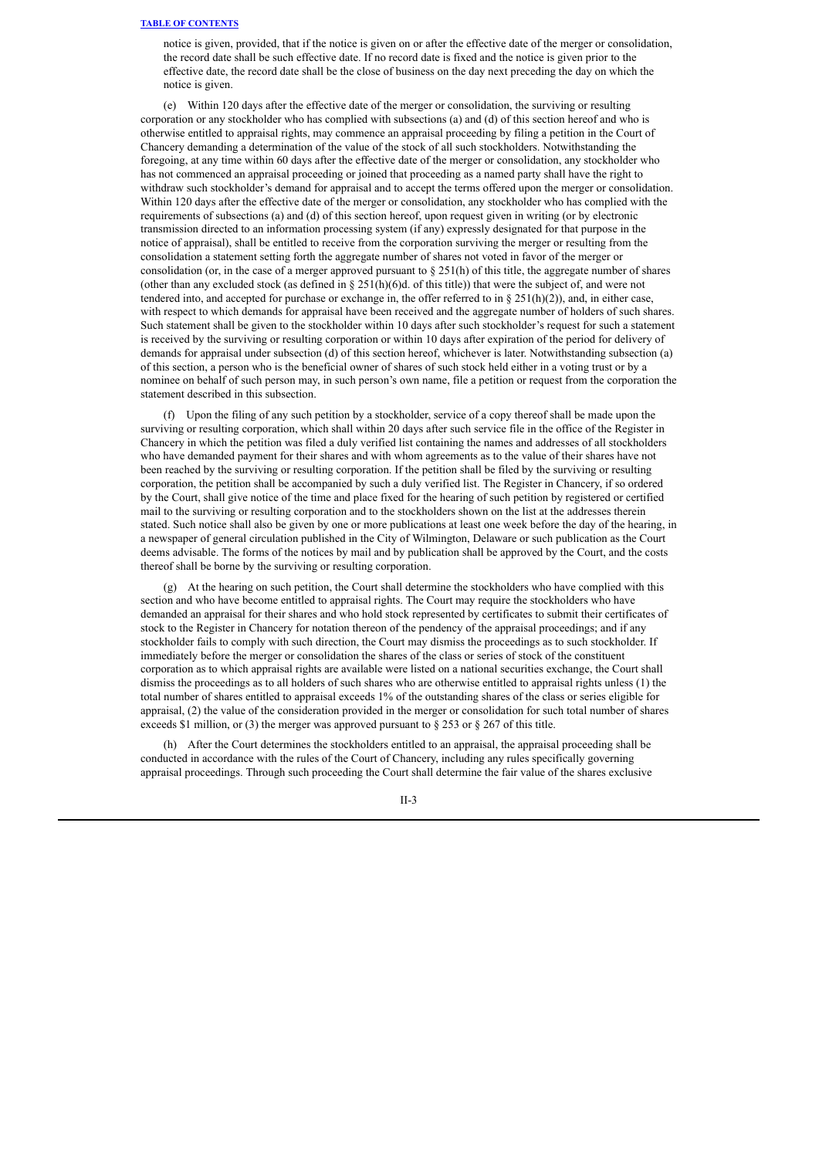notice is given, provided, that if the notice is given on or after the effective date of the merger or consolidation, the record date shall be such effective date. If no record date is fixed and the notice is given prior to the effective date, the record date shall be the close of business on the day next preceding the day on which the notice is given.

(e) Within 120 days after the effective date of the merger or consolidation, the surviving or resulting corporation or any stockholder who has complied with subsections (a) and (d) of this section hereof and who is otherwise entitled to appraisal rights, may commence an appraisal proceeding by filing a petition in the Court of Chancery demanding a determination of the value of the stock of all such stockholders. Notwithstanding the foregoing, at any time within 60 days after the effective date of the merger or consolidation, any stockholder who has not commenced an appraisal proceeding or joined that proceeding as a named party shall have the right to withdraw such stockholder's demand for appraisal and to accept the terms offered upon the merger or consolidation. Within 120 days after the effective date of the merger or consolidation, any stockholder who has complied with the requirements of subsections (a) and (d) of this section hereof, upon request given in writing (or by electronic transmission directed to an information processing system (if any) expressly designated for that purpose in the notice of appraisal), shall be entitled to receive from the corporation surviving the merger or resulting from the consolidation a statement setting forth the aggregate number of shares not voted in favor of the merger or consolidation (or, in the case of a merger approved pursuant to  $\S 251(h)$  of this title, the aggregate number of shares (other than any excluded stock (as defined in  $\S$  251(h)(6)d. of this title)) that were the subject of, and were not tendered into, and accepted for purchase or exchange in, the offer referred to in  $\S 251(h)(2)$ ), and, in either case, with respect to which demands for appraisal have been received and the aggregate number of holders of such shares. Such statement shall be given to the stockholder within 10 days after such stockholder's request for such a statement is received by the surviving or resulting corporation or within 10 days after expiration of the period for delivery of demands for appraisal under subsection (d) of this section hereof, whichever is later. Notwithstanding subsection (a) of this section, a person who is the beneficial owner of shares of such stock held either in a voting trust or by a nominee on behalf of such person may, in such person's own name, file a petition or request from the corporation the statement described in this subsection.

(f) Upon the filing of any such petition by a stockholder, service of a copy thereof shall be made upon the surviving or resulting corporation, which shall within 20 days after such service file in the office of the Register in Chancery in which the petition was filed a duly verified list containing the names and addresses of all stockholders who have demanded payment for their shares and with whom agreements as to the value of their shares have not been reached by the surviving or resulting corporation. If the petition shall be filed by the surviving or resulting corporation, the petition shall be accompanied by such a duly verified list. The Register in Chancery, if so ordered by the Court, shall give notice of the time and place fixed for the hearing of such petition by registered or certified mail to the surviving or resulting corporation and to the stockholders shown on the list at the addresses therein stated. Such notice shall also be given by one or more publications at least one week before the day of the hearing, in a newspaper of general circulation published in the City of Wilmington, Delaware or such publication as the Court deems advisable. The forms of the notices by mail and by publication shall be approved by the Court, and the costs thereof shall be borne by the surviving or resulting corporation.

(g) At the hearing on such petition, the Court shall determine the stockholders who have complied with this section and who have become entitled to appraisal rights. The Court may require the stockholders who have demanded an appraisal for their shares and who hold stock represented by certificates to submit their certificates of stock to the Register in Chancery for notation thereon of the pendency of the appraisal proceedings; and if any stockholder fails to comply with such direction, the Court may dismiss the proceedings as to such stockholder. If immediately before the merger or consolidation the shares of the class or series of stock of the constituent corporation as to which appraisal rights are available were listed on a national securities exchange, the Court shall dismiss the proceedings as to all holders of such shares who are otherwise entitled to appraisal rights unless (1) the total number of shares entitled to appraisal exceeds 1% of the outstanding shares of the class or series eligible for appraisal, (2) the value of the consideration provided in the merger or consolidation for such total number of shares exceeds \$1 million, or (3) the merger was approved pursuant to § 253 or § 267 of this title.

(h) After the Court determines the stockholders entitled to an appraisal, the appraisal proceeding shall be conducted in accordance with the rules of the Court of Chancery, including any rules specifically governing appraisal proceedings. Through such proceeding the Court shall determine the fair value of the shares exclusive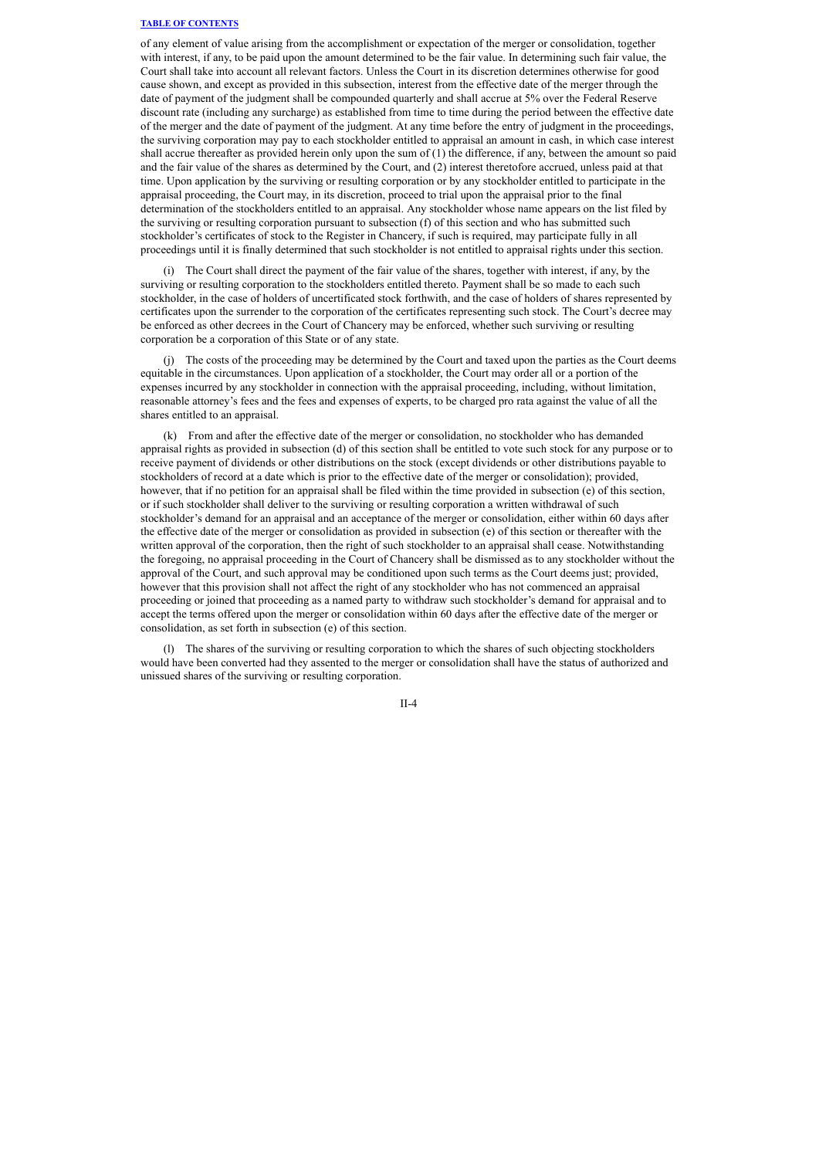of any element of value arising from the accomplishment or expectation of the merger or consolidation, together with interest, if any, to be paid upon the amount determined to be the fair value. In determining such fair value, the Court shall take into account all relevant factors. Unless the Court in its discretion determines otherwise for good cause shown, and except as provided in this subsection, interest from the effective date of the merger through the date of payment of the judgment shall be compounded quarterly and shall accrue at 5% over the Federal Reserve discount rate (including any surcharge) as established from time to time during the period between the effective date of the merger and the date of payment of the judgment. At any time before the entry of judgment in the proceedings, the surviving corporation may pay to each stockholder entitled to appraisal an amount in cash, in which case interest shall accrue thereafter as provided herein only upon the sum of (1) the difference, if any, between the amount so paid and the fair value of the shares as determined by the Court, and (2) interest theretofore accrued, unless paid at that time. Upon application by the surviving or resulting corporation or by any stockholder entitled to participate in the appraisal proceeding, the Court may, in its discretion, proceed to trial upon the appraisal prior to the final determination of the stockholders entitled to an appraisal. Any stockholder whose name appears on the list filed by the surviving or resulting corporation pursuant to subsection (f) of this section and who has submitted such stockholder's certificates of stock to the Register in Chancery, if such is required, may participate fully in all proceedings until it is finally determined that such stockholder is not entitled to appraisal rights under this section.

(i) The Court shall direct the payment of the fair value of the shares, together with interest, if any, by the surviving or resulting corporation to the stockholders entitled thereto. Payment shall be so made to each such stockholder, in the case of holders of uncertificated stock forthwith, and the case of holders of shares represented by certificates upon the surrender to the corporation of the certificates representing such stock. The Court's decree may be enforced as other decrees in the Court of Chancery may be enforced, whether such surviving or resulting corporation be a corporation of this State or of any state.

(j) The costs of the proceeding may be determined by the Court and taxed upon the parties as the Court deems equitable in the circumstances. Upon application of a stockholder, the Court may order all or a portion of the expenses incurred by any stockholder in connection with the appraisal proceeding, including, without limitation, reasonable attorney's fees and the fees and expenses of experts, to be charged pro rata against the value of all the shares entitled to an appraisal.

(k) From and after the effective date of the merger or consolidation, no stockholder who has demanded appraisal rights as provided in subsection (d) of this section shall be entitled to vote such stock for any purpose or to receive payment of dividends or other distributions on the stock (except dividends or other distributions payable to stockholders of record at a date which is prior to the effective date of the merger or consolidation); provided, however, that if no petition for an appraisal shall be filed within the time provided in subsection (e) of this section, or if such stockholder shall deliver to the surviving or resulting corporation a written withdrawal of such stockholder's demand for an appraisal and an acceptance of the merger or consolidation, either within 60 days after the effective date of the merger or consolidation as provided in subsection (e) of this section or thereafter with the written approval of the corporation, then the right of such stockholder to an appraisal shall cease. Notwithstanding the foregoing, no appraisal proceeding in the Court of Chancery shall be dismissed as to any stockholder without the approval of the Court, and such approval may be conditioned upon such terms as the Court deems just; provided, however that this provision shall not affect the right of any stockholder who has not commenced an appraisal proceeding or joined that proceeding as a named party to withdraw such stockholder's demand for appraisal and to accept the terms offered upon the merger or consolidation within 60 days after the effective date of the merger or consolidation, as set forth in subsection (e) of this section.

(l) The shares of the surviving or resulting corporation to which the shares of such objecting stockholders would have been converted had they assented to the merger or consolidation shall have the status of authorized and unissued shares of the surviving or resulting corporation.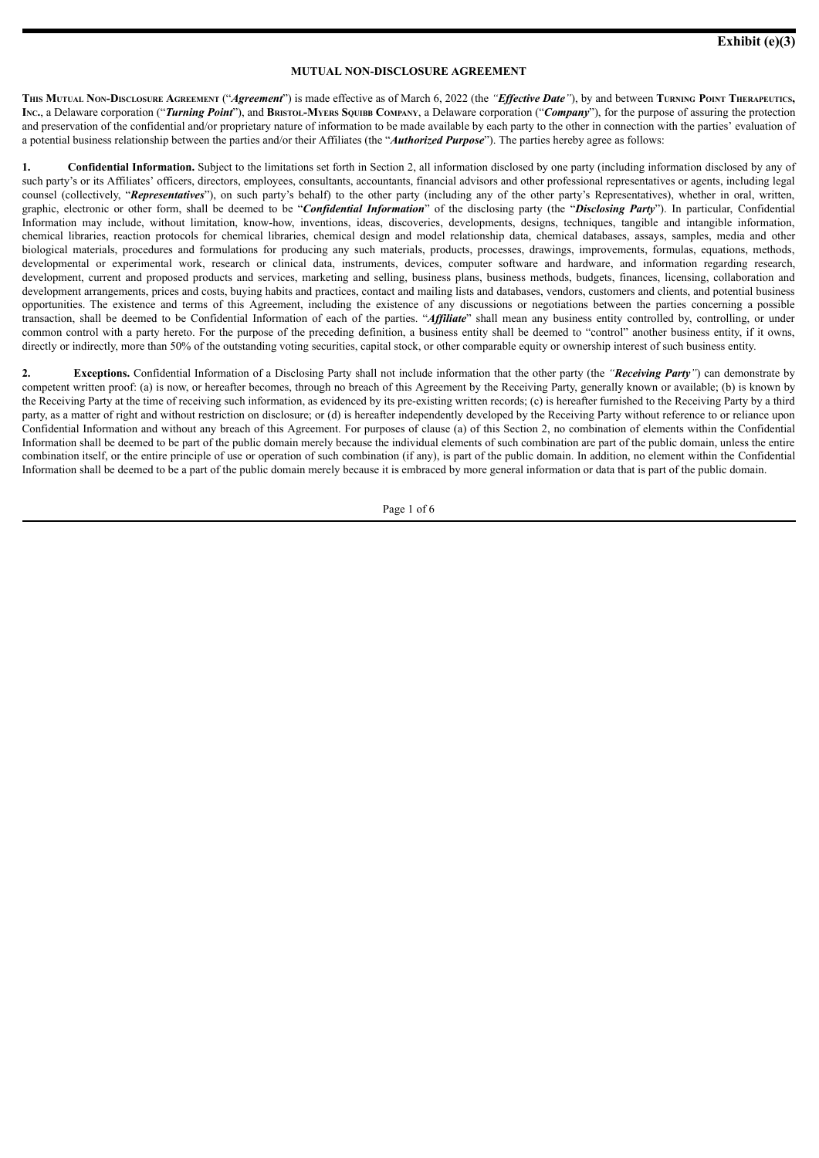#### **MUTUAL NON-DISCLOSURE AGREEMENT**

<span id="page-51-0"></span>THIS MUTUAL NON-DISCLOSURE AGREEMENT ("Agreement") is made effective as of March 6, 2022 (the "Effective Date"), by and between TURNING POINT THERAPEUTICS, INC., a Delaware corporation ("Turning Point"), and BRISTOL-MYERS SQUIBB COMPANY, a Delaware corporation ("Company"), for the purpose of assuring the protection and preservation of the confidential and/or proprietary nature of information to be made available by each party to the other in connection with the parties' evaluation of a potential business relationship between the parties and/or their Affiliates (the "*Authorized Purpose*"). The parties hereby agree as follows:

**1. Confidential Information.** Subject to the limitations set forth in Section 2, all information disclosed by one party (including information disclosed by any of such party's or its Affiliates' officers, directors, employees, consultants, accountants, financial advisors and other professional representatives or agents, including legal counsel (collectively, "*Representatives*"), on such party's behalf) to the other party (including any of the other party's Representatives), whether in oral, written, graphic, electronic or other form, shall be deemed to be "*Confidential Information*" of the disclosing party (the "*Disclosing Party*"). In particular, Confidential Information may include, without limitation, know-how, inventions, ideas, discoveries, developments, designs, techniques, tangible and intangible information, chemical libraries, reaction protocols for chemical libraries, chemical design and model relationship data, chemical databases, assays, samples, media and other biological materials, procedures and formulations for producing any such materials, products, processes, drawings, improvements, formulas, equations, methods, developmental or experimental work, research or clinical data, instruments, devices, computer software and hardware, and information regarding research, development, current and proposed products and services, marketing and selling, business plans, business methods, budgets, finances, licensing, collaboration and development arrangements, prices and costs, buying habits and practices, contact and mailing lists and databases, vendors, customers and clients, and potential business opportunities. The existence and terms of this Agreement, including the existence of any discussions or negotiations between the parties concerning a possible transaction, shall be deemed to be Confidential Information of each of the parties. "*Af iliate*" shall mean any business entity controlled by, controlling, or under common control with a party hereto. For the purpose of the preceding definition, a business entity shall be deemed to "control" another business entity, if it owns, directly or indirectly, more than 50% of the outstanding voting securities, capital stock, or other comparable equity or ownership interest of such business entity.

**2. Exceptions.** Confidential Information of a Disclosing Party shall not include information that the other party (the *"Receiving Party"*) can demonstrate by competent written proof: (a) is now, or hereafter becomes, through no breach of this Agreement by the Receiving Party, generally known or available; (b) is known by the Receiving Party at the time of receiving such information, as evidenced by its pre-existing written records; (c) is hereafter furnished to the Receiving Party by a third party, as a matter of right and without restriction on disclosure; or (d) is hereafter independently developed by the Receiving Party without reference to or reliance upon Confidential Information and without any breach of this Agreement. For purposes of clause (a) of this Section 2, no combination of elements within the Confidential Information shall be deemed to be part of the public domain merely because the individual elements of such combination are part of the public domain, unless the entire combination itself, or the entire principle of use or operation of such combination (if any), is part of the public domain. In addition, no element within the Confidential Information shall be deemed to be a part of the public domain merely because it is embraced by more general information or data that is part of the public domain.

Page 1 of 6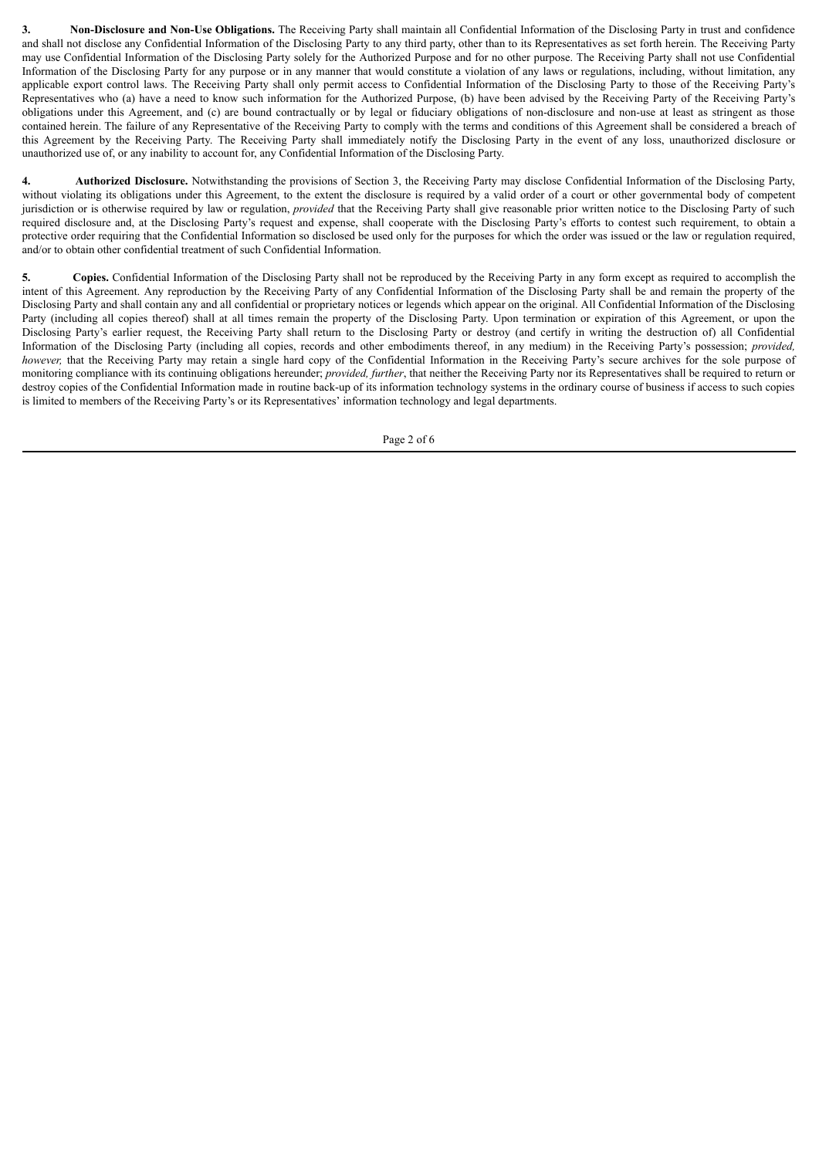**3. Non-Disclosure and Non-Use Obligations.** The Receiving Party shall maintain all Confidential Information of the Disclosing Party in trust and confidence and shall not disclose any Confidential Information of the Disclosing Party to any third party, other than to its Representatives as set forth herein. The Receiving Party may use Confidential Information of the Disclosing Party solely for the Authorized Purpose and for no other purpose. The Receiving Party shall not use Confidential Information of the Disclosing Party for any purpose or in any manner that would constitute a violation of any laws or regulations, including, without limitation, any applicable export control laws. The Receiving Party shall only permit access to Confidential Information of the Disclosing Party to those of the Receiving Party's Representatives who (a) have a need to know such information for the Authorized Purpose, (b) have been advised by the Receiving Party of the Receiving Party's obligations under this Agreement, and (c) are bound contractually or by legal or fiduciary obligations of non-disclosure and non-use at least as stringent as those contained herein. The failure of any Representative of the Receiving Party to comply with the terms and conditions of this Agreement shall be considered a breach of this Agreement by the Receiving Party. The Receiving Party shall immediately notify the Disclosing Party in the event of any loss, unauthorized disclosure or unauthorized use of, or any inability to account for, any Confidential Information of the Disclosing Party.

**4. Authorized Disclosure.** Notwithstanding the provisions of Section 3, the Receiving Party may disclose Confidential Information of the Disclosing Party, without violating its obligations under this Agreement, to the extent the disclosure is required by a valid order of a court or other governmental body of competent jurisdiction or is otherwise required by law or regulation, *provided* that the Receiving Party shall give reasonable prior written notice to the Disclosing Party of such required disclosure and, at the Disclosing Party's request and expense, shall cooperate with the Disclosing Party's efforts to contest such requirement, to obtain a protective order requiring that the Confidential Information so disclosed be used only for the purposes for which the order was issued or the law or regulation required, and/or to obtain other confidential treatment of such Confidential Information.

**5. Copies.** Confidential Information of the Disclosing Party shall not be reproduced by the Receiving Party in any form except as required to accomplish the intent of this Agreement. Any reproduction by the Receiving Party of any Confidential Information of the Disclosing Party shall be and remain the property of the Disclosing Party and shall contain any and all confidential or proprietary notices or legends which appear on the original. All Confidential Information of the Disclosing Party (including all copies thereof) shall at all times remain the property of the Disclosing Party. Upon termination or expiration of this Agreement, or upon the Disclosing Party's earlier request, the Receiving Party shall return to the Disclosing Party or destroy (and certify in writing the destruction of) all Confidential Information of the Disclosing Party (including all copies, records and other embodiments thereof, in any medium) in the Receiving Party's possession; *provided, however*, that the Receiving Party may retain a single hard copy of the Confidential Information in the Receiving Party's secure archives for the sole purpose of monitoring compliance with its continuing obligations hereunder; *provided, further*, that neither the Receiving Party nor its Representatives shall be required to return or destroy copies of the Confidential Information made in routine back-up of its information technology systems in the ordinary course of business if access to such copies is limited to members of the Receiving Party's or its Representatives' information technology and legal departments.

Page 2 of 6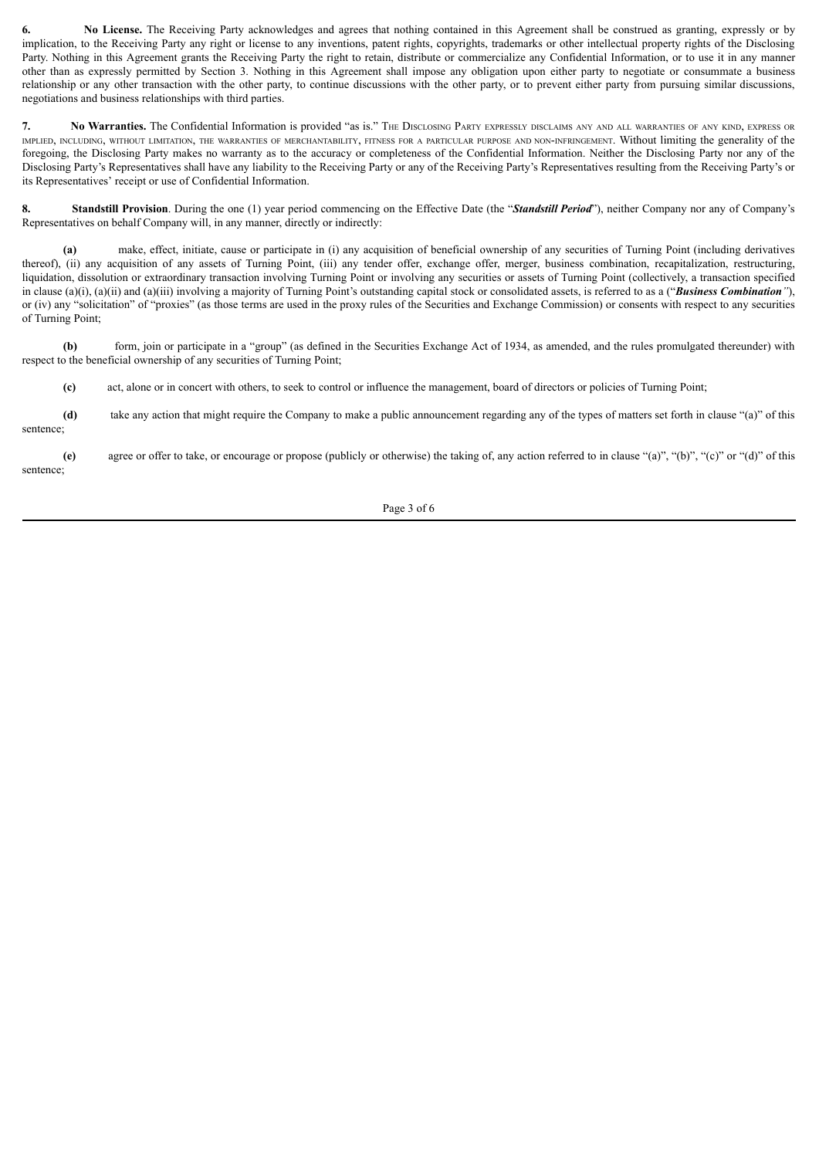**6. No License.** The Receiving Party acknowledges and agrees that nothing contained in this Agreement shall be construed as granting, expressly or by implication, to the Receiving Party any right or license to any inventions, patent rights, copyrights, trademarks or other intellectual property rights of the Disclosing Party. Nothing in this Agreement grants the Receiving Party the right to retain, distribute or commercialize any Confidential Information, or to use it in any manner other than as expressly permitted by Section 3. Nothing in this Agreement shall impose any obligation upon either party to negotiate or consummate a business relationship or any other transaction with the other party, to continue discussions with the other party, or to prevent either party from pursuing similar discussions, negotiations and business relationships with third parties.

**7. No Warranties.** The Confidential Information is provided "as is." The Disclosing Party expressly disclaims any and all warranties of any kind, express or implied, including, without limitation, the warranties of merchantability, fitness for <sup>a</sup> particular purpose and non-infringement. Without limiting the generality of the foregoing, the Disclosing Party makes no warranty as to the accuracy or completeness of the Confidential Information. Neither the Disclosing Party nor any of the Disclosing Party's Representatives shall have any liability to the Receiving Party or any of the Receiving Party's Representatives resulting from the Receiving Party's or its Representatives' receipt or use of Confidential Information.

**8. Standstill Provision**. During the one (1) year period commencing on the Effective Date (the "*Standstill Period*"), neither Company nor any of Company's Representatives on behalf Company will, in any manner, directly or indirectly:

**(a)** make, effect, initiate, cause or participate in (i) any acquisition of beneficial ownership of any securities of Turning Point (including derivatives thereof), (ii) any acquisition of any assets of Turning Point, (iii) any tender offer, exchange offer, merger, business combination, recapitalization, restructuring, liquidation, dissolution or extraordinary transaction involving Turning Point or involving any securities or assets of Turning Point (collectively, a transaction specified in clause (a)(i), (a)(ii) and (a)(iii) involving a majority of Turning Point's outstanding capital stock or consolidated assets, is referred to as a ("*Business Combination"*), or (iv) any "solicitation" of "proxies" (as those terms are used in the proxy rules of the Securities and Exchange Commission) or consents with respect to any securities of Turning Point;

**(b)** form, join or participate in a "group" (as defined in the Securities Exchange Act of 1934, as amended, and the rules promulgated thereunder) with respect to the beneficial ownership of any securities of Turning Point;

**(c)** act, alone or in concert with others, to seek to control or influence the management, board of directors or policies of Turning Point;

**(d)** take any action that might require the Company to make a public announcement regarding any of the types of matters set forth in clause "(a)" of this sentence;

**(e)** agree or offer to take, or encourage or propose (publicly or otherwise) the taking of, any action referred to in clause "(a)", "(b)", "(c)" or "(d)" of this sentence;

Page 3 of 6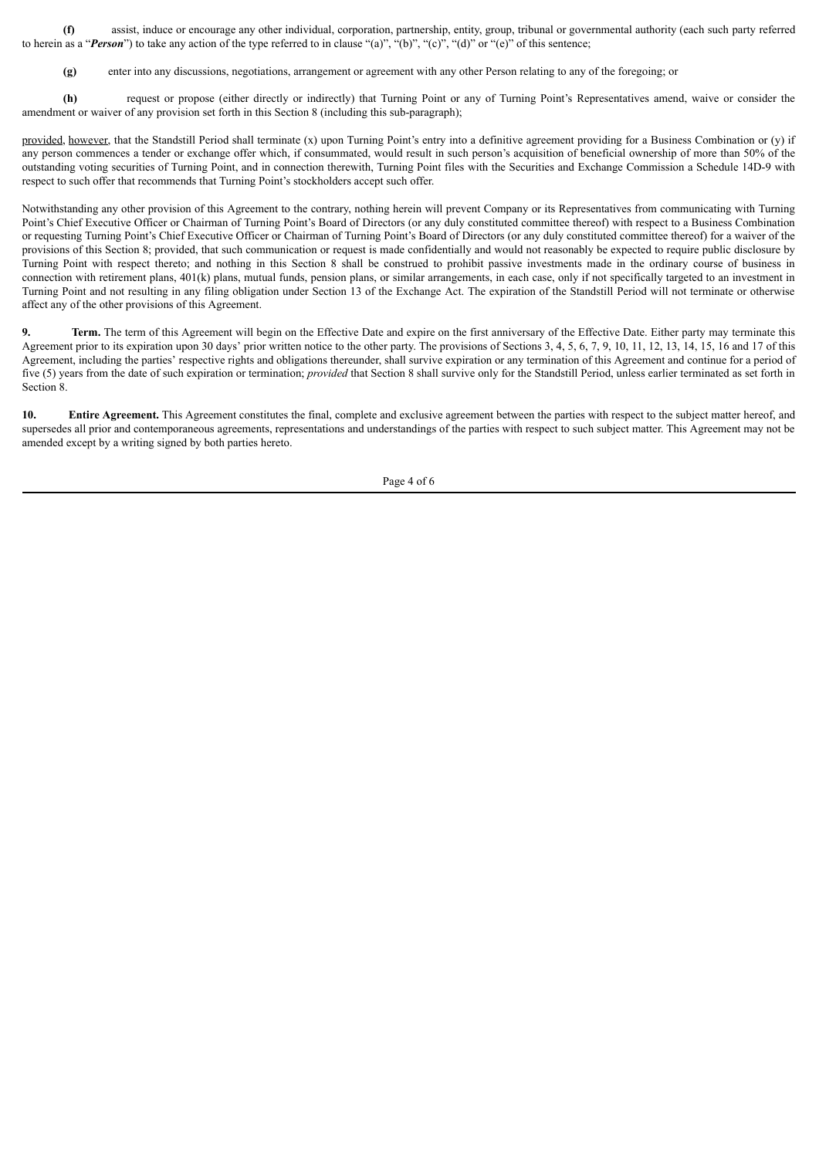**(f)** assist, induce or encourage any other individual, corporation, partnership, entity, group, tribunal or governmental authority (each such party referred to herein as a "**Person**") to take any action of the type referred to in clause "(a)", "(b)", "(c)", "(d)" or "(e)" of this sentence;

**(g)** enter into any discussions, negotiations, arrangement or agreement with any other Person relating to any of the foregoing; or

**(h)** request or propose (either directly or indirectly) that Turning Point or any of Turning Point's Representatives amend, waive or consider the amendment or waiver of any provision set forth in this Section 8 (including this sub-paragraph);

provided, however, that the Standstill Period shall terminate (x) upon Turning Point's entry into a definitive agreement providing for a Business Combination or (y) if any person commences a tender or exchange offer which, if consummated, would result in such person's acquisition of beneficial ownership of more than 50% of the outstanding voting securities of Turning Point, and in connection therewith, Turning Point files with the Securities and Exchange Commission a Schedule 14D-9 with respect to such offer that recommends that Turning Point's stockholders accept such offer.

Notwithstanding any other provision of this Agreement to the contrary, nothing herein will prevent Company or its Representatives from communicating with Turning Point's Chief Executive Officer or Chairman of Turning Point's Board of Directors (or any duly constituted committee thereof) with respect to a Business Combination or requesting Turning Point's Chief Executive Officer or Chairman of Turning Point's Board of Directors (or any duly constituted committee thereof) for a waiver of the provisions of this Section 8; provided, that such communication or request is made confidentially and would not reasonably be expected to require public disclosure by Turning Point with respect thereto; and nothing in this Section 8 shall be construed to prohibit passive investments made in the ordinary course of business in connection with retirement plans, 401(k) plans, mutual funds, pension plans, or similar arrangements, in each case, only if not specifically targeted to an investment in Turning Point and not resulting in any filing obligation under Section 13 of the Exchange Act. The expiration of the Standstill Period will not terminate or otherwise affect any of the other provisions of this Agreement.

**9. Term.** The term of this Agreement will begin on the Effective Date and expire on the first anniversary of the Effective Date. Either party may terminate this Agreement prior to its expiration upon 30 days' prior written notice to the other party. The provisions of Sections 3, 4, 5, 6, 7, 9, 10, 11, 12, 13, 14, 15, 16 and 17 of this Agreement, including the parties' respective rights and obligations thereunder, shall survive expiration or any termination of this Agreement and continue for a period of five (5) years from the date of such expiration or termination; *provided* that Section 8 shall survive only for the Standstill Period, unless earlier terminated as set forth in Section 8.

**10. Entire Agreement.** This Agreement constitutes the final, complete and exclusive agreement between the parties with respect to the subject matter hereof, and supersedes all prior and contemporaneous agreements, representations and understandings of the parties with respect to such subject matter. This Agreement may not be amended except by a writing signed by both parties hereto.

Page 4 of 6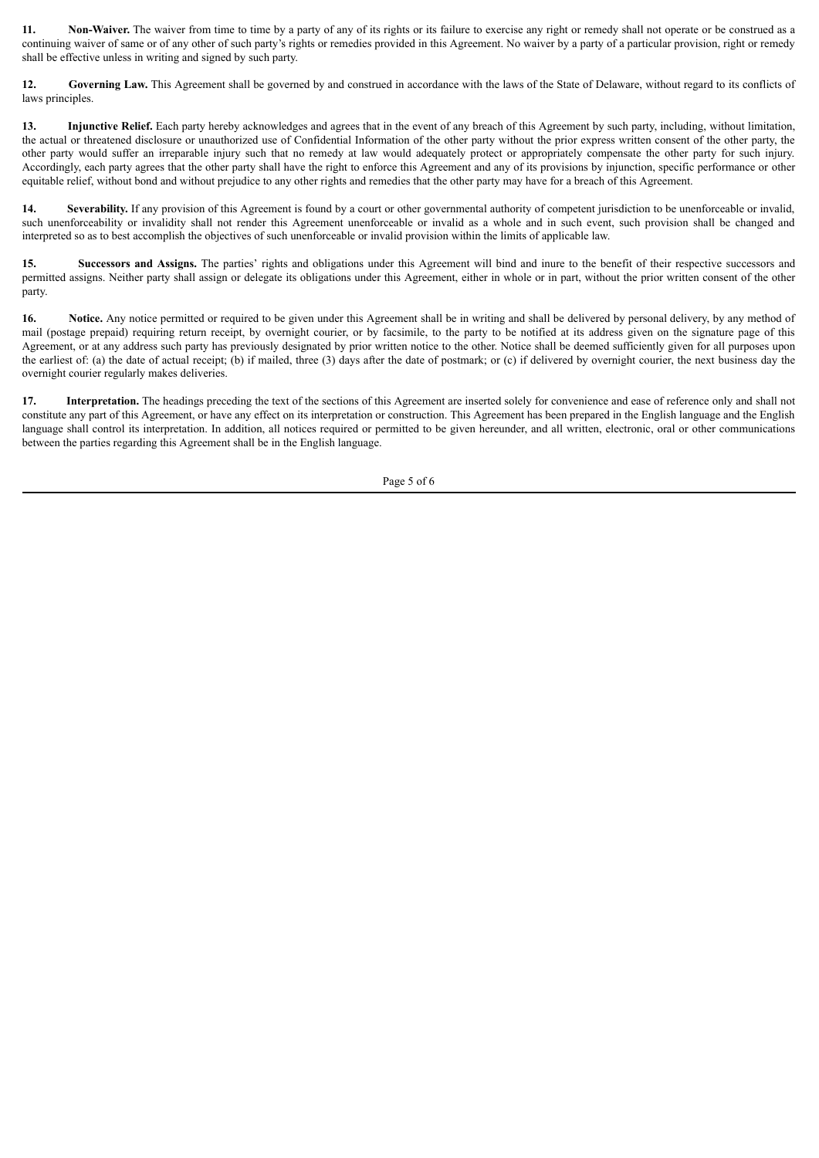**11. Non-Waiver.** The waiver from time to time by a party of any of its rights or its failure to exercise any right or remedy shall not operate or be construed as a continuing waiver of same or of any other of such party's rights or remedies provided in this Agreement. No waiver by a party of a particular provision, right or remedy shall be effective unless in writing and signed by such party.

12. **Governing Law.** This Agreement shall be governed by and construed in accordance with the laws of the State of Delaware, without regard to its conflicts of laws principles.

**13. Injunctive Relief.** Each party hereby acknowledges and agrees that in the event of any breach of this Agreement by such party, including, without limitation, the actual or threatened disclosure or unauthorized use of Confidential Information of the other party without the prior express written consent of the other party, the other party would suffer an irreparable injury such that no remedy at law would adequately protect or appropriately compensate the other party for such injury. Accordingly, each party agrees that the other party shall have the right to enforce this Agreement and any of its provisions by injunction, specific performance or other equitable relief, without bond and without prejudice to any other rights and remedies that the other party may have for a breach of this Agreement.

**14. Severability.** If any provision of this Agreement is found by a court or other governmental authority of competent jurisdiction to be unenforceable or invalid, such unenforceability or invalidity shall not render this Agreement unenforceable or invalid as a whole and in such event, such provision shall be changed and interpreted so as to best accomplish the objectives of such unenforceable or invalid provision within the limits of applicable law.

**15. Successors and Assigns.** The parties' rights and obligations under this Agreement will bind and inure to the benefit of their respective successors and permitted assigns. Neither party shall assign or delegate its obligations under this Agreement, either in whole or in part, without the prior written consent of the other party.

16. Notice. Any notice permitted or required to be given under this Agreement shall be in writing and shall be delivered by personal delivery, by any method of mail (postage prepaid) requiring return receipt, by overnight courier, or by facsimile, to the party to be notified at its address given on the signature page of this Agreement, or at any address such party has previously designated by prior written notice to the other. Notice shall be deemed sufficiently given for all purposes upon the earliest of: (a) the date of actual receipt; (b) if mailed, three (3) days after the date of postmark; or (c) if delivered by overnight courier, the next business day the overnight courier regularly makes deliveries.

17. Interpretation. The headings preceding the text of the sections of this Agreement are inserted solely for convenience and ease of reference only and shall not constitute any part of this Agreement, or have any effect on its interpretation or construction. This Agreement has been prepared in the English language and the English language shall control its interpretation. In addition, all notices required or permitted to be given hereunder, and all written, electronic, oral or other communications between the parties regarding this Agreement shall be in the English language.

Page 5 of 6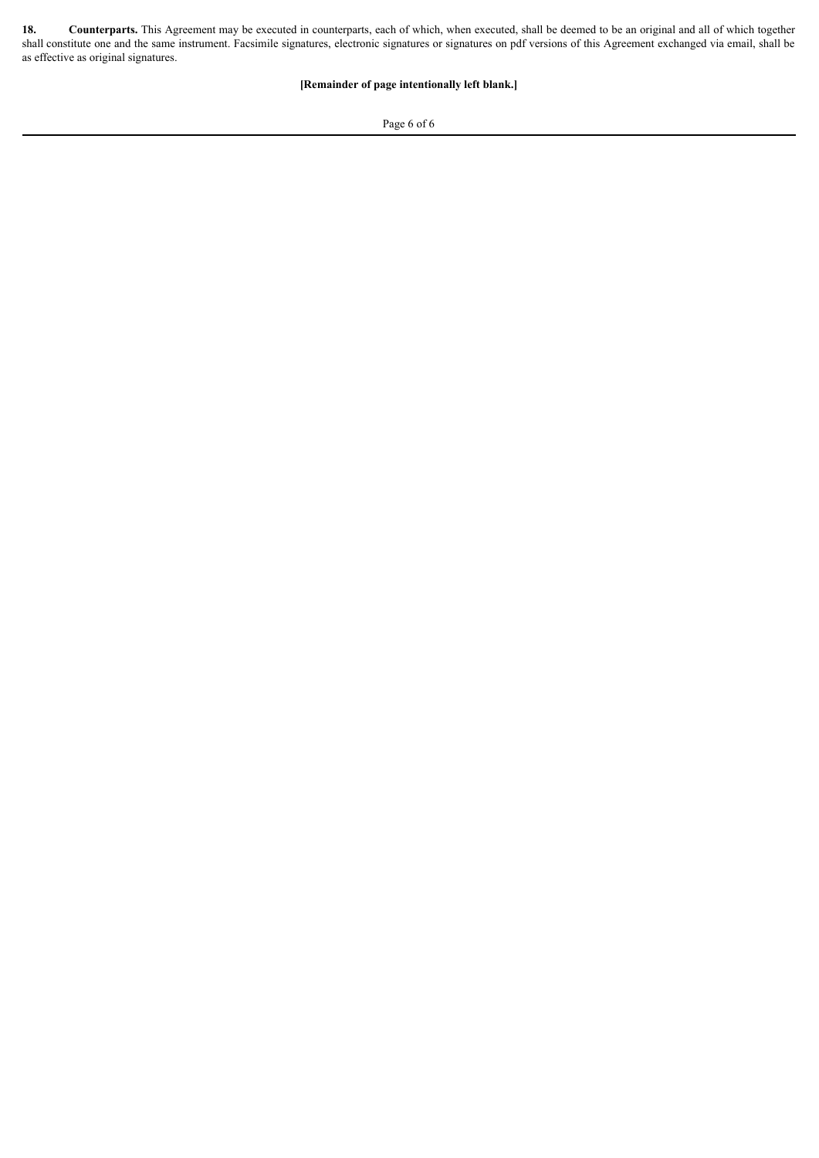**18. Counterparts.** This Agreement may be executed in counterparts, each of which, when executed, shall be deemed to be an original and all of which together shall constitute one and the same instrument. Facsimile signatures, electronic signatures or signatures on pdf versions of this Agreement exchanged via email, shall be as effective as original signatures.

#### **[Remainder of page intentionally left blank.]**

Page 6 of 6